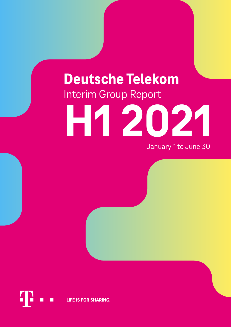# **Deutsche Telekom** Interim Group Report

# **H 1 2021**

January 1 to June 30

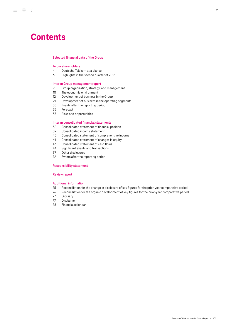# **Contents**

### [Selected financial data of the Group](#page-2-0)

### [To our shareholders](#page-3-0)

- [Deutsche Telekom at a glance](#page-3-1)
- [Highlights in the second quarter of 2021](#page-5-0)

### [Interim Group management report](#page-8-0)

- [Group organization, strategy, and management](#page-8-1)
- [The economic environment](#page-9-0)
- [Development of business in the Group](#page-11-0)
- [Development of business in the operating segments](#page-20-0)<br>35 Events after the reporting period
- [Events after the reporting period](#page-34-0)<br>35 Forecast
- [Forecast](#page-34-1)
- [Risks and opportunities](#page-34-2)

### [Interim consolidated financial statements](#page-37-0)

- [Consolidated statement of financial position](#page-37-1)
- [Consolidated income statement](#page-38-0)<br>40 Consolidated statement of comp
- [Consolidated statement of comprehensive income](#page-39-0)<br>41 Consolidated statement of changes in equity
- [Consolidated statement of changes in equity](#page-40-0)
- [Consolidated statement of cash flows](#page-42-0)
- [Significant events and transactions](#page-43-0)
- [Other disclosures](#page-56-0)
- [Events after the reporting period](#page-71-0)

### [Responsibility statement](#page-72-0)

### [Review report](#page-73-0)

### [Additional information](#page-74-0)

- [Reconciliation for the change in disclosure of key figures for the prior-year comparative period](#page-74-1)
- [Reconciliation for the organic development of key figures for the prior-year comparative period](#page-75-0)
- [Glossary](#page-76-0)
- [Disclaimer](#page-76-1)
- [Financial calendar](#page-77-0)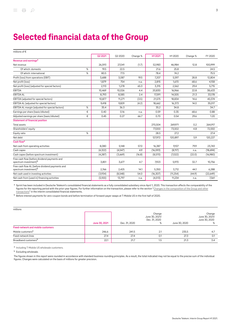# <span id="page-2-0"></span>Selected financial data of the Group

| millions of €                                                                        |   |          |         |          |           |           |          |          |
|--------------------------------------------------------------------------------------|---|----------|---------|----------|-----------|-----------|----------|----------|
|                                                                                      |   | Q2 2021  | Q2 2020 | Change % | H1 2021   | H12020    | Change % | FY 2020  |
| Revenue and earnings <sup>a</sup>                                                    |   |          |         |          |           |           |          |          |
| Net revenue                                                                          |   | 26,593   | 27,041  | (1.7)    | 52,983    | 46,984    | 12.8     | 100,999  |
| Of which: domestic                                                                   | % | 19.5     | 22.5    |          | 21.6      | 25.8      |          | 24.5     |
| Of which: international                                                              | % | 80.5     | 77.5    |          | 78.4      | 74.2      |          | 75.5     |
| Profit (loss) from operations (EBIT)                                                 |   | 3,688    | 3,087   | 19.5     | 7,207     | 5,597     | 28.8     | 12,804   |
| Net profit (loss)                                                                    |   | 1,879    | 754     | n.a.     | 2,815     | 1,670     | 68.6     | 4,158    |
| Net profit (loss) (adjusted for special factors)                                     |   | 2,113    | 1,278   | 65.3     | 3,315     | 2,562     | 29.4     | 5,715    |
| <b>EBITDA</b>                                                                        |   | 10,469   | 10,026  | 4.4      | 20,830    | 16,966    | 22.8     | 38,633   |
| <b>EBITDA AL</b>                                                                     |   | 8,793    | 8,585   | 2.4      | 17,591    | 14,505    | 21.3     | 33,178   |
| EBITDA (adjusted for special factors)                                                |   | 10,877   | 11,271  | (3.5)    | 21,575    | 18,834    | 14.6     | 40,374   |
| EBITDA AL (adjusted for special factors)                                             |   | 9,418    | 9,829   | (4.2)    | 18,662    | 16,373    | 14.0     | 35,017   |
| EBITDA AL margin (adjusted for special factors)                                      | % | 35.4     | 36.3    |          | 35.2      | 34.8      |          | 34.7     |
| Earnings per share (basic/diluted)                                                   | € | 0.40     | 0.16    | n.a.     | 0.59      | 0.35      | 68.6     | 0.88     |
| Adjusted earnings per share (basic/diluted)                                          | € | 0.45     | 0.27    | 66.7     | 0.70      | 0.54      | 29.6     | 1.20     |
| <b>Statement of financial position</b>                                               |   |          |         |          |           |           |          |          |
| Total assets                                                                         |   |          |         |          | 270.504   | 269.971   | 0.2      | 264,917  |
| Shareholders' equity                                                                 |   |          |         |          | 77,000    | 73,502    | 4.8      | 72,550   |
| Equity ratio                                                                         | % |          |         |          | 28.5      | 27.2      |          | 27.4     |
| Net debt                                                                             |   |          |         |          | 127,972   | 120,897   | 5.9      | 120,227  |
| Cash flow <sup>a</sup>                                                               |   |          |         |          |           |           |          |          |
| Net cash from operating activities                                                   |   | 8,080    | 5,148   | 57.0     | 16,387    | 9,107     | 79.9     | 23,743   |
| Cash capex                                                                           |   | (4, 322) | (4,547) | 4.9      | (16, 593) | (8, 117)  | n.a.     | (18,694) |
| Cash capex (before spectrum investment)                                              |   | (4, 287) | (3,669) | (16.8)   | (8,570)   | (7,022)   | (22.0)   | (16,980) |
| Free cash flow (before dividend payments and<br>spectrum investment) <sup>b</sup>    |   | 3,851    | 3,677   | 4.7      | 7,923     | 5,970     | 32.7     | 10,756   |
| Free cash flow AL (before dividend payments and<br>spectrum investment) <sup>b</sup> |   | 2,766    | 2,425   | 14.1     | 5,350     | 3,712     | 44.1     | 6,288    |
| Net cash used in investing activities                                                |   | (3,934)  | (8,548) | 54.0     | (16, 307) | (11, 254) | (44.9)   | (22,649) |
| Net cash from (used in) financing activities                                         |   | (5,100)  | 13,797  | n.a.     | (4, 513)  | 11,234    | n.a.     | 7,561    |

<sup>a</sup> Sprint has been included in Deutsche Telekom's consolidated financial statements as a fully consolidated subsidiary since April 1, 2020. This transaction affects the comparability of the figures for the reporting period with the prior-year figures. For further information on the transaction, please refer to the section "[Changes in the composition of the Group and other](#page-44-0) [transactions"](#page-44-0) in the interim consolidated financial statements.

b Before interest payments for zero-coupon bonds and before termination of forward-payer swaps at T-Mobile US in the first half of 2020.

| millions                                  |               |               |                                                |               |                                                |
|-------------------------------------------|---------------|---------------|------------------------------------------------|---------------|------------------------------------------------|
|                                           | June 30, 2021 | Dec. 31, 2020 | Change<br>June 30, 2021/<br>Dec. 31, 2020<br>% | June 30, 2020 | Change<br>June 30, 2021/<br>June 30, 2020<br>% |
| <b>Fixed-network and mobile customers</b> |               |               |                                                |               |                                                |
| Mobile customers <sup>a</sup>             | 246.6         | 241.5         | 2.1                                            | 235.5         | 4.7                                            |
| Fixed-network lines                       | 27.4          | 27.4          | 0.1                                            | 27.3          | 0.1                                            |
| Broadband customers <sup>b</sup>          | 22.1          | 21.7          | 1.5                                            | 21.3          | 3.4                                            |

a Including T-Mobile US wholesale customers.

**b** Excluding wholesale.

The figures shown in this report were rounded in accordance with standard business rounding principles. As a result, the total indicated may not be equal to the precise sum of the individual figures. Changes were calculated on the basis of millions for greater precision.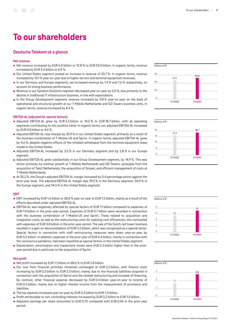# <span id="page-3-0"></span>To our shareholders

### <span id="page-3-1"></span>Deutsche Telekom at a glance

### Net revenue

- Net revenue increased by EUR 6.0 billion or 12.8 % to EUR 53.0 billion. In organic terms, revenue increased by EUR 3.4 billion or 6.9 %.
- Our United States segment posted an increase in revenue of 20.7 %. In organic terms, revenue increased by 10.1 % year-on-year due to higher service and terminal equipment revenues.
- In our Germany and Europe segments, we increased revenue by 1.4 % and 1.6 % respectively, on account of strong business performance.
- Revenue in our Systems Solutions segment decreased year-on-year by 5.0 %, due primarily to the  $\blacksquare$ decline in traditional IT infrastructure business, in line with expectations.
- In the Group Development segment, revenue increased by 9.8 % year-on-year on the back of operational and structural growth at our T‑Mobile Netherlands and GD Towers business units. In organic terms, revenue increased by 4.4 %.

### EBITDA AL (adjusted for special factors)

- Adjusted EBITDA AL grew by EUR 2.3 billion or 14.0 % to EUR 18.7 billion, with all operating segments contributing to this positive trend. In organic terms, our adjusted EBITDA AL increased by EUR 0.8 billion or 4.6 %.
- Adjusted EBITDA AL rose sharply by 20.9 % in our United States segment, primarily as a result of the business combination of T-Mobile US and Sprint. In organic terms, adjusted EBITDA AL grew by 4.6 %, despite negative effects of the initiated withdrawal from the terminal equipment lease model in the United States.
- **Adjusted EBITDA AL increased by 3.5% in our Germany segment and by 2.8% in our Europe** segment.
- Adjusted EBITDA AL grew substantially in our Group Development segment, by 14.9 %. This was driven primarily by revenue growth at T‑Mobile Netherlands and GD Towers, synergies from the acquisition of Tele2 Netherlands, the acquisition of Simpel, and efficient management of costs at T‑Mobile Netherlands.
- At 35.2 %, the Group's adjusted EBITDA AL margin increased by 0.4 percentage points against the prior-year level. The adjusted EBITDA AL margin was 39.3 % in the Germany segment, 34.9 % in the Europe segment, and 34.5 % in the United States segment.

### EBIT

- EBIT increased by EUR 1.6 billion or 28.8 % year-on-year to EUR 7.2 billion, mainly as a result of the effects described under adjusted EBITDA AL.
- EBITDA AL was negatively affected by special factors of EUR 1.1 billion compared to expenses of EUR 1.9 billion in the prior-year period. Expenses of EUR 0.7 billion were recorded in connection with the business combination of T-Mobile US and Sprint. These related to acquisition and integration costs, as well as the restructuring costs for realizing cost efficiencies; this contrasted with expenses of EUR 0.8 billion in the prior-year period. The sale of the Dutch cell tower business resulted in a gain on deconsolidation of EUR 0.2 billion, which was recognized as a special factor. Special factors in connection with staff restructuring measures were down year-on-year by EUR 0.2 billion. In addition, expenses in the prior year of EUR 0.4 billion, mainly in connection with the coronavirus pandemic, had been classified as special factors in the United States segment.
- Depreciation, amortization and impairment losses were EUR 2.3 billion higher than in the prior- $\blacksquare$ year period due in particular to the acquisition of Sprint.

### Net profit

- Net profit increased by EUR 1.1 billion or 68.6 % to EUR 2.8 billion.
- Our loss from financial activities remained unchanged at EUR 2.2 billion, with finance costs increasing by EUR 0.3 billion to EUR 2.3 billion, mainly due to the financial liabilities acquired in connection with the acquisition of Sprint and the related restructuring and increase of financing. By contrast, other financial expense decreased by EUR 0.4 billion year-on-year to income of EUR 0.2 billion, mainly due to higher interest income from the measurement of provisions and liabilities.
- The tax expense increased year-on-year by EUR 0.3 billion to EUR 1.3 billion.
- **Profit attributable to non-controlling interests increased by EUR 0.2 billion to EUR 1.0 billion.**
- Adjusted earnings per share amounted to EUR 0.70 compared with EUR 0.54 in the prior-year period.









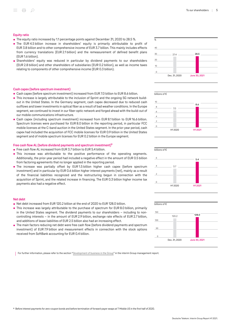### Equity ratio

- The equity ratio increased by 1.1 percentage points against December 31, 2020 to 28.5 %.
- The EUR 4.5 billion increase in shareholders' equity is primarily attributable to profit of EUR 3.8 billion and to other comprehensive income of EUR 3.7 billion. This mainly includes effects from currency translations (EUR 2.1 billion) and the remeasurement of defined benefit plans (EUR 1.6 billion).
- Shareholders' equity was reduced in particular by dividend payments to our shareholders (EUR 2.8 billion) and other shareholders of subsidiaries (EUR 0.2 billion), as well as income taxes relating to components of other comprehensive income (EUR 0.3 billion).



Cash capex (before spectrum investment) increased from EUR 7.0 billion to EUR 8.6 billion.

- This increase is largely attributable to the inclusion of Sprint and the ongoing 5G network buildout in the United States. In the Germany segment, cash capex decreased due to reduced cash outflows and lower investments in optical fiber as a result of bad weather conditions. In the Europe segment, we continued to invest in our fiber-optic network and forged ahead with the build-out of our mobile communications infrastructure.
- Cash capex (including spectrum investment) increased from EUR 8.1 billion to EUR 16.6 billion. Spectrum licenses were purchased for EUR 8.0 billion in the reporting period, in particular FCC mobile licenses at the C-band auction in the United States segment. In the prior-year period, cash capex had included the acquisition of FCC mobile licenses for EUR 0.9 billion in the United States segment and of mobile spectrum licenses for EUR 0.2 billion in the Europe segment.

### Free cash flow AL (before dividend payments and spectrum investment)<sup>a</sup>

- Free cash flow AL increased from EUR 3.7 billion to EUR 5.4 billion.
- **This increase was attributable to the positive performance of the operating segments.** Additionally, the prior-year period had included a negative effect in the amount of EUR 0.5 billion from factoring agreements that no longer applied in the reporting period.
- **The increase was partially offset by EUR 1.5 billion higher cash capex (before spectrum** investment) and in particular by EUR 0.6 billion higher interest payments (net), mainly as a result of the financial liabilities recognized and the restructuring begun in connection with the acquisition of Sprint, and the related increase in financing. The EUR 0.3 billion higher income tax payments also had a negative effect.

### Net debt

- Net debt increased from EUR 120.2 billion at the end of 2020 to EUR 128.0 billion.
- This increase was largely attributable to the purchase of spectrum for EUR 8.0 billion, primarily in the United States segment. The dividend payments to our shareholders – including to noncontrolling interests – in the amount of EUR 2.9 billion, exchange rate effects of EUR 2.7 billion, and additions of lease liabilities of EUR 2.5 billion also had an increasing effect.
- **The main factors reducing net debt were free cash flow (before dividend payments and spectrum** investment) of EUR 7.9 billion and measurement effects in connection with the stock options received from SoftBank accounting for EUR 0.4 billion.

For further information, please refer to the section "[Development of business in the Group"](#page-11-0) in the interim Group management report.







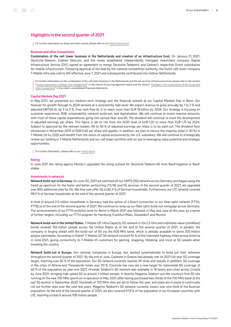### <span id="page-5-0"></span>Highlights in the second quarter of 2021

For further information on these and other events, please refer to our [media information](http://www.telekom.com/en/media/media-information).

### Business and other transactions

Combination of the cell tower business in the Netherlands and creation of an infrastructure fund. On January 21, 2021, Deutsche Telekom, Cellnex Telecom, and the newly established independently managed investment company Digital Infrastructure Vehicle (DIV) signed an agreement to merge Deutsche Telekom's and Cellnex's respective Dutch subsidiaries for mobile infrastructure. Following approval of the deal by the national competition authority, the Dutch cell tower company T‑Mobile Infra was sold to DIV effective June 1, 2021 and subsequently contributed into Cellnex Netherlands.

For further information on the combination of the cell tower business in the Netherlands and the set-up of an infrastructure fund, please refer to the section "[Group organization, strategy, and management"](#page-8-1) in the interim Group management report and the section ["Changes in the composition of the Group and](#page-44-0) [other transactions"](#page-44-0) in the interim consolidated financial statements.

### Capital Markets Day 2021

In May 2021, we presented our medium-term strategy and the financial outlook at our Capital Markets Day in Bonn. Our forecast for growth through to 2024 remains at a consistently high level: We expect revenue to grow annually by 1 to 2 % and adjusted EBITDA AL by 3 to 5 %. Free cash flow AL is to reach more than EUR 18 billion by 2024. Our strategy is focusing on customer experience, B2B, sustainability, network build-out, and digitalization. We will continue to invest massive amounts, with most of these capital expenditures going into optical fiber and 5G. The dividend will continue to track the development in adjusted earnings per share. This figure is set to rise from the 2020 level of EUR 1.20 to more than EUR 1.75 by 2024. Subject to approval by the relevant bodies, 40 to 60 % of adjusted earnings per share is to be paid out. The dividend floor introduced in November 2019 of EUR 0.60 per share still applies. In addition, we plan to secure the majority stake (> 50 %) in T‑Mobile US by 2025 and benefit from the return of capital announced by the U.S. subsidiary. We will continue to strategically review our holding in T‑Mobile Netherlands and our cell tower portfolio with an eye to leveraging value potential and strategic opportunities.

For further information, please refer to our [media report.](https://www.telekom.com/en/media/media-information/archive/deutsche-telekom-plans-to-accelerate-growth-over-the-coming-years-627346)

### Rating

In June 2021 the rating agency Moody's upgraded the rating outlook for Deutsche Telekom AG from Baa1/negative to Baa1/ stable.

### Investments in networks

Network build-out in Germany. On June 30, 2021 we switched off our UMTS (3G) network across Germany and began using the freed-up spectrum for the faster and better performing LTE/4G and 5G services. In the second quarter of 2021, we upgraded over 800 additional sites for 5G. We thus now offer 5G to 82.4 % of German households. Furthermore, our LTE network covered 98.9 % of German households at the end of the second quarter of 2021.

A total of around 2.5 million households in Germany had the option of a direct connection to our fiber-optic network (FTTH, FTTB) as of the end of the second quarter of 2021. We continue to ramp up our fiber-optic build-out campaign across Germany: The announcement of our FTTH ambition level for Berlin in March 2021 was followed, in May and June of this year, by a series of further targets, including our FTTH program for Hamburg, Frankfurt/Main, Düsseldorf, and Munich.

Network build-out in the United States. T‑Mobile US' Ultra Capacity 5G network in the 2.5 GHz and millimeter-wave (mmWave) bands covered 165 million people across the United States as of the end of the second quarter of 2021. In parallel, the company is forging ahead with the build-out of 5G via the 600 MHz band, which is already available to some 305 million people nationwide. According to Ookla®, T‑Mobile US' 5G network covered 92 % of the interstate highway miles across America in June 2021, giving connectivity to T-Mobile US customers for gaming, snapping, tiktoking, and more at 5G speeds when traveling the country.

Network build-out in Europe. Our national companies in Europe, too, worked systematically to build out their networks throughout the second quarter of 2021. By the end of June, Cosmote in Greece had already met its 2021 full-year 5G coverage target, reaching over 50 % of the population. Our 5G network currently reaches 29 cities and islands. In addition, 5G coverage in the cities of Athens and Thessaloniki totals over 90 %. Cosmote has now set a new target for nationwide 5G coverage of 60 % of the population by year-end 2021. Hrvatski Telekom's 5G network was available in 76 towns and cities across Croatia by June 2021, bringing high-speed 5G to around 2 million people. In Austria, Magenta Telekom put the country's first 5G site running on the new 700 MHz spectrum in operation in May 2021, after having purchased two-thirds of the 700 MHz band at the last 5G auction in September 2020. Hundreds of 700 MHz sites are set to follow this year, and plans are in place to continually roll out further sites over the next few years. Magenta Telekom's 5G network currently covers over one-third of the Austrian population. At the end of the second quarter of 2021, we also covered 97.8 % of the population in our European countries with LTE, reaching a total of around 108 million people.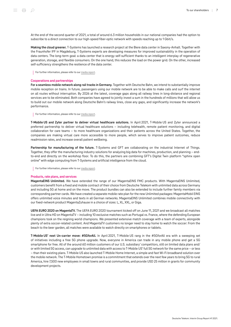At the end of the second quarter of 2021, a total of around 6.3 million households in our national companies had the option to subscribe to a direct connection to our high-speed fiber-optic network with speeds reaching up to 1 Gbit/s.

Making the cloud greener. T-Systems has launched a research project at the Biere data center in Saxony-Anhalt. Together with the Fraunhofer IFF in Magdeburg, T‑Systems experts are developing measures for improved sustainability in the operation of data centers. The long-term goal: a data center that is energy self-sufficient thanks to an intelligent interplay of regenerative generation, storage, and flexible consumers. On the one hand, this reduces the load on the power grid. On the other, increased self-sufficiency strengthens the resilience of the data center.

For further information, please refer to our [media report.](https://www.telekom.com/en/media/media-information/archive/making-the-cloud-greener-624396)

### Cooperations and partnerships

For a seamless mobile network along rail tracks in Germany. Together with Deutsche Bahn, we intend to substantially improve mobile reception on trains. In future, passengers using our mobile network are to be able to make calls and surf the internet on all routes without interruption. By 2026 at the latest, coverage gaps along all railway lines in long-distance and regional services are to be eliminated. Both companies have agreed to jointly invest a sum in the hundreds of millions that will allow us to build out our mobile network along Deutsche Bahn's railway lines, close any gaps, and significantly increase the network's performance.

For further information, please refer to our [media report.](https://www.telekom.com/en/media/media-information/archive/deutsche-bahn-and-deutsche-telekom-plan-seamless-mobile-network-along-all-tracks-630328)

T-Mobile US and Zyter partner to deliver virtual healthcare solutions. In April 2021, T-Mobile US and Zyter announced a preferred partnership to deliver virtual healthcare solutions – including telehealth, remote patient monitoring, and digital collaboration for care teams – to more healthcare organizations and their patients across the United States. Together, the companies are making virtual care more accessible to more people, which serves to improve patient outcomes, reduce readmission rates, and increase overall patient wellbeing.

Partnership for manufacturing of the future. T-Systems and GFT are collaborating on the industrial Internet of Things. Together, they offer the manufacturing industry solutions for analyzing big data for machines, production, and planning – endto-end and directly on the workshop floor. To do this, the partners are combining GFT's Digital Twin platform "sphinx open online" with edge computing from T‑Systems and artificial intelligence from the cloud.

For further information, please refer to our [media report.](https://www.telekom.com/en/media/media-information/archive/t-systems-gft-partnership-for-manufacturing-of-the-future-624094)

### Products, rate plans, and services

MagentaEINS Unlimited. We have extended the range of our MagentaEINS FMC products. With MagentaEINS Unlimited, customers benefit from a fixed and mobile contract of their choice from Deutsche Telekom with unlimited data across Germany and including 5G at home and on the move. The product bundles can also be extended to include further family members via corresponding partner cards. We have created a separate mobile rate plan for the new Unlimited packages: MagentaMobil EINS offers unlimited voice minutes and texts in all German networks. MagentaEINS Unlimited combines mobile connectivity with our fixed-network product MagentaZuhause in a choice of sizes: L, XL, XXL, or Giga.

UEFA EURO 2020 on MagentaTV. The UEFA EURO 2020 tournament kicked off on June 11, 2021 and we broadcast all matches live and in Ultra HD on MagentaTV – including 10 exclusive matches such as Portugal vs. France, where the defending European champions took on the reigning world champions. We presented extensive match coverage with a team of experts, alongside plenty of extra soccer-related content. And MagentaTV customers no longer need to stay home to watch the soccer: From the beach to the beer garden, all matches were available to watch directly on smartphones or tablets.

T-Mobile US' next Un-carrier move: #5GforAll. In April 2021, T-Mobile US rang in the #5GforAll era with a sweeping set of initiatives including a free 5G phone upgrade. Now, everyone in America can trade in any mobile phone and get a 5G smartphone for free. All of the around 60 million customers of our U.S. subsidiary' competitors, still on limited data plans and/ or with limited 5G access, can upgrade to unlimited data with access to T‑Mobile US' full 5G network for the same price – or less – than their existing plans. T‑Mobile US also launched T‑Mobile Home Internet, a simple and fast Wi-Fi broadband solution over the mobile network. The T‑Mobile Hometown promise is a commitment that extends over the next few years to bring 5G to rural America, hire 7,500 new employees in small towns and rural communities, and provide USD 25 million in grants for community development projects.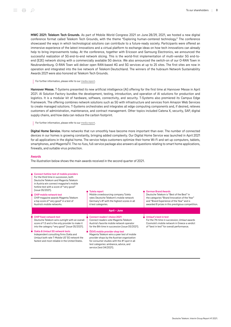MWC 2021: Telekom Tech Grounds. As part of Mobile World Congress 2021 on June 28/29, 2021, we hosted a new digital conference format called Telekom Tech Grounds, with the theme "Exploring human-centered technology." The conference showcased the ways in which technological solutions can contribute to a future-ready society. Participants were offered an immersive experience of the latest innovations and a virtual platform to exchange ideas on how tech innovations can already help to bring improvements today. At the conference, together with Ericsson and Samsung Electronics, we announced the successful realization of 5G end-to-end network slicing. This is the world-first implementation of multi-vendor 5G end-toend (E2E) network slicing with a commercially available 5G device. We also announced the switch-on of our O-RAN Town in Neubrandenburg. O-RAN Town will deliver open RAN-based 4G and 5G services at up to 25 sites. The first sites are now in operation and integrated into the live network of Telekom Deutschland. The winners of the hubraum Network Sustainability Awards 2021 were also honored at Telekom Tech Grounds.

### For further information, please refer to our [media report.](https://www.telekom.com/en/media/media-information/archive/telekom-tech-grounds-for-magenta-technology-and-green-power-630588)

Hannover Messe. T-Systems presented its new artificial intelligence (AI) offering for the first time at Hannover Messe in April 2021. AI Solution Factory bundles the development, testing, introduction, and operation of AI solutions for production and logistics. It is a modular kit of hardware, software, connectivity, and security. T-Systems also premiered its Campus Edge Framework. The offering combines network solutions such as 5G with infrastructure and services from Amazon Web Services to create managed solutions. T-Systems orchestrates and integrates all edge computing components and, if desired, relieves customers of administration, maintenance, and contract management. Other topics included Catena X, security, SAP, digital supply chains, and how data can reduce the carbon footprint.

### For further information, please refer to our [media report.](https://www.telekom.com/en/media/media-information/archive/dt-at-hannover-messe-623826)

Digital Home Service. Home networks that run smoothly have become more important than ever. The number of connected devices in our homes is growing constantly, bringing added complexity. Our Digital Home Service was launched in April 2021 for all applications in the digital home. The service helps customers optimize their home Wi-Fi and set up computers, tablets, smartphones, and MagentaTV. The no-fuss, full-service package also answers all questions relating to smart home applications, firewalls, and suitable virus protection.

### Awards

The illustration below shows the main awards received in the second quarter of 2021.

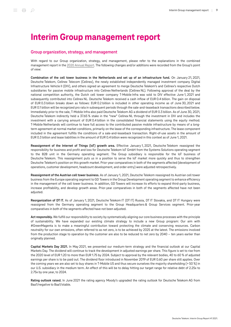## <span id="page-8-0"></span>Interim Group management report

### <span id="page-8-1"></span>Group organization, strategy, and management

With regard to our Group organization, strategy, and management, please refer to the explanations in the combined management report in the [2020 Annual Report.](https://report.telekom.com/annual-report-2020/management-report.html) The following changes and/or additions were recorded from the Group's point of view:

Combination of the cell tower business in the Netherlands and set up of an infrastructure fund. On January 21, 2021, Deutsche Telekom, Cellnex Telecom (Cellnex), the newly established independently managed investment company Digital Infrastructure Vehicle II (DIV), and others signed an agreement to merge Deutsche Telekom's and Cellnex's respective Dutch subsidiaries for passive mobile infrastructure into Cellnex Netherlands (Cellnex NL). Following approval of the deal by the national competition authority, the Dutch cell tower company T-Mobile Infra was sold to DIV effective June 1, 2021 and subsequently contributed into Cellnex NL. Deutsche Telekom received a cash inflow of EUR 0.4 billion. The gain on disposal of EUR 0.3 billion breaks down as follows: EUR 0.2 billion is included in other operating income as of June 30, 2021 and EUR 0.1 billion will be recognized pro rata in subsequent periods through the sale-and-leaseback transactions described below. Immediately prior to the sale, T‑Mobile Infra also paid Deutsche Telekom AG a dividend of EUR 0.3 billion. As of June 30, 2021, Deutsche Telekom indirectly held a 37.65 % stake in the "new" Cellnex NL through the investment in DIV and includes the investment with a carrying amount of EUR 0.4 billion in the consolidated financial statements using the equity method. T‑Mobile Netherlands will continue to have full access to the contributed passive mobile infrastructure by means of a longterm agreement at normal market conditions, primarily on the lease of the corresponding infrastructure. The lease component included in the agreement fulfills the conditions of a sale-and-leaseback transaction. Right-of-use assets in the amount of EUR 0.3 billion and lease liabilities in the amount of EUR 0.4 billion were recognized in this context as of June 1, 2021.

Reassignment of the Internet of Things (IoT) growth area. Effective January 1, 2021, Deutsche Telekom reassigned the responsibility for business and profit and loss for Deutsche Telekom IoT GmbH from the Systems Solutions operating segment to the B2B unit in the Germany operating segment. The Group subsidiary is responsible for the IoT business of Deutsche Telekom. This reassignment puts us in a position to serve the IoT market more quickly and thus to strengthen Deutsche Telekom's position on this growth market. Prior-year comparatives in both of the segments affected (development of operations, customer development, headcount development, and order entry) were adjusted retrospectively.

Reassignment of the Austrian cell tower business. As of January 1, 2021, Deutsche Telekom reassigned its Austrian cell tower business from the Europe operating segment to GD Towers in the Group Development operating segment to enhance efficiency in the management of the cell tower business. In addition, GD Towers will increase its efforts to expand third-party business, increase profitability, and develop growth areas. Prior-year comparatives in both of the segments affected have not been adjusted.

Reorganization of DT IT. As of January 1, 2021, Deutsche Telekom IT (DT IT) Russia, DT IT Slovakia, and DT IT Hungary were reassigned from the Germany operating segment to the Group Headquarters & Group Services segment. Prior-year comparatives in both of the segments affected have not been adjusted.

Act responsibly. We fulfill our responsibility to society by systematically aligning our core business processes with the principle of sustainability. We have expanded our existing climate strategy to include a new Group program: Our aim with #GreenMagenta is to make a meaningful contribution toward protecting the climate and conserving resources. Carbon neutrality for our own emissions, often referred to as net zero, is to be achieved by 2025 at the latest. The emissions involved from the production stage to operation by the customer are also to be reduced to net zero by 2040 – ten years earlier than originally planned.

Capital Markets Day 2021. In May 2021, we presented our medium-term strategy and the financial outlook at our Capital Markets Day. The dividend will continue to track the development in adjusted earnings per share. This figure is set to rise from the 2020 level of EUR 1.20 to more than EUR 1.75 by 2024. Subject to approval by the relevant bodies, 40 to 60 % of adjusted earnings per share is to be paid out. The dividend floor introduced in November 2019 of EUR 0.60 per share still applies. Over the coming years we are also set to buy shares in T-Mobile US and thus secure ourselves the majority shareholding (> 50 %) in our U.S. subsidiary in the medium term. An effect of this will be to delay hitting our target range for relative debt of 2.25x to 2.75x by one year, to 2024.

Rating outlook raised. In June 2021 the rating agency Moody's upgraded the rating outlook for Deutsche Telekom AG from Baa1/negative to Baa1/stable.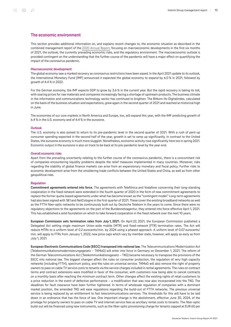### <span id="page-9-0"></span>The economic environment

This section provides additional information on, and explains recent changes to, the economic situation as described in the combined management report of the [2020 Annual Report,](https://report.telekom.com/annual-report-2020/management-report/the-economic-environment/macroeconomic-development.html) focusing on macroeconomic developments in the first six months of 2021, the outlook, the currently prevailing economic risks, and the regulatory environment. The macroeconomic outlook is provided contingent on the understanding that the further course of the pandemic will have a major effect on quantifying the impact of the coronavirus pandemic.

### Macroeconomic development

The global economy saw a marked recovery as coronavirus restrictions have been eased. In the April 2021 update to its outlook, the International Monetary Fund (IMF) announced it expected the global economy to expand by 6.0 % in 2021, followed by growth of 4.4 % in 2022.

For the German economy, the IMF expects GDP to grow by 3.6 % in the current year. But the rapid recovery is taking its toll, with soaring prices for raw materials and companies increasingly facing a shortage of upstream products. The business climate in the information and communications technology sector has continued to brighten: The Bitkom-ifo-Digitalindex, calculated on the basis of the business situation and expectations, grew again in the second quarter of 2021 and reached an historical high in June.

The economies of our core markets in North America and Europe, too, will expand this year, with the IMF predicting growth of 6.4 % in the U.S. economy and of 4.4 % in the eurozone.

### **Outlook**

The U.S. economy is also poised to return to its pre-pandemic level in the second quarter of 2021. With a rush of pent-up consumer spending expected in the second half of the year, growth is set to ramp up significantly. In contrast to the United States, the eurozone economy is much more sluggish. Nonetheless, economic activity rose significantly here too in spring 2021. Economic output in the eurozone is also on track to be back at its pre-pandemic level by the year-end.

### Overall economic risks

Apart from the prevailing uncertainty relating to the further course of the coronavirus pandemic, there is a concomitant risk of companies encountering liquidity problems despite the relief measures implemented in many countries. Moreover, risks regarding the stability of global finance markets can arise from an expansionary monetary and fiscal policy. Further risks to economic development arise from the smoldering trade conflicts between the United States and China, as well as from other geopolitical risks.

### Regulation

Commitment agreements entered into force. The agreements with Telefónica and Vodafone concerning their long-standing cooperation in the fixed network were extended in the fourth quarter of 2020 in the form of new commitment agreements to replace the former quota-based agreements under what has become known as the "contingent model." Long-term agreements had also been signed with 1&1 and NetCologne in the first quarter of 2021. These cover the existing broadband networks as well as the FTTH fiber-optic networks to be continuously built out by Deutsche Telekom in the years to come. Since there were no regulatory objections to the agreements on the part of the Bundesnetzagentur, they entered into force effective April 1, 2021. This has established a solid foundation on which to take forward cooperation in the fixed network over the next 10 years.

European Commission sets termination rates from July 1, 2021. On April 22, 2021, the European Commission published a Delegated Act setting single maximum Union-wide mobile (MTR) and fixed-network (FTR) termination rates. The Act will reduce MTRs to a uniform level of 0.2 eurocents/min. by 2024 using a phased approach. A uniform level of 0.07 eurocents/ min. will apply to FTRs from January 1, 2022; new price caps which vary by member state, however, will apply as early as from July 1, 2021.

European Electronic Communications Code (EECC) transposed into national law. The Telecommunications Modernization Act (Telekommunikationsmodernisierungsgesetz – TKMoG) will enter into force in Germany on December 1, 2021. The reform of the German Telecommunications Act (Telekommunikationsgesetz – TKG) became necessary to transpose the provisions of the EECC into national law. The biggest changes affect the rules on consumer protection, the regulation of very high capacity networks (including FTTH), spectrum policy, and the rules on universal service. TKMoG will also remove the right of property owners to pass on cable TV service costs to tenants via the service charges included in rental agreements. The rules on contract terms and contract extensions were modified in favor of the consumer, with customers now being able to cancel contracts on a monthly basis after reaching the minimum contract term. Other changes affect the existing rights of retail customers to a price reduction in the event of defective performance – a modification that was now also incorporated into the TKG. The deadlines for fault clearance have been further tightened. In terms of wholesale regulation of companies with a dominant market position, the amended TKG will ease regulations regarding the build-out of FTTH networks. The previous universal service is being replaced by an entitlement to fast telecommunications services. The thresholds for this will have to be laid down in an ordinance that has the force of law. One important change is the abolishment, effective June 30, 2024, of the privilege for property owners to pass on cable TV and internet service fees as ancillary rental costs to tenants. The fiber-optic build-out will be financed using new instruments, such as the fiber-optic provisioning charge for tenants capped at EUR 60 per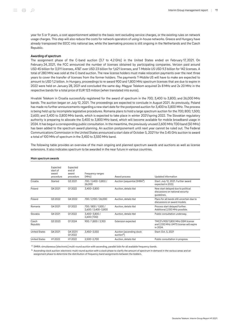year for 5 or 9 years, a cost apportionment added to the basic rent excluding service charges, or the existing rules on network usage charges. This step will also reduce the costs for network operators of using in-house networks. Greece and Hungary have already transposed the EECC into national law, while the lawmaking process is still ongoing in the Netherlands and the Czech Republic.

### Awarding of spectrum

The assignment phase of the C-band auction (3.7 to 4.2 GHz) in the United States ended on February 17, 2021. On February 24, 2021, the FCC announced the number of licenses obtained by participating companies. Verizon paid around USD 45 billion for 3,511 licenses, AT&T over USD 23 billion for 1,621 licenses, and T‑Mobile US USD 9.3 billion for 142 licenses. A total of 280 MHz was sold at the C-band auction. The new license holders must make relocation payments over the next three years to cover the transfer of licenses from the former holders. The payments T‑Mobile US will have to make are expected to amount to USD 1.2 billion. In Hungary, proceedings to re-award 900 and 1,800 MHz spectrum licenses that are due to expire in 2022 were held on January 28, 2021 and concluded the same day. Magyar Telekom acquired 2x 8 MHz and 2x 20 MHz in the respective bands for a total price of EUR 123 million (when translated into euros).

Hrvatski Telekom in Croatia successfully registered for the award of spectrum in the 700; 3,400 to 3,800; and 26,000 MHz bands. The auction began on July 12, 2021. The proceedings are expected to conclude in August 2021. As previously, Poland has made no further announcements regarding a new start date for the postponed auction for 3,400 to 3,800 MHz. The process is being held up by incomplete legislative procedures. Romania plans to hold a large spectrum auction for the 700; 800; 1,500; 2,600; and 3,400 to 3,800 MHz bands, which is expected to take place in winter 2021/spring 2022. The Slovakian regulatory authority is preparing to allocate the 3,400 to 3,800 MHz band, which will become available for mobile broadband usage in 2024. It has begun a corresponding public consultation. In the meantime, the previously unused 2,600 MHz TDD band (50 MHz) has been added to the spectrum award planning. An auction postponement until next year cannot be ruled out. The Federal Communications Commission in the United States announced a start date of October 5, 2021 for the 3.45 GHz auction to award a total of 100 MHz of spectrum in the 3,450 to 3,550 MHz band.

The following table provides an overview of the main ongoing and planned spectrum awards and auctions as well as license extensions. It also indicates spectrum to be awarded in the near future in various countries.

|                      | Expected<br>start of<br>award<br>procedure | Expected<br>end of<br>award<br>procedure | Frequency ranges<br>(MHz)                  | Award process                                      | Updated information                                                                    |
|----------------------|--------------------------------------------|------------------------------------------|--------------------------------------------|----------------------------------------------------|----------------------------------------------------------------------------------------|
| Croatia              | Started                                    | Q3 2021                                  | 700 / 3,400-3,800 /<br>26,000              | Auction (sequential SMRA <sup>a</sup> )            | Start: July 12, 2021. Further award<br>expected in 2022.                               |
| Poland               | 04 20 21                                   | 012022                                   | 3,400-3,800                                | Auction, details tbd                               | New start delayed due to political<br>discussions on national security<br>guidelines.  |
| Poland               | 03 20 22                                   | 04 20 22                                 | 700 / 2,100 / 26,000                       | Auction, details tbd                               | Plans for all bands still uncertain due to<br>discussions on award models.             |
| Romania              | Q4 2021                                    | Q1 2022                                  | 700 / 800 / 1,500 /<br>2,600 / 3,400-3,800 | Auction, details tbd                               | Process start delayed further.<br>Additional 2,100 MHz possible.                       |
| Slovakia             | 04 20 21                                   | 012022                                   | 3,400-3,800 /<br>2,600 (TDD)               | Auction, details tbd                               | Public consultation underway.                                                          |
| Czech<br>Republic    | 03 20 23                                   | 012024                                   | 900 / 1,800 / 2,100                        | Extension expected                                 | TMCZ's 900/1,800 MHz GSM license<br>and 2,100 MHz UMTS license will expire<br>in 2024. |
| <b>United States</b> | 04 20 21                                   | Q4 2021/<br>012022                       | 3,450-3,550                                | Auction (ascending clock<br>auction <sup>b</sup> ) | Start: Oct. 5, 2021                                                                    |
| <b>United States</b> | H1 2022                                    | H12022                                   | 2.500-2.700                                | Auction, details tbd                               | Public consultation in progress.                                                       |

### Main spectrum awards

a SMRA: simultaneous (electronic) multi-round auction with ascending, parallel bids for all available frequency bands.

 $<sup>b</sup>$  Ascending clock auction: electronic multi-round auction with a clock phase to clarify the amount of spectrum in demand in the various areas and an</sup> assignment phase to determine the distribution of frequency band assignments between the bidders.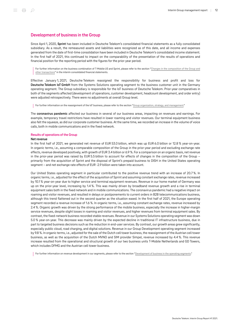### <span id="page-11-0"></span>Development of business in the Group

Since April 1, 2020, Sprint has been included in Deutsche Telekom's consolidated financial statements as a fully consolidated subsidiary. As a result, the remeasured assets and liabilities were recognized as of this date, and all income and expenses generated from the date of first-time consolidation have been included in Deutsche Telekom's consolidated income statement. In the first half of 2021, this continued to impact on the comparability of the presentation of the results of operations and financial position for the reporting period with the figures for the prior-year period.

For further information on the business combination of T-Mobile US and Sprint, please refer to the section "[Changes in the composition of the Group and](#page-44-0) [other transactions"](#page-44-0) in the interim consolidated financial statements.

Effective January 1, 2021, Deutsche Telekom reassigned the responsibility for business and profit and loss for Deutsche Telekom IoT GmbH from the Systems Solutions operating segment to the business customer unit in the Germany operating segment. The Group subsidiary is responsible for the IoT business of Deutsche Telekom. Prior-year comparatives in both of the segments affected (development of operations, customer development, headcount development, and order entry) were adjusted retrospectively. There were no adjustments at overall Group level.

For further information on the reassignment of the IoT business, please refer to the section ["Group organization, strategy, and management.](#page-8-1)"

The coronavirus pandemic affected our business in several of our business areas, impacting on revenues and earnings. For example, temporary travel restrictions have resulted in lower roaming and visitor revenues. Our terminal equipment business also felt the squeeze, as did our corporate customer business. At the same time, we recorded an increase in the volume of voice calls, both in mobile communications and in the fixed network.

### Results of operations of the Group

### Net revenue

In the first half of 2021, we generated net revenue of EUR 53.0 billion, which was up EUR 6.0 billion or 12.8 % year-on-year. In organic terms, i.e., assuming a comparable composition of the Group in the prior-year period and excluding exchange rate effects, revenue developed positively, with growth of EUR 3.4 billion or 6.9 %. For a comparison on an organic basis, net revenue in the prior-year period was raised by EUR 5.5 billion to account for effects of changes in the composition of the Group – primarily from the acquisition of Sprint and the disposal of Sprint's prepaid business to DISH in the United States operating segment – and net exchange rate effects of EUR ‑2.9 billion were taken into account.

Our United States operating segment in particular contributed to the positive revenue trend with an increase of 20.7 %. In organic terms, i.e., adjusted for the effect of the acquisition of Sprint and assuming constant exchange rates, revenue increased by 10.1 % year-on-year due to higher service and terminal equipment revenues. Revenue in our home market of Germany was up on the prior-year level, increasing by 1.4 %. This was mainly driven by broadband revenue growth and a rise in terminal equipment sales both in the fixed network and in mobile communications. The coronavirus pandemic had a negative impact on roaming and visitor revenues, and resulted in delays or postponements to current orders in B2B telecommunications business, although this trend flattened out in the second quarter as the situation eased. In the first half of 2021, the Europe operating segment recorded a revenue increase of 1.6 %. In organic terms, i.e., assuming constant exchange rates, revenue increased by 2.4 %. Organic growth was driven by the strong performance of the mobile business, especially the increase in higher-margin service revenues, despite slight losses in roaming and visitor revenues, and higher revenues from terminal equipment sales. By contrast, the fixed-network business recorded stable revenues. Revenue in our Systems Solutions operating segment was down 5.0 % year-on-year. This decrease was mainly driven by the expected decline in traditional IT infrastructure business, due in part to targeted business decisions such as the reduction in end-user services. By contrast, our growth areas grew significantly, especially public cloud, road charging, and digital solutions. Revenue in our Group Development operating segment increased by 9.8 %. In organic terms, i.e., adjusted for the sale of the Dutch cell tower business, the reassignment of the Austrian cell tower business, as well as the acquisition of the Dutch MVNO and SIM provider Simpel, revenue increased by 4.4 %. This revenue increase resulted from the operational and structural growth of our two business units T-Mobile Netherlands and GD Towers, which includes DFMG and the Austrian cell tower business.

For further information on revenue development in our segments, please refer to the section "[Development of business in the operating segments.](#page-20-0)"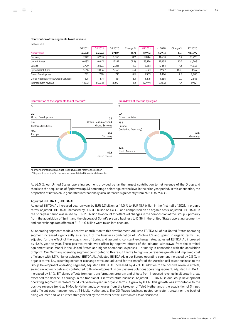### Contribution of the segments to net revenue

| r |  |
|---|--|

| millions of $\epsilon$              |         |         |          |          |          |          |          |         |
|-------------------------------------|---------|---------|----------|----------|----------|----------|----------|---------|
|                                     | Q12021  | 02 2021 | Q2 2020  | Change % | H1 2021  | H12020   | Change % | FY 2020 |
| Net revenue                         | 26,390  | 26,593  | 27.041   | (1.7)    | 52,983   | 46,984   | 12.8     | 100,999 |
| Germany                             | 5,942   | 5,903   | 5,853    | 0.9      | 11,844   | 11.683   | 1.4      | 23,790  |
| <b>United States</b>                | 16,483  | 16,643  | 17.297   | (3.8)    | 33,126   | 27,455   | 20.7     | 61,208  |
| Europe                              | 2,729   | 2,823   | 2,706    | 4.3      | 5,551    | 5,464    | 1.6      | 11,335  |
| Systems Solutions                   | 1,015   | 1.006   | 1.065    | (5.5)    | 2.021    | 2,127    | (5.0)    | 4,159   |
| Group Development                   | 782     | 780     | 716      | 8.9      | 1,563    | 1,424    | 9.8      | 2,883   |
| Group Headquarters & Group Services | 625     | 671     | 651      | 3.1      | 1.296    | 1.285    | 0.9      | 2,556   |
| Intersegment revenue                | (1,186) | (1,232) | (1, 247) | 1.2      | (2, 419) | (2, 453) | 1.4      | (4,932) |





<sup>a</sup> For further information on net revenue, please refer to the section ["Segment reporting](#page-59-0)" in the interim consolidated financial statements.

At 62.5 %, our United States operating segment provided by far the largest contribution to net revenue of the Group and thanks to the acquisition of Sprint was up 4.1 percentage points against the level in the prior-year period. In this connection, the proportion of net revenue generated internationally also increased significantly from 74.2 % to 76.5 %.

### Adjusted EBITDA AL, EBITDA AL

Adjusted EBITDA AL increased year-on-year by EUR 2.3 billion or 14.0 % to EUR 18.7 billion in the first half of 2021. In organic terms, adjusted EBITDA AL increased by EUR 0.8 billion or 4.6 %. For a comparison on an organic basis, adjusted EBITDA AL in the prior-year period was raised by EUR 2.5 billion to account for effects of changes in the composition of the Group – primarily from the acquisition of Sprint and the disposal of Sprint's prepaid business to DISH in the United States operating segment – and net exchange rate effects of EUR -1.0 billion were taken into account.

All operating segments made a positive contribution to this development. Adjusted EBITDA AL of our United States operating segment increased significantly as a result of the business combination of T-Mobile US and Sprint. In organic terms, i.e., adjusted for the effect of the acquisition of Sprint and assuming constant exchange rates, adjusted EBITDA AL increased by 4.6 % year-on-year. These positive trends were offset by negative effects of the initiated withdrawal from the terminal equipment lease model in the United States and higher operational expenses – primarily in connection with the acquisition of Sprint. Our Germany operating segment contributed to this result thanks to high-value revenue growth and improved cost efficiency with 3.5 % higher adjusted EBITDA AL. Adjusted EBITDA AL in our Europe operating segment increased by 2.8 %. In organic terms, i.e., assuming constant exchange rates and adjusted for the transfer of the Austrian cell tower business to the Group Development operating segment, adjusted EBITDA AL increased by 4.7 %. In addition to the positive revenue effects, savings in indirect costs also contributed to this development. In our Systems Solutions operating segment, adjusted EBITDA AL increased by 3.1 %. Efficiency effects from our transformation program and effects from increased revenue in all growth areas exceeded the decline in earnings in the traditional IT infrastructure business. Adjusted EBITDA AL in our Group Development operating segment increased by 14.9 % year-on-year; in organic terms, it grew by 8.1 %. This growth was attributable to the positive revenue trend at T‑Mobile Netherlands, synergies from the takeover of Tele2 Netherlands, the acquisition of Simpel, and efficient cost management at T‑Mobile Netherlands. The GD Towers business posted consistent growth on the back of rising volumes and was further strengthened by the transfer of the Austrian cell tower business.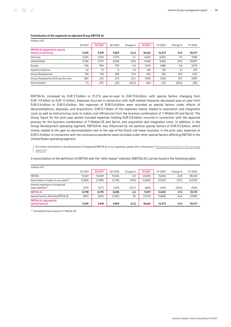| millions of $\epsilon$                                          |        |         |          |          |         |        |          |         |
|-----------------------------------------------------------------|--------|---------|----------|----------|---------|--------|----------|---------|
|                                                                 | Q12021 | 02 2021 | 02 20 20 | Change % | H1 2021 | H12020 | Change % | FY 2020 |
| <b>EBITDA AL (adjusted for special</b><br>factors) in the Group | 9,245  | 9,418   | 9,829    | (4.2)    | 18,662  | 16,373 | 14.0     | 35,017  |
| Germany                                                         | 2,305  | 2,354   | 2,270    | 3.7      | 4,659   | 4,500  | 3.5      | 9,188   |
| <b>United States</b>                                            | 5,706  | 5,737   | 6.304    | (9.0)    | 11.444  | 9.464  | 20.9     | 20,997  |
| Europe                                                          | 946    | 994     | 952      | 4.4      | 1.940   | 1,888  | 2.8      | 3,910   |
| Systems Solutions                                               | 62     | 72      | 71       | 1.4      | 134     | 130    | 3.1      | 279     |
| Group Development                                               | 316    | 318     | 283      | 12.4     | 634     | 552    | 14.9     | 1,101   |
| Group Headquarters & Group Services                             | (84)   | (21)    | (27)     | 22.2     | (105)   | (130)  | 19.2     | (429)   |
| Reconciliation                                                  | (7)    | (37)    | (24)     | (54.2)   | (45)    | (31)   | (45.2)   | (28)    |

### Contribution of the segments to adjusted Group EBITDA AL

EBITDA AL increased by EUR 3.1 billion or 21.3 % year-on-year to EUR 17.6 billion, with special factors changing from EUR ‑1.9 billion to EUR ‑1.1 billion. Expenses incurred in connection with staff-related measures decreased year-on-year from EUR 0.6 billion to EUR 0.4 billion. Net expenses of EUR 0.6 billion were recorded as special factors under effects of deconsolidations, disposals, and acquisitions. EUR 0.7 billion of the expenses mainly related to acquisition and integration costs as well as restructuring costs to realize cost efficiencies from the business combination of T‑Mobile US and Sprint. The Group figure for the prior-year period included expenses totaling EUR 0.8 billion incurred in connection with the approval process for the business combination of T-Mobile US and Sprint, and acquisition and integration costs. In addition, in the Group Development operating segment, EBITDA AL was influenced by net positive special factors of EUR 0.2 billion, which mainly related to the gain on deconsolidation due to the sale of the Dutch cell tower business. In the prior year, expenses of EUR 0.4 billion in connection with the coronavirus pandemic were recorded under other special factors affecting EBITDA in the United States operating segment.

For further information on the development of (adjusted) EBITDA AL in our segments, please refer to the section "[Development of business in the operating](#page-20-0) [segments](#page-20-0)."

A reconciliation of the definition of EBITDA with the "after leases" indicator (EBITDA AL) can be found in the following table:

| millions of $\epsilon$                                            |          |         |         |          |         |         |          |         |
|-------------------------------------------------------------------|----------|---------|---------|----------|---------|---------|----------|---------|
|                                                                   | Q12021   | Q2 2021 | Q2 2020 | Change % | H1 2021 | H12020  | Change % | FY 2020 |
| EBITDA                                                            | 10,361   | 10.469  | 10,026  | 4.4      | 20,830  | 16,966  | 22.8     | 38,633  |
| Depreciation of right-of-use assets <sup>a</sup>                  | (1, 284) | (1,399) | (1,218) | (14.9)   | (2,683) | (2,047) | (31.1)   | (4,530) |
| Interest expenses on recognized<br>lease liabilities <sup>a</sup> | (279)    | (277)   | (224)   | (23.7)   | (556)   | (413)   | (34.6)   | (925)   |
| <b>EBITDA AL</b>                                                  | 8.798    | 8.793   | 8.585   | 2.4      | 17.591  | 14.505  | 21.3     | 33,178  |
| Special factors affecting EBITDA AL                               | (447)    | (625)   | (1,245) | 50       | (1,072) | (1,868) | 42.6     | (1,839) |
| <b>EBITDA AL (adjusted for</b><br>special factors)                | 9.245    | 9.418   | 9.829   | (4.2)    | 18,662  | 16.373  | 14.0     | 35,017  |

a Excluding finance leases at T-Mobile US.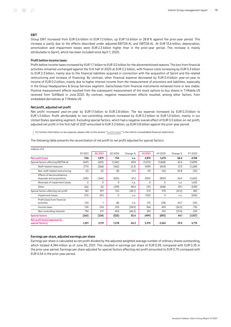### EBIT

Group EBIT increased from EUR 5.6 billion to EUR 7.2 billion, up EUR 1.6 billion or 28.8 % against the prior-year period. This increase is partly due to the effects described under adjusted EBITDA AL and EBITDA AL. At EUR 13.6 billion, depreciation, amortization and impairment losses were EUR 2.3 billion higher than in the prior-year period. This increase is mainly attributable to Sprint, which has been included since April 1, 2020.

### Profit before income taxes

Profit before income taxes increased by EUR 1.7 billion to EUR 5.0 billion for the aforementioned reasons. The loss from financial activities remained unchanged against the first half of 2020 at EUR 2.2 billion, with finance costs increasing by EUR 0.3 billion to EUR 2.3 billion, mainly due to the financial liabilities acquired in connection with the acquisition of Sprint and the related restructuring and increase of financing. By contrast, other financial expense decreased by EUR 0.4 billion year-on-year to income of EUR 0.2 billion, mainly due to higher interest income from the measurement of provisions and liabilities, especially in the Group Headquarters & Group Services segment. Gains/losses from financial instruments remained more or less stable. Positive measurement effects resulted from the subsequent measurement of the stock options to buy shares in T-Mobile US received from SoftBank in June 2020. By contrast, negative measurement effects resulted, among other factors, from embedded derivatives at T‑Mobile US.

### Net profit, adjusted net profit

Net profit increased year-on-year by EUR 1.1 billion to EUR 2.8 billion. The tax expense increased by EUR 0.3 billion to EUR 1.3 billion. Profit attributable to non-controlling interests increased by EUR 0.2 billion to EUR 1.0 billion, mainly in our United States operating segment. Excluding special factors, which had a negative overall effect of EUR 0.5 billion on net profit, adjusted net profit in the first half of 2021 amounted to EUR 3.3 billion, up EUR 0.8 billion against the prior-year period.

For further information on tax expense, please refer to the section "[Income taxes](#page-54-0)" in the interim consolidated financial statements.

The following table presents the reconciliation of net profit to net profit adjusted for special factors:

| millions of $\epsilon$                                     |          |         |          |          |          |         |          |          |
|------------------------------------------------------------|----------|---------|----------|----------|----------|---------|----------|----------|
|                                                            | 012021   | Q2 2021 | Q2 2020  | Change % | H1 2021  | H12020  | Change % | FY 2020  |
| Net profit (loss)                                          | 936      | 1,879   | 754      | n.a.     | 2,815    | 1,670   | 68.6     | 4,158    |
| Special factors affecting EBITDA AL                        | (447)    | (625)   | (1,245)  | 49.8     | (1,072)  | (1,868) | 42.6     | (1,839)  |
| Staff-related measures                                     | (171)    | (268)   | (262)    | (2.3)    | (439)    | (604)   | 27.3     | (1,268)  |
| Non-staff-related restructuring                            | (5)      | (5)     | (8)      | 37.5     | (9)      | (16)    | 43.8     | (32)     |
| Effects of deconsolidations.<br>disposals and acquisitions | (245)    | (346)   | (655)    | 47.2     | (592)    | (800)   | 26.0     | (1,655)  |
| Reversals of impairment losses                             | $\Omega$ | 0       | $\Omega$ | n.a.     | $\Omega$ | 0       | n.a.     | 1,655    |
| Other                                                      | (26)     | (5)     | (319)    | 98.4     | (31)     | (448)   | 93.1     | (539)    |
| Special factors affecting net profit                       | 182      | 391     | 720      | (45.7)   | 573      | 975     | (41.2)   | 283      |
| Impairment losses                                          | (70)     | (61)    | 0        | n.a.     | (132)    | 0       | n.a.     | (656)    |
| Profit (loss) from financial<br>activities                 | (12)     | 1       | (8)      | n.a.     | (11)     | (28)    | 60.7     | (25)     |
| Income taxes                                               | 130      | 234     | 325      | (28.0)   | 364      | 492     | (26.0)   | 730      |
| Non-controlling interests                                  | 134      | 217     | 403      | (46.2)   | 351      | 512     | (31.4)   | 234      |
| <b>Special factors</b>                                     | (265)    | (234)   | (525)    | 55.4     | (499)    | (892)   | 44.1     | (1, 557) |
| Net profit (loss) (adjusted for<br>special factors)        | 1,201    | 2,113   | 1,278    | 65.3     | 3,315    | 2,562   | 29.4     | 5,715    |

### Earnings per share, adjusted earnings per share

Earnings per share is calculated as net profit divided by the adjusted weighted average number of ordinary shares outstanding, which totaled 4,744 million as of June 30, 2021. This resulted in earnings per share of EUR 0.59, compared with EUR 0.35 in the prior-year period. Earnings per share adjusted for special factors affecting net profit amounted to EUR 0.70 compared with EUR 0.54 in the prior-year period.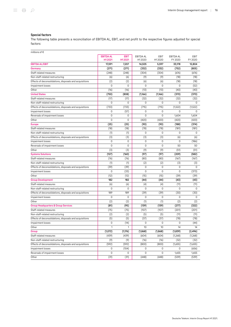### Special factors

The following table presents a reconciliation of EBITDA AL, EBIT, and net profit to the respective figures adjusted for special factors:

| millions of $\epsilon$                                  |                             |                        |                      |                |                      |                 |
|---------------------------------------------------------|-----------------------------|------------------------|----------------------|----------------|----------------------|-----------------|
|                                                         | <b>EBITDA AL</b><br>H1 2021 | <b>EBIT</b><br>H1 2021 | EBITDA AL<br>H1 2020 | EBIT<br>H12020 | EBITDA AL<br>FY 2020 | EBIT<br>FY 2020 |
| <b>EBITDA AL/EBIT</b>                                   | 17,591                      | 7,207                  | 14,505               | 5,597          | 33,178               | 12,804          |
| Germany                                                 | (271)                       | (271)                  | (332)                | (332)          | (752)                | (805)           |
| Staff-related measures                                  | (248)                       | (248)                  | (304)                | (304)          | (676)                | (676)           |
| Non-staff-related restructuring                         | (6)                         | (6)                    | (9)                  | (9)            | (18)                 | (18)            |
| Effects of deconsolidations, disposals and acquisitions | (2)                         | (2)                    | (6)                  | (6)            | (18)                 | (18)            |
| Impairment losses                                       | 0                           | 0                      | $\mathbf 0$          | 0              | 0                    | (52)            |
| Other                                                   | (16)                        | (16)                   | (13)                 | (13)           | (40)                 | (40)            |
| <b>United States</b>                                    | (750)                       | (808)                  | (1,166)              | (1,166)        | (370)                | (370)           |
| Staff-related measures                                  | (17)                        | (17)                   | (32)                 | (32)           | (32)                 | (32)            |
| Non-staff-related restructuring                         | $\mathbf 0$                 | 0                      | $\mathbf 0$          | 0              | 0                    | 0               |
| Effects of deconsolidations, disposals and acquisitions | (733)                       | (733)                  | (715)                | (715)          | (1,522)              | (1,522)         |
| Impairment losses                                       | 0                           | (57)                   | 0                    | 0              | 0                    | 0               |
| Reversals of impairment losses                          | 0                           | 0                      | $\mathbf 0$          | 0              | 1,604                | 1,604           |
| Other                                                   | 0                           | 0                      | (420)                | (420)          | (420)                | (420)           |
| <b>Europe</b>                                           | (25)                        | (25)                   | (90)                 | (90)           | (188)                | (374)           |
| Staff-related measures                                  | (18)                        | (18)                   | (78)                 | (78)           | (181)                | (181)           |
| Non-staff-related restructuring                         | (1)                         | (1)                    | 0                    | 0              | 0                    | 0               |
| Effects of deconsolidations, disposals and acquisitions | (3)                         | (3)                    | (3)                  | (3)            | (6)                  | (6)             |
| Impairment losses                                       | 0                           | 0                      | 0                    | 0              | $\mathbf 0$          | (186)           |
| Reversals of impairment losses                          | 0                           | 0                      | $\mathbf{0}$         | 0              | 50                   | 50              |
| Other                                                   | (3)                         | (3)                    | (9)                  | (9)            | (51)                 | (51)            |
| <b>Systems Solutions</b>                                | (127)                       | (160)                  | (97)                 | (97)           | (209)                | (582)           |
| Staff-related measures                                  | (76)                        | (76)                   | (80)                 | (80)           | (167)                | (167)           |
| Non-staff-related restructuring                         | (1)                         | (1)                    | (2)                  | (2)            | (3)                  | (3)             |
| Effects of deconsolidations, disposals and acquisitions | (39)                        | (39)                   | 0                    | 0              | 0                    | 0               |
| Impairment losses                                       | 0                           | (33)                   | $\mathbf 0$          | 0              | 0                    | (373)           |
| Other                                                   | (12)                        | (12)                   | (15)                 | (15)           | (39)                 | (39)            |
| <b>Group Development</b>                                | 182                         | 182                    | (44)                 | (44)           | (43)                 | (43)            |
| Staff-related measures                                  | (6)                         | (6)                    | (4)                  | (4)            | (11)                 | (11)            |
| Non-staff-related restructuring                         | 0                           | 0                      | 0                    | 0              | 0                    | 0               |
| Effects of deconsolidations, disposals and acquisitions | 189                         | 189                    | (39)                 | (39)           | (30)                 | (30)            |
| Impairment losses                                       | 0                           | 0                      | 0                    | 0              | 0                    | 0               |
| Other                                                   | (2)                         | (2)                    | (1)                  | (1)            | (2)                  | (2)             |
| <b>Group Headquarters &amp; Group Services</b>          | (81)                        | (95)                   | (139)                | (139)          | (277)                | (322)           |
| Staff-related measures                                  | (75)                        | (75)                   | (107)                | (107)          | (201)                | (201)           |
| Non-staff-related restructuring                         | (2)                         | (2)                    | (5)                  | (5)            | (11)                 | (11)            |
| Effects of deconsolidations, disposals and acquisitions | (5)                         | (5)                    | (37)                 | (37)           | (78)                 | (78)            |
| Impairment losses                                       | 0                           | (14)                   | $\mathbf 0$          | 0              | 0                    | (44)            |
| Other                                                   | 1                           | 1                      | 10                   | 10             | 14                   | 14              |
| Group                                                   | (1,072)                     | (1, 176)               | (1, 868)             | (1, 868)       | (1,839)              | (2, 496)        |
| Staff-related measures                                  | (439)                       | (439)                  | (604)                | (604)          | (1,268)              | (1,268)         |
| Non-staff-related restructuring                         | (9)                         | (9)                    | (16)                 | (16)           | (32)                 | (32)            |
| Effects of deconsolidations, disposals and acquisitions | (592)                       | (592)                  | (800)                | (800)          | (1,655)              | (1,655)         |
| Impairment losses                                       | 0                           | (104)                  | 0                    | 0              | 0                    | (656)           |
| Reversals of impairment losses                          | 0                           | 0                      | $\mathsf 0$          | 0              | 1,655                | 1,655           |
| Other                                                   | (31)                        | (31)                   | (448)                | (448)          | (539)                | (539)           |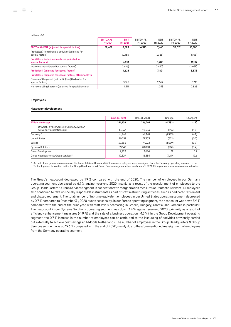| millions of $\epsilon$                                                     |                  |                     |                     |                    |                  |             |
|----------------------------------------------------------------------------|------------------|---------------------|---------------------|--------------------|------------------|-------------|
|                                                                            | <b>EBITDA AL</b> | <b>EBIT</b>         | <b>EBITDA AL</b>    | <b>FBIT</b>        | <b>EBITDA AL</b> | <b>EBIT</b> |
|                                                                            | H12021           | H <sub>1</sub> 2021 | H <sub>1</sub> 2020 | H <sub>12020</sub> | FY 2020          | FY 2020     |
| <b>EBITDA AL/EBIT (adjusted for special factors)</b>                       | 18.662           | 8,383               | 16.373              | 7,465              | 35,017           | 15,300      |
| Profit (loss) from financial activities (adjusted for<br>special factors)  |                  | (2,131)             |                     | (2, 185)           |                  | (4,103)     |
| Profit (loss) before income taxes (adjusted for<br>special factors)        |                  | 6,251               |                     | 5,280              |                  | 11,197      |
| Income taxes (adjusted for special factors)                                |                  | (1,626)             |                     | (1,460)            |                  | (2,659)     |
| Profit (loss) (adjusted for special factors)                               |                  | 4,626               |                     | 3,821              |                  | 8,538       |
| Profit (loss) (adjusted for special factors) attributable to               |                  |                     |                     |                    |                  |             |
| Owners of the parent (net profit (loss)) (adjusted for<br>special factors) |                  | 3,315               |                     | 2,562              |                  | 5,715       |
| Non-controlling interests (adjusted for special factors)                   |                  | 1,311               |                     | 1,258              |                  | 2,823       |

### Employees

### Headcount development

|                                                                               | June 30, 2021 | Dec. 31, 2020 | Change   | Change % |
|-------------------------------------------------------------------------------|---------------|---------------|----------|----------|
| <b>FTEs in the Group</b>                                                      | 221,909       | 226,291       | (4, 382) | (1.9)    |
| Of which: civil servants (in Germany, with an<br>active service relationship) | 10,067        | 10,583        | (516)    | (4.9)    |
| Germany <sup>a</sup>                                                          | 61,765        | 66,348        | (4,583)  | (6.9)    |
| <b>United States</b>                                                          | 70,781        | 71,303        | (522)    | (0.7)    |
| Europe                                                                        | 39,683        | 41,272        | (1,589)  | (3.9)    |
| <b>Systems Solutions</b>                                                      | 27.147        | 28.098        | (951)    | (3.4)    |
| Group Development                                                             | 2.703         | 2.684         | 19       | 0.7      |
| Group Headquarters & Group Services <sup>a</sup>                              | 19,829        | 16,585        | 3.244    | 19.6     |

 $^{\rm a}$  As part of reorganization measures at Deutsche Telekom IT, around 3.7 thousand employees were reassigned from the Germany operating segment to the Technology and Innovation unit in the Group Headquarters & Group Services segment effective January 1, 2021. Prior-year comparatives were not adjusted.

The Group's headcount decreased by 1.9 % compared with the end of 2020. The number of employees in our Germany operating segment decreased by 6.9 % against year-end 2020, mainly as a result of the reassignment of employees to the Group Headquarters & Group Services segment in connection with reorganization measures at Deutsche Telekom IT. Employees also continued to take up socially responsible instruments as part of staff restructuring activities, such as dedicated retirement and phased retirement. The total number of full-time equivalent employees in our United States operating segment decreased by 0.7 % compared to December 31, 2020 due to seasonality. In our Europe operating segment, the headcount was down 3.9 % compared with the end of the prior year, with staff levels decreasing in Greece, Hungary, Croatia, and Romania in particular. The headcount in our Systems Solutions operating segment was down 3.4 % against year-end 2020, primarily as a result of efficiency enhancement measures (-1.9 %) and the sale of a business operation (-1.5 %). In the Group Development operating segment, the 0.7 % increase in the number of employees can be attributed to the insourcing of activities previously carried out externally to achieve cost savings at T‑Mobile Netherlands. The number of employees in the Group Headquarters & Group Services segment was up 19.6 % compared with the end of 2020, mainly due to the aforementioned reassignment of employees from the Germany operating segment.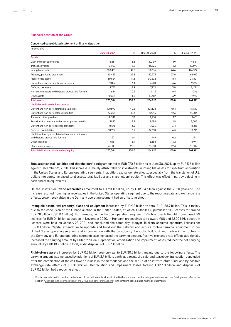### Financial position of the Group

### Condensed consolidated statement of financial position

| millions of $\epsilon$                                                                       |               |       |               |       |               |
|----------------------------------------------------------------------------------------------|---------------|-------|---------------|-------|---------------|
|                                                                                              | June 30, 2021 | %     | Dec. 31, 2020 | %     | June 30, 2020 |
| <b>Assets</b>                                                                                |               |       |               |       |               |
| Cash and cash equivalents                                                                    | 8.861         | 3.3   | 12.939        | 4.9   | 14,537        |
| Trade receivables                                                                            | 13.968        | 5.2   | 13,523        | 5.1   | 12,690        |
| Intangible assets                                                                            | 128,431       | 47.5  | 118,066       | 44.6  | 126,372       |
| Property, plant and equipment                                                                | 60,439        | 22.3  | 60,975        | 23.0  | 62,912        |
| Right-of-use assets                                                                          | 30,624        | 11.3  | 30,302        | 11.4  | 23,821        |
| Current and non-current financial assets                                                     | 9.072         | 3.4   | 9.640         | 3.6   | 9,492         |
| Deferred tax assets                                                                          | 7,752         | 2.9   | 7.972         | 3.0   | 8,434         |
| Non-current assets and disposal groups held for sale                                         | 664           | 0.2   | 1,113         | 0.4   | 1,786         |
| Other assets                                                                                 | 10,693        | 4.0   | 10,387        | 3.9   | 9,927         |
| <b>Total assets</b>                                                                          | 270,504       | 100.0 | 264,917       | 100.0 | 269,971       |
| Liabilities and shareholders' equity                                                         |               |       |               |       |               |
| Current and non-current financial liabilities                                                | 109,690       | 40.6  | 107,108       | 40.4  | 116,610       |
| Current and non-current lease liabilities                                                    | 33,263        | 12.3  | 32,715        | 12.3  | 25,806        |
| Trade and other payables                                                                     | 8,342         | 3.1   | 9,760         | 3.7   | 9,601         |
| Provisions for pensions and other employee benefits                                          | 5.925         | 2.2   | 7.684         | 2.9   | 8,003         |
| Current and non-current other provisions                                                     | 8,575         | 3.2   | 9,033         | 3.4   | 8,215         |
| Deferred tax liabilities                                                                     | 18,257        | 6.7   | 17,260        | 6.5   | 18,716        |
| Liabilities directly associated with non-current assets<br>and disposal groups held for sale | 271           | 0.1   | 449           | 0.2   | 541           |
| Other liabilities                                                                            | 9,181         | 3.4   | 8,358         | 3.2   | 8,977         |
| Shareholders' equity                                                                         | 77,000        | 28.5  | 72,550        | 27.4  | 73,502        |
| Total liabilities and shareholders' equity                                                   | 270,504       | 100.0 | 264,917       | 100.0 | 269,971       |

Total assets/total liabilities and shareholders' equity amounted to EUR 270.5 billion as of June 30, 2021, up by EUR 5.6 billion against December 31, 2020. This increase is mainly attributable to investments in intangible assets for spectrum acquisition in the United States and Europe operating segments. In addition, exchange rate effects, especially from the translation of U.S. dollars into euros, increased total assets/total liabilities and shareholders' equity. This effect was offset in part by a decline in cash and cash equivalents.

On the assets side, trade receivables amounted to EUR 14.0 billion, up by EUR 0.4 billion against the 2020 year-end. The increase resulted from higher receivables in the United States operating segment due to the reporting date and exchange rate effects. Lower receivables in the Germany operating segment had an offsetting effect.

Intangible assets and property, plant and equipment increased by EUR 9.8 billion to total EUR 188.9 billion. This is mainly due to the conclusion of the C-band auction in the United States, at which T-Mobile US purchased 142 licenses for around EUR 7.8 billion (USD 9.3 billion). Furthermore, in the Europe operating segment, T‑Mobile Czech Republic purchased 5G licenses for EUR 0.1 billion at auction in November 2020. In Hungary, proceedings to re-award 900 and 1,800 MHz spectrum licenses were held on January 28, 2021 and concluded the same day. Magyar Telekom acquired spectrum licenses for EUR 0.1 billion. Capital expenditure to upgrade and build out the network and acquire mobile terminal equipment in our United States operating segment and in connection with the broadband/fiber-optic build-out and mobile infrastructure in the Germany and Europe operating segments also increased the carrying amount. Positive exchange rate effects additionally increased the carrying amount by EUR 3.9 billion. Depreciation, amortization and impairment losses reduced the net carrying amounts by EUR 10.7 billion in total, as did disposals of EUR 1.0 billion.

Right-of-use assets increased by EUR 0.3 billion year-on-year to EUR 30.6 billion, mainly due to the following effects: The carrying amount was increased by additions of EUR 2.7 billion, partly as a result of a sale-and-leaseback transaction concluded after the combination of the cell tower business in the Netherlands and the set-up of an infrastructure fund, and by positive exchange rate effects of EUR 0.8 billion. Depreciation and impairment losses totaling EUR 3.0 billion and disposals of EUR 0.2 billion had a reducing effect.

For further information on the combination of the cell tower business in the Netherlands and on the set-up of an infrastructure fund, please refer to the section "[Changes in the composition of the Group and other transactions"](#page-44-0) in the interim consolidated financial statements.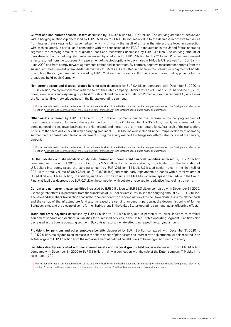Current and non-current financial assets decreased by EUR 0.6 billion to EUR 9.1 billion. The carrying amount of derivatives with a hedging relationship decreased by EUR 0.5 billion to EUR 1.5 billion, mainly due to the decrease in positive fair values from interest rate swaps in fair value hedges, which is primarily the result of a rise in the interest rate level. In connection with cash collateral, in particular in connection with the conclusion of the FCC C-band auction in the United States operating segment, the carrying amount of originated loans and receivables decreased by EUR 0.4 billion. The carrying amount of derivatives without a hedging relationship increased by a net effect of EUR 0.1 billion to EUR 2.1 billion. Positive measurement effects resulted from the subsequent measurement of the stock options to buy shares in T‑Mobile US received from SoftBank in June 2020 and from energy forward agreements embedded in contracts. By contrast, negative measurement effects from the subsequent measurement of embedded derivatives at T-Mobile US resulted in part from the premature repayment of bonds. In addition, the carrying amount increased by EUR 0.2 billion due to grants still to be received from funding projects for the broadband build-out in Germany.

Non-current assets and disposal groups held for sale decreased by EUR 0.4 billion compared with December 31, 2020 to EUR 0.7 billion, mainly in connection with the sale of the Dutch company T‑Mobile Infra as of June 1, 2021. As of June 30, 2021, non-current assets and disposal groups held for sale included the assets of Telekom Romania Communications S.A., which runs the Romanian fixed-network business in the Europe operating segment.

For further information on the combination of the cell tower business in the Netherlands and on the set-up of an infrastructure fund, please refer to the section "[Changes in the composition of the Group and other transactions"](#page-44-0) in the interim consolidated financial statements.

Other assets increased by EUR 0.3 billion to EUR 10.7 billion, primarily due to the increase in the carrying amount of investments accounted for using the equity method from EUR 0.5 billion to EUR 0.9 billion, mainly as a result of the combination of the cell tower business in the Netherlands and the set-up of an infrastructure fund. As a result of the transaction, 37.65 % of the shares in Cellnex NL with a carrying amount of EUR 0.4 billion were included in the Group Development operating segment in the consolidated financial statements using the equity method. Exchange rate effects also increased the carrying amount.

For further information on the combination of the cell tower business in the Netherlands and on the set-up of an infrastructure fund, please refer to the section "[Changes in the composition of the Group and other transactions"](#page-44-0) in the interim consolidated financial statements.

On the liabilities and shareholders' equity side, current and non-current financial liabilities increased by EUR 2.6 billion compared with the end of 2020 to a total of EUR 109.7 billion. Exchange rate effects, in particular from the translation of U.S. dollars into euros, raised the carrying amount by EUR 1.9 billion. T‑Mobile US issued senior notes in the first half of 2021 with a total volume of USD 9.8 billion (EUR 8.2 billion) and made early repayments on bonds with a total volume of USD 4.8 billion (EUR 4.0 billion). In addition, euro bonds with a volume of EUR 1.4 billion were repaid on schedule in the Group. Financial liabilities decreased by EUR 0.3 billion in connection with collateral received for derivative financial instruments.

Current and non-current lease liabilities increased by EUR 0.5 billion to EUR 33.3 billion compared with December 31, 2020. Exchange rate effects, in particular from the translation of U.S. dollars into euros, raised the carrying amount by EUR 0.9 billion. The sale-and-leaseback transaction concluded in connection with the combination of the cell tower business in the Netherlands and the set-up of the infrastructure fund also increased the carrying amount. In particular, the decommissioning of former Sprint cell sites and the closure of some former Sprint shops in the United States operating segment had an offsetting effect.

Trade and other payables decreased by EUR 1.4 billion to EUR 8.3 billion, due in particular to lower liabilities to terminal equipment vendors and declines in liabilities for purchased services in the United States operating segment. Liabilities also decreased in the Europe operating segment. By contrast, exchange rate effects increased the carrying amount.

Provisions for pensions and other employee benefits decreased by EUR 1.8 billion compared with December 31, 2020 to EUR 5.9 billion, mainly due to an increase in the share prices of plan assets and interest rate adjustments. All this resulted in an actuarial gain of EUR 1.6 billion from the remeasurement of defined benefit plans to be recognized directly in equity.

Liabilities directly associated with non-current assets and disposal groups held for sale decreased from EUR 0.4 billion compared with December 31, 2020 to EUR 0.3 billion, mainly in connection with the sale of the Dutch company T-Mobile Infra as of June 1, 2021.

For further information on the combination of the cell tower business in the Netherlands and on the set-up of an infrastructure fund, please refer to the section "[Changes in the composition of the Group and other transactions"](#page-44-0) in the interim consolidated financial statements.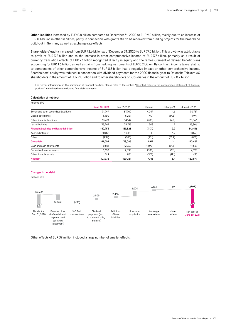Other liabilities increased by EUR 0.8 billion compared to December 31, 2020 to EUR 9.2 billion, mainly due to an increase of EUR 0.4 billion in other liabilities, partly in connection with grants still to be received from funding projects for the broadband build-out in Germany as well as exchange rate effects.

Shareholders' equity increased from EUR 72.6 billion as of December 31, 2020 to EUR 77.0 billion. This growth was attributable to profit of EUR 3.8 billion and to the increase in other comprehensive income of EUR 3.7 billion, primarily as a result of currency translation effects of EUR 2.1 billion recognized directly in equity and the remeasurement of defined benefit plans accounting for EUR 1.6 billion, as well as gains from hedging instruments of EUR 0.2 billion. By contrast, income taxes relating to components of other comprehensive income of EUR 0.3 billion had a negative impact on other comprehensive income. Shareholders' equity was reduced in connection with dividend payments for the 2020 financial year to Deutsche Telekom AG shareholders in the amount of EUR 2.8 billion and to other shareholders of subsidiaries in the amount of EUR 0.2 billion.

For further information on the statement of financial position, please refer to the section ["Selected notes to the consolidated statement of financial](#page-50-0) [position](#page-50-0)" in the interim consolidated financial statements.

### Calculation of net debt

| millions of $\epsilon$                             |               |               |         |          |               |
|----------------------------------------------------|---------------|---------------|---------|----------|---------------|
|                                                    | June 30, 2021 | Dec. 31, 2020 | Change  | Change % | June 30, 2020 |
| Bonds and other securitized liabilities            | 91,749        | 87,702        | 4,047   | 4.6      | 90,767        |
| Liabilities to banks                               | 4,480         | 5,257         | (777)   | (14.8)   | 4,977         |
| Other financial liabilities                        | 13,461        | 14,149        | (688)   | (4.9)    | 20,866        |
| Lease liabilities                                  | 33,263        | 32,715        | 548     | 1.7      | 25,806        |
| <b>Financial liabilities and lease liabilities</b> | 142,953       | 139,823       | 3,130   | 2.2      | 142,416       |
| Accrued interest                                   | (1,017)       | (1,035)       | 18      | 1.7      | (1,097)       |
| Other                                              | (934)         | (703)         | (231)   | (32.9)   | (852)         |
| <b>Gross debt</b>                                  | 141,002       | 138,085       | 2,917   | 2.1      | 140,467       |
| Cash and cash equivalents                          | 8,861         | 12,939        | (4,078) | (31.5)   | 14,537        |
| Derivative financial assets                        | 3,650         | 4,038         | (388)   | (9.6)    | 4,598         |
| Other financial assets                             | 519           | 881           | (362)   | (41.1)   | 435           |
| Net debt                                           | 127,972       | 120,227       | 7,745   | 6.4      | 120,897       |

### Changes in net debt

millions of €



Other effects of EUR 39 million included a large number of smaller effects.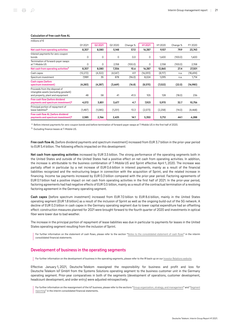### Calculation of free cash flow AL

| millions of $\epsilon$                                                                                       |           |          |         |          |           |          |          |          |
|--------------------------------------------------------------------------------------------------------------|-----------|----------|---------|----------|-----------|----------|----------|----------|
|                                                                                                              | Q12021    | Q2 2021  | Q2 2020 | Change % | H1 2021   | H12020   | Change % | FY 2020  |
| Net cash from operating activities                                                                           | 8,307     | 8,080    | 5,148   | 57.0     | 16,387    | 9,107    | 79.9     | 23,743   |
| Interest payments for zero-coupon<br>bonds                                                                   | $\Omega$  | $\Omega$ | 0       | 0.0      | $\Omega$  | 1,600    | (100.0)  | 1,600    |
| Termination of forward-payer swaps<br>at T-Mobile US                                                         | $\Omega$  | $\Omega$ | 2,158   | (100.0)  | 0         | 2,158    | (100.0)  | 2,158    |
| Net cash from operating activities <sup>a</sup>                                                              | 8,307     | 8,080    | 7,306   | 10.6     | 16,387    | 12,865   | 27.4     | 27,501   |
| Cash capex                                                                                                   | (12, 272) | (4, 322) | (4,547) | 4.9      | (16, 593) | (8, 117) | n.a.     | (18,694) |
| Spectrum investment                                                                                          | 7,989     | 35       | 878     | (96.0)   | 8,024     | 1,095    | n.a.     | 1,714    |
| Cash capex (before<br>spectrum investment)                                                                   | (4, 283)  | (4, 287) | (3,669) | (16.8)   | (8,570)   | (7,022)  | (22.0)   | (16,980) |
| Proceeds from the disposal of<br>intangible assets (excluding goodwill)<br>and property, plant and equipment | 48        | 58       | 41      | 41.5     | 105       | 128      | (18.0)   | 236      |
| Free cash flow (before dividend<br>payments and spectrum investment) <sup>a</sup>                            | 4,072     | 3,851    | 3,677   | 4.7      | 7,923     | 5,970    | 32.7     | 10,756   |
| Principal portion of repayment of<br>lease liabilities <sup>b</sup>                                          | (1,487)   | (1,085)  | (1,251) | 13.3     | (2,573)   | (2,258)  | (14.0)   | (4, 468) |
| Free cash flow AL (before dividend<br>payments and spectrum investment) <sup>a</sup>                         | 2,585     | 2,766    | 2,425   | 14.1     | 5,350     | 3,712    | 44.1     | 6,288    |

a Before interest payments for zero-coupon bonds and before termination of forward-payer swaps at T-Mobile US in the first half of 2020.

**b** Excluding finance leases at T-Mobile US.

Free cash flow AL (before dividend payments and spectrum investment) increased from EUR 3.7 billion in the prior-year period to EUR 5.4 billion. The following effects impacted on this development:

Net cash from operating activities increased by EUR 3.5 billion. The strong performance of the operating segments both in the United States and outside of the United States had a positive effect on net cash from operating activities. In addition, the increase is attributable to the business combination of T-Mobile US and Sprint effective April 1, 2020. The increase was partially offset in particular by a net increase of EUR 0.6 billion in interest payments, mainly as a result of the financial liabilities recognized and the restructuring begun in connection with the acquisition of Sprint, and the related increase in financing. Income tax payments increased by EUR 0.3 billion compared with the prior-year period. Factoring agreements of EUR 0.1 billion had a positive impact on net cash from operating activities in the first half of 2021. In the prior-year period, factoring agreements had had negative effects of EUR 0.5 billion, mainly as a result of the contractual termination of a revolving factoring agreement in the Germany operating segment.

Cash capex (before spectrum investment) increased from EUR 7.0 billion to EUR 8.6 billion, mainly in the United States operating segment (EUR 1.8 billion) as a result of the inclusion of Sprint as well as the ongoing build-out of the 5G network. A decline of EUR 0.3 billion in cash capex in the Germany operating segment due to lower capital expenditure had an offsetting effect: construction measures planned for 2021 were brought forward to the fourth quarter of 2020 and investments in optical fiber were lower due to bad weather.

The increase in the principal portion of repayment of lease liabilities was due in particular to payments for leases in the United States operating segment resulting from the inclusion of Sprint.

For further information on the statement of cash flows, please refer to the section "[Notes to the consolidated statement of cash flows](#page-56-1)" in the interim consolidated financial statements.

### <span id="page-20-0"></span>Development of business in the operating segments

For further information on the development of business in the operating segments, please refer to the IR back-up on our [Investor Relations website.](http://www.telekom.com/en/investor-relations)

Effective January 1, 2021, Deutsche Telekom reassigned the responsibility for business and profit and loss for Deutsche Telekom IoT GmbH from the Systems Solutions operating segment to the business customer unit in the Germany operating segment. Prior-year comparatives in both of the segments (development of operations, customer development, headcount development, and order entry) were adjusted retrospectively.

For further information on the reassignment of the IoT business, please refer to the sections ["Group organization, strategy, and management"](#page-8-1) and "[Segment](#page-59-0) [reporting](#page-59-0)" in the interim consolidated financial statements.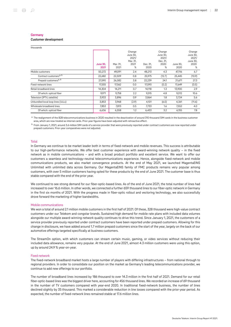### **Germany**

Customer development

| thousands                          |                         |                  |                                                      |                  |                                                      |                  |                                                      |
|------------------------------------|-------------------------|------------------|------------------------------------------------------|------------------|------------------------------------------------------|------------------|------------------------------------------------------|
|                                    | <b>June 30.</b><br>2021 | Mar. 31.<br>2021 | Change<br>June 30.<br>2021/<br>Mar. 31,<br>2021<br>% | Dec. 31,<br>2020 | Change<br>June 30,<br>2021/<br>Dec. 31,<br>2020<br>% | June 30.<br>2020 | Change<br>June 30.<br>2021/<br>June 30,<br>2020<br>% |
| Mobile customers                   | 50,272                  | 49,091           | 2.4                                                  | 48,213           | 4.3                                                  | 47,116           | 6.7                                                  |
| Contract customers <sup>a, b</sup> | 22,682                  | 22,509           | 0.8                                                  | 25,975           | (12.7)                                               | 25,445           | (10.9)                                               |
| Prepaid customers <sup>a, b</sup>  | 27,590                  | 26,582           | 3.8                                                  | 22,239           | 24.1                                                 | 21,671           | 27.3                                                 |
| Fixed-network lines                | 17,555                  | 17,562           | 0.0                                                  | 17,590           | (0.2)                                                | 17,649           | (0.5)                                                |
| Retail broadband lines             | 14,304                  | 14,211           | 0.7                                                  | 14,118           | 1.3                                                  | 13,900           | 2.9                                                  |
| Of which: optical fiber            | 9.971                   | 9,758            | 2.2                                                  | 9,515            | 4.8                                                  | 9,012            | 10.6                                                 |
| Television (IPTV, satellite)       | 3,933                   | 3,896            | 0.9                                                  | 3,864            | 1.8                                                  | 3,724            | 5.6                                                  |
| Unbundled local loop lines (ULLs)  | 3,853                   | 3,968            | (2.9)                                                | 4,101            | (6.0)                                                | 4,361            | (11.6)                                               |
| Wholesale broadband lines          | 7,853                   | 7,813            | 0.5                                                  | 7,733            | 1.6                                                  | 7,552            | 4.0                                                  |
| Of which: optical fiber            | 6,636                   | 6,558            | 1.2                                                  | 6,433            | 3.2                                                  | 6,155            | 7.8                                                  |

 $^{\rm a}$  The realignment of the B2B telecommunications business in 2020 resulted in the deactivation of around 310 thousand SIM cards in the business customer area, which are now treated as internal cards. Prior-year figures have been adjusted with retroactive effect.

b From January 1, 2021, around 3.6 million SIM cards of a service provider that were previously reported under contract customers are now reported under prepaid customers. Prior-year comparatives were not adjusted.

### Total

In Germany we continue to be market leader both in terms of fixed-network and mobile revenues. This success is attributable to our high-performance networks. We offer best customer experience with award-winning network quality – in the fixed network as in mobile communications – and with a broad product portfolio and excellent service. We want to offer our customers a seamless and technology-neutral telecommunications experience. Hence, alongside fixed-network and mobile communications products, we also market convergence products. At the end of May 2021, we launched MagentaEINS Unlimited with unlimited data across Germany. Our MagentaEINS family of FMC products remains very popular among customers, with over 5 million customers having opted for these products by the end of June 2021. The customer base is thus stable compared with the end of the prior year.

We continued to see strong demand for our fiber-optic-based lines. As of the end of June 2021, the total number of lines had increased to over 16.6 million. In other words, we connected a further 659 thousand lines to our fiber-optic network in Germany in the first six months of 2021. With the progress made in fiber-optic rollout and vectoring technology, we also successfully drove forward the marketing of higher bandwidths.

### Mobile communications

We won a total of around 2.1 million mobile customers in the first half of 2021. Of these, 328 thousand were high-value contract customers under our Telekom and congstar brands. Sustained high demand for mobile rate plans with included data volumes alongside our multiple award-winning network quality continues to drive this trend. Since January 1, 2021, the customers of a service provider previously reported under contract customers have been reported under prepaid customers. Allowing for this change in disclosure, we have added around 1.7 million prepaid customers since the start of the year, largely on the back of our automotive offerings targeted specifically at business customers.

The StreamOn option, with which customers can stream certain music, gaming, or video services without reducing their included data allowance, remains very popular. At the end of June 2021, almost 4.3 million customers were using this option, up by around 24.9 % year-on-year.

### Fixed network

The fixed-network broadband market hosts a large number of players with differing infrastructures – from national through to regional providers. In order to consolidate our position on the market as Germany's leading telecommunications provider, we continue to add new offerings to our portfolio.

The number of broadband lines increased by 186 thousand to over 14.3 million in the first half of 2021. Demand for our retail fiber-optic-based lines was the biggest driver here, accounting for 456 thousand lines. We recorded an increase of 69 thousand in the number of TV customers compared with year-end 2020. In traditional fixed-network business, the number of lines declined slightly by 35 thousand. This marked a considerable reduction in line losses compared with the prior-year period. As expected, the number of fixed-network lines remained stable at 17.6 million lines.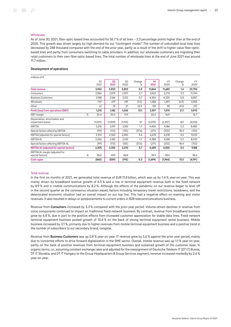### **Wholesale**

As of June 30, 2021, fiber-optic-based lines accounted for 56.7 % of all lines – 2.3 percentage points higher than at the end of 2020. This growth was driven largely by high demand for our "contingent model." The number of unbundled local loop lines decreased by 248 thousand compared with the end of the prior year, partly as a result of the shift to higher-value fiber-opticbased lines and partly from consumers switching to cable providers. In addition, our wholesale customers are migrating their retail customers to their own fiber-optic-based lines. The total number of wholesale lines at the end of June 2021 was around 11.7 million.

### Development of operations

| millions of $\epsilon$                              |   |                        |                        |            |             |                        |            |             |            |
|-----------------------------------------------------|---|------------------------|------------------------|------------|-------------|------------------------|------------|-------------|------------|
|                                                     |   | O <sub>1</sub><br>2021 | Q <sub>2</sub><br>2021 | Q2<br>2020 | Change<br>% | H <sub>1</sub><br>2021 | H1<br>2020 | Change<br>℅ | FY<br>2020 |
| <b>Total revenue</b>                                |   | 5,942                  | 5,903                  | 5,853      | 0.9         | 11,844                 | 11,683     | 1.4         | 23,790     |
| Consumers                                           |   | 2,984                  | 2,979                  | 2,901      | 2.7         | 5,963                  | 5,774      | 3.3         | 11,740     |
| <b>Business Customers</b>                           |   | 2,188                  | 2,166                  | 2,152      | 0.7         | 4,354                  | 4,320      | 0.8         | 8,857      |
| Wholesale                                           |   | 709                    | 679                    | 749        | (9.3)       | 1,388                  | 1,491      | (6.9)       | 2,983      |
| Other                                               |   | 61                     | 78                     | 51         | 52.9        | 139                    | 98         | 41.8        | 210        |
| Profit (loss) from operations (EBIT)                |   | 1,215                  | 1,182                  | 1,045      | 13.1        | 2,397                  | 1,979      | 21.1        | 3,970      |
| <b>EBIT</b> margin                                  | ℅ | 20.4                   | 20.0                   | 17.9       |             | 20.2                   | 16.9       |             | 16.7       |
| Depreciation, amortization and<br>impairment losses |   | (1,001)                | (1,009)                | (1,110)    | 9.1         | (2,010)                | (2,207)    | 8.9         | (4,510)    |
| <b>EBITDA</b>                                       |   | 2,215                  | 2,191                  | 2,155      | 1.7         | 4,406                  | 4,186      | 5.3         | 8,480      |
| Special factors affecting EBITDA                    |   | (99)                   | (172)                  | (125)      | (37.6)      | (271)                  | (332)      | 18.4        | (752)      |
| EBITDA (adjusted for special factors)               |   | 2,314                  | 2,363                  | 2,280      | 3.6         | 4,678                  | 4,518      | 3.5         | 9,232      |
| <b>EBITDA AL</b>                                    |   | 2,206                  | 2,182                  | 2,145      | 1.7         | 4,388                  | 4,168      | 5.3         | 8,435      |
| Special factors affecting EBITDA AL                 |   | (99)                   | (172)                  | (125)      | (37.6)      | (271)                  | (332)      | 18.4        | (752)      |
| <b>EBITDA AL (adjusted for special factors)</b>     |   | 2,305                  | 2,354                  | 2,270      | 3.7         | 4,659                  | 4,500      | 3.5         | 9,188      |
| EBITDA AL margin (adjusted for<br>special factors)  | ℅ | 38.8                   | 39.9                   | 38.8       |             | 39.3                   | 38.5       |             | 38.6       |
| <b>Cash capex</b>                                   |   | (860)                  | (839)                  | (915)      | 8.3         | (1,699)                | (1,964)    | 13.5        | (4, 191)   |

### Total revenue

In the first six months of 2021, we generated total revenue of EUR 11.8 billion, which was up by 1.4 % year-on-year. This was mainly driven by broadband revenue growth of 6.5 % and a rise in terminal equipment revenue both in the fixed network by 8.9 % and in mobile communications by 8.2 %. Although the effects of the pandemic on our revenue began to level off in the second quarter as the coronavirus situation eased, factors including temporary travel restrictions, lockdowns, and the deteriorated economic situation had an overall impact on our top line. This had a negative effect on roaming and visitor revenues. It also resulted in delays or postponements to current orders in B2B telecommunications business.

Revenue from Consumers increased by 3.3% compared with the prior-year period. Volume-driven declines in revenue from voice components continued to impact on traditional fixed-network business. By contrast, revenue from broadband business grew by 6.8 %, due in part to the positive effects from increased customer appreciation for stable data lines. Fixed-network terminal equipment business posted growth of 10.4 % on the back of strong terminal equipment rental business. Mobile business increased by 3.1 %, primarily due to higher revenues from mobile terminal equipment business and a positive trend in the number of subscribers to our secondary brand, congstar.

Revenue from **Business Customers** was up 0.8 % year-on-year. IT revenue grew by 5.6 % against the prior-year period, mainly due to concerted efforts to drive forward digitalization in the SME sector. Overall, mobile revenue was up 1.1 % year-on-year, partly on the back of positive revenues from terminal equipment business and sustained growth of the customer base. In organic terms, i.e., assuming constant exchange rates and adjusted for the reassignment of Deutsche Telekom IT (DT IT) Russia, DT IT Slovakia, and DT IT Hungary to the Group Headquarters & Group Services segment, revenue increased markedly by 2.6 % year-on-year.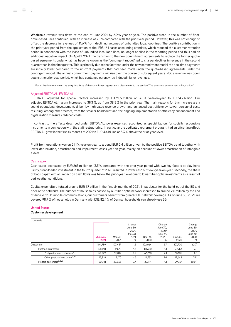Wholesale revenue was down at the end of June 2021 by 6.9 % year-on-year. The positive trend in the number of fiberoptic-based lines continued, with an increase of 7.8 % compared with the prior-year period. However, this was not enough to offset the decrease in revenues of 11.6 % from declining volumes of unbundled local loop lines. The positive contribution in the prior-year period from the application of the IFRS 16 Leases accounting standard, which reduced the customer retention period in connection with the lease of unbundled local loop lines, no longer applied in the reporting period and thus had an additional negative impact. On April 1, 2021, the transition to the new commitment agreements to replace the former quotabased agreements under what has become known as the "contingent model" led to sharper declines in revenue in the second quarter than in the first quarter. This is primarily due to the fact that under the new commitment model the one-time payments are initially lower compared to the up-front payments that had been made under the quota-based agreements under the contingent model. The annual commitment payments will rise over the course of subsequent years. Voice revenue was down against the prior-year period, which had contained coronavirus-induced higher revenues.

For further information on the entry into force of the commitment agreements, please refer to the section "[The economic environment – Regulation.](#page-9-0)"

### Adjusted EBITDA AL, EBITDA AL

EBITDA AL adjusted for special factors increased by EUR 159 million or 3.5 % year-on-year to EUR 4.7 billion. Our adjusted EBITDA AL margin increased to 39.3 %, up from 38.5 % in the prior year. The main reasons for this increase are a sound operational development, driven by high-value revenue growth and enhanced cost efficiency. Lower personnel costs resulting, among other factors, from the smaller headcount and the ongoing implementation of efficiency enhancement and digitalization measures reduced costs.

In contrast to the effects described under EBITDA AL, lower expenses recognized as special factors for socially responsible instruments in connection with the staff restructuring, in particular the dedicated retirement program, had an offsetting effect. EBITDA AL grew in the first six months of 2021 to EUR 4.4 billion or 5.3 % above the prior-year level.

### EBIT

Profit from operations was up 21.1 % year-on-year to around EUR 2.4 billion driven by the positive EBITDA trend together with lower depreciation, amortization and impairment losses year-on-year, mainly on account of lower amortization of intangible assets.

### Cash capex

Cash capex decreased by EUR 265 million or 13.5 % compared with the prior-year period with two key factors at play here: Firstly, front-loaded investment in the fourth quarter of 2020 resulted in lower cash outflows year-on-year. Secondly, the share of book capex with an impact on cash flows was below the prior-year level due to lower fiber-optic investments as a result of bad weather conditions.

Capital expenditure totaled around EUR 1.7 billion in the first six months of 2021, in particular for the build-out of the 5G and fiber-optic networks. The number of households passed by our fiber-optic network increased to around 2.5 million by the end of June 2021. In mobile communications, our customers benefit from greater LTE network coverage. As of June 30, 2021, we covered 98.9 % of households in Germany with LTE. 82.4 % of German households can already use 5G.

### United States

### Customer development

| thousands                                |                         |                  |                                                      |                  |                                                      |                  |                                                      |
|------------------------------------------|-------------------------|------------------|------------------------------------------------------|------------------|------------------------------------------------------|------------------|------------------------------------------------------|
|                                          | <b>June 30.</b><br>2021 | Mar. 31,<br>2021 | Change<br>June 30.<br>2021/<br>Mar. 31,<br>2021<br>% | Dec. 31,<br>2020 | Change<br>June 30.<br>2021/<br>Dec. 31,<br>2020<br>% | June 30.<br>2020 | Change<br>June 30.<br>2021/<br>June 30,<br>2020<br>% |
| Customers                                | 104.789                 | 103.437          | 1.3                                                  | 102.064          | 2.7                                                  | 107.720          | (2.7)                                                |
| Postpaid customers                       | 83,848                  | 82,572           | 1.5                                                  | 81,350           | 3.1                                                  | 77,753           | 7.8                                                  |
| Postpaid phone customers <sup>a, b</sup> | 68.029                  | 67.402           | 0.9                                                  | 66.618           | 2.1                                                  | 65.105           | 4.5                                                  |
| Other postpaid customers <sup>a, b</sup> | 15,819                  | 15.170           | 4.3                                                  | 14,732           | 7.4                                                  | 12.648           | 25.1                                                 |
| Prepaid customers <sup>a, b, c</sup>     | 20.941                  | 20,865           | 0.4                                                  | 20.714           | 1.1                                                  | 29.967           | (30.1)                                               |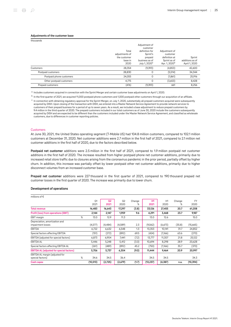### Adjustments of the customer base

| thousands                |                                                            |                                                                                                                   |                                                                                         |                                            |
|--------------------------|------------------------------------------------------------|-------------------------------------------------------------------------------------------------------------------|-----------------------------------------------------------------------------------------|--------------------------------------------|
|                          | Total<br>adjustments of<br>the customer<br>base in<br>2020 | Adjustment of<br>customer<br>definition for<br>Sprint's<br>prepaid<br>business as of<br>July 1, 2020 <sup>c</sup> | Adjustment of<br>customer<br>definition at<br>Sprint as of<br>Apr. 1, 2020 <sup>a</sup> | Sprint<br>additions as of<br>April 1, 2020 |
| Customers                | 28,354                                                     | (9,393)                                                                                                           | (4, 853)                                                                                | 42,600                                     |
| Postpaid customers       | 28,830                                                     | 0                                                                                                                 | (5,514)                                                                                 | 34,344                                     |
| Postpaid phone customers | 24,055                                                     | 0                                                                                                                 | (1,861)                                                                                 | 25,916                                     |
| Other postpaid customers | 4,775                                                      | 0                                                                                                                 | (3,653)                                                                                 | 8,428                                      |
| Prepaid customers        | (476)                                                      | (9,393)                                                                                                           | 661                                                                                     | 8,256                                      |

<sup>a</sup> Includes customers acquired in connection with the Sprint Merger and certain customer base adjustments on April 1, 2020.

 $^{\rm b}$  In the first quarter of 2021, we acquired 11,000 postpaid phone customers and 1,000 postpaid other customers through our acquisition of an affiliate.

 $^{\rm c}$  In connection with obtaining regulatory approval for the Sprint Merger, on July 1, 2020, substantially all prepaid customers acquired were subsequently acquired by DISH. Upon closing of the transaction with DISH, we entered into a Master Network Service Agreement to provide network services to customers of their prepaid business for a period of up to seven years. As a result, we included a base adjustment to reduce prepaid customers by 9.4 million in the third quarter of 2020. The prepaid customers included in our total customers as of June 30, 2020 include the customers subsequently acquired by DISH and are expected to be different than the customers included under the Master Network Service Agreement, and classified as wholesale customers, due to differences in customer reporting policies.

### **Customers**

At June 30, 2021, the United States operating segment (T‑Mobile US) had 104.8 million customers, compared to 102.1 million customers at December 31, 2020. Net customer additions were 2.7 million in the first half of 2021, compared to 2.1 million net customer additions in the first half of 2020, due to the factors described below.

Postpaid net customer additions were 2.5 million in the first half of 2021, compared to 1.9 million postpaid net customer additions in the first half of 2020. The increase resulted from higher postpaid phone net customer additions, primarily due to increased retail store traffic due to closures arising from the coronavirus pandemic in the prior period, partially offset by higher churn. In addition, this increase was partially offset by lower postpaid other net customer additions, primarily due to higher disconnect volumes from an increased customer base.

Prepaid net customer additions were 227 thousand in the first quarter of 2021, compared to 190 thousand prepaid net customer losses in the first quarter of 2020. The increase was primarily due to lower churn.

### Development of operations

| millions of $\epsilon$                              |   |                        |            |                        |             |                   |            |             |                   |
|-----------------------------------------------------|---|------------------------|------------|------------------------|-------------|-------------------|------------|-------------|-------------------|
|                                                     |   | O <sub>1</sub><br>2021 | 02<br>2021 | O <sub>2</sub><br>2020 | Change<br>% | <b>H1</b><br>2021 | H1<br>2020 | Change<br>% | <b>FY</b><br>2020 |
| <b>Total revenue</b>                                |   | 16,483                 | 16,643     | 17,297                 | (3.8)       | 33,126            | 27,455     | 20.7        | 61,208            |
| Profit (loss) from operations (EBIT)                |   | 2,144                  | 2,147      | 1,959                  | 9.6         | 4,291             | 3,468      | 23.7        | 9,187             |
| EBIT margin                                         | % | 13.0                   | 12.9       | 11.3                   |             | 13.0              | 12.6       |             | 15.0              |
| Depreciation, amortization and<br>impairment losses |   | (4,577)                | (4, 484)   | (4,589)                | 2.3         | (9,062)           | (6,673)    | (35.8)      | (15,665)          |
| EBITDA                                              |   | 6,722                  | 6,632      | 6,548                  | 1.3         | 13,353            | 10,141     | 31.7        | 24,852            |
| Special factors affecting EBITDA                    |   | (151)                  | (272)      | (892)                  | 69.5        | (424)             | (1,166)    | 63.6        | (270)             |
| EBITDA (adjusted for special factors)               |   | 6,873                  | 6,904      | 7,441                  | (7.2)       | 13,777            | 11,307     | 21.8        | 25,122            |
| <b>EBITDA AL</b>                                    |   | 5,446                  | 5,248      | 5,412                  | (3.0)       | 10,694            | 8,298      | 28.9        | 20,628            |
| Special factors affecting EBITDA AL                 |   | (261)                  | (489)      | (892)                  | 45.2        | (750)             | (1,166)    | 35.7        | (370)             |
| <b>EBITDA AL (adjusted for special factors)</b>     |   | 5,706                  | 5,737      | 6,304                  | (9.0)       | 11,444            | 9,464      | 20.9        | 20,997            |
| EBITDA AL margin (adjusted for<br>special factors)  | % | 34.6                   | 34.5       | 36.4                   |             | 34.5              | 34.5       |             | 34.3              |
| Cash capex                                          |   | (10,513)               | (2,725)    | (2,679)                | (1.7)       | (13, 237)         | (4,387)    | n.a.        | (10, 394)         |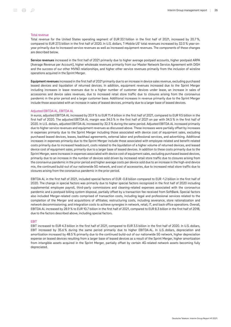### Total revenue

Total revenue for the United States operating segment of EUR 33.1 billion in the first half of 2021, increased by 20.7 %, compared to EUR 27.5 billion in the first half of 2020. In U.S. dollars, T-Mobile US' total revenues increased by 32.0 % year-onyear primarily due to increased service revenues as well as increased equipment revenues. The components of these changes are described below.

Service revenues increased in the first half of 2021 primarily due to higher average postpaid accounts, higher postpaid ARPA (Average Revenue per Account), higher wholesale revenues primarily from our Master Network Service Agreement with DISH and the success of our other MVNO relationships, and higher other service revenues primarily from the inclusion of wireline operations acquired in the Sprint Merger.

Equipment revenues increased in the first half of 2021 primarily due to an increase in device sales revenue, excluding purchased leased devices and liquidation of returned devices. In addition, equipment revenues increased due to the Sprint Merger including increases in lease revenues due to a higher number of customer devices under lease, an increase in sales of accessories and device sales revenues, due to increased retail store traffic due to closures arising from the coronavirus pandemic in the prior period and a larger customer base. Additional increases in revenue primarily due to the Sprint Merger include those associated with an increase in sales of leased devices, primarily due to a larger base of leased devices.

### Adjusted EBITDA AL, EBITDA AL

In euros, adjusted EBITDA AL increased by 20.9 % to EUR 11.4 billion in the first half of 2021, compared to EUR 9.5 billion in the first half of 2020. The adjusted EBITDA AL margin was 34.5 % in the first half of 2021 on par with 34.5 % in the first half of 2020. In U.S. dollars, adjusted EBITDA AL increased by 32.3 % during the same period. Adjusted EBITDA AL increased primarily due to higher service revenues and equipment revenues as discussed above. These increases were partially offset by increases in expenses primarily due to the Sprint Merger including those associated with device cost of equipment sales, excluding purchased leased devices, leases, backhaul agreements, external labor and professional services, and advertising. Additional increases in expenses primarily due to the Sprint Merger include those associated with employee-related and benefit-related costs primarily due to increased headcount, costs related to the liquidation of a higher volume of returned devices, and leased device cost of equipment sales, primarily due to a larger base of leased devices. In addition to these costs primarily due to the Sprint Merger, were increases in expenses associated with device cost of equipment sales, excluding purchased leased devices, primarily due to an increase in the number of devices sold driven by increased retail store traffic due to closures arising from the coronavirus pandemic in the prior period and higher average costs per device sold due to an increase in the high-end device mix, the continued build-out of our nationwide 5G network, and cost of accessories, due to increased retail store traffic due to closures arising from the coronavirus pandemic in the prior period.

EBITDA AL in the first half of 2021, included special factors of EUR -0.8 billion compared to EUR -1.2 billion in the first half of 2020. The change in special factors was primarily due to higher special factors recognized in the first half of 2020 including supplemental employee payroll, third-party commissions and cleaning-related expenses associated with the coronavirus pandemic and a postpaid billing system disposal, partially offset by a transaction fee received from SoftBank. Special factors also included Merger-related costs comprised of transaction costs, including legal and professional services related to the completion of the Merger and acquisitions of affiliates; restructuring costs, including severance, store rationalization and network decommissioning; and integration costs to achieve synergies in network, retail, IT, and back office operations. Overall, EBITDA AL increased by 28.9 % to EUR 10.7 billion in the first half of 2021, compared to EUR 8.3 billion in the first half of 2018, due to the factors described above, including special factors.

### EBIT

EBIT increased to EUR 4.3 billion in the first half of 2021, compared to EUR 3.5 billion in the first half of 2020. In U.S. dollars, EBIT increased by 35.6 % during the same period primarily due to higher EBITDA AL. In U.S. dollars, depreciation and amortization increased by 48.5 % primarily due to the continued build-out of our nationwide 5G network, higher depreciation expense on leased devices resulting from a larger base of leased devices as a result of the Sprint Merger, higher amortization from intangible assets acquired in the Sprint Merger, partially offset by certain 4G-related network assets becoming fully depreciated.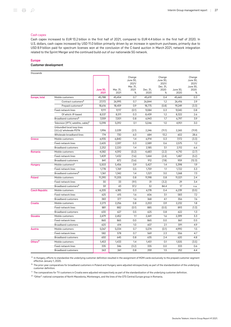### Cash capex

Cash capex increased to EUR 13.2 billion in the first half of 2021, compared to EUR 4.4 billion in the first half of 2020. In U.S. dollars, cash capex increased by USD 11.0 billion primarily driven by an increase in spectrum purchases, primarily due to USD 8.9 billion paid for spectrum licenses won at the conclusion of the C-band auction in March 2021, network integration related to the Sprint Merger and the continued build-out of our nationwide 5G network.

### Europe

### Customer development

| thousands             |                                                      |                         |                  |                                                      |                  |                                                      |                  |                                                      |
|-----------------------|------------------------------------------------------|-------------------------|------------------|------------------------------------------------------|------------------|------------------------------------------------------|------------------|------------------------------------------------------|
|                       |                                                      | <b>June 30,</b><br>2021 | Mar. 31,<br>2021 | Change<br>June 30,<br>2021/<br>Mar. 31,<br>2021<br>% | Dec. 31,<br>2020 | Change<br>June 30,<br>2021/<br>Dec. 31,<br>2020<br>% | June 30,<br>2020 | Change<br>June 30,<br>2021/<br>June 30,<br>2020<br>% |
| Europe, total         | Mobile customers                                     | 45.788                  | 45.454           | 0.7                                                  | 45.619           | 0.4                                                  | 45.665           | 0.3                                                  |
|                       | Contract customers <sup>a</sup>                      | 27,172                  | 26,995           | 0.7                                                  | 26,844           | 1.2                                                  | 26,416           | 2.9                                                  |
|                       | Prepaid customers <sup>a</sup>                       | 18,616                  | 18,459           | 0.9                                                  | 18,775           | (0.8)                                                | 19.249           | (3.3)                                                |
|                       | Fixed-network lines                                  | 9,111                   | 9,117            | (0.1)                                                | 9,084            | 0.3                                                  | 9,040            | 0.8                                                  |
|                       | Of which: IP-based                                   | 8,537                   | 8,511            | 0.3                                                  | 8,439            | 1.2                                                  | 8,322            | 2.6                                                  |
|                       | Broadband customers <sup>b</sup>                     | 7,059                   | 7,001            | 0.8                                                  | 6,943            | 1.7                                                  | 6,797            | 3.9                                                  |
|                       | Television (IPTV, satellite, cable) <sup>c</sup>     | 5,098                   | 5,092            | 0.1                                                  | 5,046            | 1.0                                                  | 4,951            | 3.0                                                  |
|                       | Unbundled local loop lines<br>(ULLs)/ wholesale PSTN | 1,996                   | 2,039            | (2.1)                                                | 2,246            | (11.1)                                               | 2,265            | (11.9)                                               |
|                       | Wholesale broadband lines                            | 774                     | 730              | 6.0                                                  | 684              | 13.2                                                 | 602              | 28.6                                                 |
| Greece                | Mobile customers                                     | 6,935                   | 6,840            | 1.4                                                  | 6,914            | 0.3                                                  | 7,172            | (3.3)                                                |
|                       | Fixed-network lines                                  | 2,605                   | 2,597            | 0.3                                                  | 2,589            | 0.6                                                  | 2,575            | 1.2                                                  |
|                       | <b>Broadband customers</b>                           | 2,252                   | 2,220            | 1.4                                                  | 2,185            | 3.1                                                  | 2,112            | 6.6                                                  |
| Romania               | Mobile customers                                     | 4,582                   | 4,592            | (0.2)                                                | 4,683            | (2.2)                                                | 4,710            | (2.7)                                                |
|                       | Fixed-network lines                                  | 1,409                   | 1,432            | (1.6)                                                | 1,444            | (2.4)                                                | 1,487            | (5.2)                                                |
|                       | <b>Broadband customers</b>                           | 841                     | 872              | (3.6)                                                | 912              | (7.8)                                                | 959              | (12.3)                                               |
| Hungary               | Mobile customers <sup>a</sup>                        | 5,503                   | 5,456            | 0.9                                                  | 5.427            | 1.4                                                  | 5,398            | 1.9                                                  |
|                       | Fixed-network lines                                  | 1,778                   | 1,769            | 0.5                                                  | 1,759            | 1.1                                                  | 1,722            | 3.3                                                  |
|                       | Broadband customers <sup>b</sup>                     | 1,361                   | 1,342            | 1.4                                                  | 1,321            | 3.0                                                  | 1,268            | 7.3                                                  |
| Poland                | Mobile customers                                     | 11,290                  | 11,205           | 0.8                                                  | 11,198           | 0.8                                                  | 11.021           | 2.4                                                  |
|                       | Fixed-network lines                                  | 30                      | 33               | (9.1)                                                | 31               | (3.2)                                                | 29               | 3.4                                                  |
|                       | Broadband customers <sup>b</sup>                     | 59                      | 43               | 37.2                                                 | 32               | 84.4                                                 | 17               | n.a.                                                 |
| <b>Czech Republic</b> | Mobile customers                                     | 6,205                   | 6,185            | 0.3                                                  | 6,178            | 0.4                                                  | 6,239            | (0.5)                                                |
|                       | Fixed-network lines                                  | 625                     | 615              | 1.6                                                  | 606              | 3.1                                                  | 583              | 7.2                                                  |
|                       | <b>Broadband customers</b>                           | 383                     | 377              | 1.6                                                  | 368              | 4.1                                                  | 356              | 7.6                                                  |
| Croatia               | Mobile customers                                     | 2,273                   | 2,256            | 0.8                                                  | 2,253            | 0.9                                                  | 2,232            | 1.8                                                  |
|                       | Fixed-network lines                                  | 881                     | 882              | (0.1)                                                | 885              | (0.5)                                                | 893              | (1.3)                                                |
|                       | <b>Broadband customers</b>                           | 630                     | 627              | 0.5                                                  | 625              | 0.8                                                  | 622              | 1.3                                                  |
| <b>Slovakia</b>       | Mobile customers                                     | 2,479                   | 2,452            | 1.1                                                  | 2,441            | 1.6                                                  | 2,399            | 3.3                                                  |
|                       | Fixed-network lines                                  | 865                     | 865              | 0.0                                                  | 865              | 0.0                                                  | 861              | 0.5                                                  |
|                       | <b>Broadband customers</b>                           | 620                     | 614              | 1.0                                                  | 607              | 2.1                                                  | 591              | 4.9                                                  |
| <b>Austria</b>        | Mobile customers                                     | 5,067                   | 5,034            | 0.7                                                  | 5,074            | (0.1)                                                | 4,990            | 1.5                                                  |
|                       | Fixed-network lines                                  | 582                     | 578              | 0.7                                                  | 569              | 2.3                                                  | 556              | 4.7                                                  |
|                       | <b>Broadband customers</b>                           | 650                     | 645              | 0.8                                                  | 635              | 2.4                                                  | 620              | 4.8                                                  |
| Others <sup>d</sup>   | Mobile customers                                     | 1,453                   | 1,433            | 1.4                                                  | 1,451            | 0.1                                                  | 1,505            | (3.5)                                                |
|                       | Fixed-network lines                                  | 335                     | 346              | (3.2)                                                | 335              | 0.0                                                  | 333              | 0.6                                                  |
|                       | <b>Broadband customers</b>                           | 263                     | 261              | 0.8                                                  | 259              | 1.5                                                  | 252              | 4.4                                                  |

 $^{\rm a}$  In Hungary, efforts to standardize the underlying customer definition resulted in the assignment of M2M cards exclusively to the prepaid customer segment effective January 1, 2020.

 $^{\rm b}$  The prior-year comparatives for broadband customers in Poland and Hungary were adjusted retrospectively as part of the standardization of the underlying customer definition.

 $^\mathrm{c}\,$  The comparatives for TV customers in Croatia were adjusted retrospectively as part of the standardization of the underlying customer definition.

<sup>d</sup> "Other": national companies of North Macedonia, Montenegro, and the lines of the GTS Central Europe group in Romania.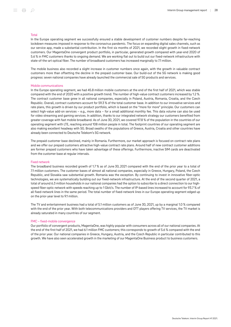### Total

In the Europe operating segment we successfully ensured a stable development of customer numbers despite far-reaching lockdown measures imposed in response to the coronavirus pandemic. The focus on expanding digital sales channels, such as our service app, made a substantial contribution. In the first six months of 2021, we recorded slight growth in fixed-network customers. Our MagentaOne convergent product portfolio, in particular, generated growth compared with year-end 2020 of 5.6 % in FMC customers thanks to ongoing demand. We are working flat out to build out our fixed-network infrastructure with state-of-the-art optical fiber. The number of broadband customers has increased marginally to 7.1 million.

The mobile business also recorded a slight increase in customer numbers once again, with the growth in valuable contract customers more than offsetting the decline in the prepaid customer base. Our build-out of the 5G network is making good progress: seven national companies have already launched the commercial sale of 5G products and services.

### Mobile communications

In the Europe operating segment, we had 45.8 million mobile customers at the end of the first half of 2021, which was stable compared with the end of 2020 with a positive growth trend. The number of high-value contract customers increased by 1.2 %. The contract customer base grew in all national companies, especially in Poland, Austria, Romania, Croatia, and the Czech Republic. Overall, contract customers account for 59.3 % of the total customer base. In addition to our innovative services and rate plans, this growth is driven by our product portfolio, which is based on the "more for more" principle. Our customers can select high-value add-on services – e.g., more data – for a small additional monthly fee. This data volume can also be used for video streaming and gaming services. In addition, thanks to our integrated network strategy our customers benefited from greater coverage with fast mobile broadband. As of June 30, 2021, we covered 97.8 % of the population in the countries of our operating segment with LTE, reaching around 108 million people in total. The footprint countries of our operating segment are also making excellent headway with 5G. Broad swaths of the populations of Greece, Austria, Croatia and other countries have already been connected to Deutsche Telekom's 5G network.

The prepaid customer base declined, mainly in Romania. Furthermore, our market approach is focused on contract rate plans and we offer our prepaid customers attractive high-value contract rate plans. Around half of new contract customer additions are former prepaid customers who have taken advantage of these offerings. Furthermore, inactive SIM cards are deactivated from the customer base at regular intervals.

### Fixed network

The broadband business recorded growth of 1.7 % as of June 30, 2021 compared with the end of the prior year to a total of 7.1 million customers. The customer bases of almost all national companies, especially in Greece, Hungary, Poland, the Czech Republic, and Slovakia saw substantial growth. Romania was the exception. By continuing to invest in innovative fiber-optic technologies, we are systematically building out our fixed-network infrastructure. At the end of the second quarter of 2021, a total of around 6.3 million households in our national companies had the option to subscribe to a direct connection to our highspeed fiber-optic network with speeds reaching up to 1 Gbit/s. The number of IP-based lines increased to account for 93.7 % of all fixed-network lines in the same period. The total number of fixed-network lines in our Europe operating segment edged up on the prior-year level to 9.1 million.

The TV and entertainment business had a total of 5.1 million customers as of June 30, 2021, up by a marginal 1.0 % compared with the end of the prior year. With both telecommunications providers and OTT players offering TV services, the TV market is already saturated in many countries of our segment.

### FMC – fixed-mobile convergence

Our portfolio of convergent products, MagentaOne, was highly popular with consumers across all of our national companies. At the end of the first half of 2021, we had 6.1 million FMC customers; this corresponds to growth of 5.6 % compared with the end of the prior year. Our national companies in Greece, Hungary, Austria, and the Czech Republic in particular contributed to this growth. We have also seen accelerated growth in the marketing of our MagentaOne Business product to business customers.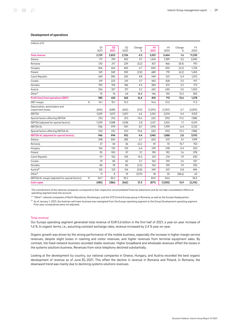### Development of operations

| millions of €                                       |              |                        |            |             |                   |            |             |            |
|-----------------------------------------------------|--------------|------------------------|------------|-------------|-------------------|------------|-------------|------------|
|                                                     | Q1<br>2021   | Q <sub>2</sub><br>2021 | Q2<br>2020 | Change<br>% | <b>H1</b><br>2021 | H1<br>2020 | Change<br>% | FY<br>2020 |
| <b>Total revenue</b>                                | 2,729        | 2,823                  | 2,706      | 4.3         | 5,551             | 5,464      | 1.6         | 11,335     |
| Greece                                              | 717          | 759                    | 692        | 9.7         | 1,476             | 1,399      | 5.5         | 2,940      |
| Romania                                             | 210          | 217                    | 229        | (5.2)       | 427               | 466        | (8.4)       | 951        |
| Hungary                                             | 406          | 424                    | 405        | 4.7         | 830               | 832        | (0.2)       | 1,734      |
| Poland                                              | 341          | 349                    | 359        | (2.8)       | 689               | 719        | (4.2)       | 1,453      |
| Czech Republic                                      | 269          | 280                    | 255        | 9.8         | 549               | 521        | 5.4         | 1,072      |
| Croatia                                             | 219          | 223                    | 215        | 3.7         | 442               | 428        | 3.3         | 917        |
| Slovakia                                            | 190          | 194                    | 186        | 4.3         | 384               | 372        | 3.2         | 773        |
| Austria                                             | 326          | 327                    | 317        | 3.2         | 652               | 630        | 3.5         | 1,302      |
| Other <sup>a</sup>                                  | 70           | 76                     | 64         | 18.8        | 146               | 130        | 12.3        | 283        |
| Profit (loss) from operations (EBIT)                | 385          | 425                    | 365        | 16.4        | 810               | 713        | 13.6        | 1,278      |
| <b>EBIT</b> margin                                  | %<br>14.1    | 15.1                   | 13.5       |             | 14.6              | 13.0       |             | 11.3       |
| Depreciation, amortization and<br>impairment losses | (645)        | (648)                  | (642)      | (0.9)       | (1, 292)          | (1,301)    | 0.7         | (2, 875)   |
| EBITDA                                              | 1,029        | 1,073                  | 1,007      | 6.6         | 2,102             | 2,014      | 4.4         | 4,153      |
| Special factors affecting EBITDA                    | (10)         | (15)                   | (51)       | 70.6        | (25)              | (90)       | 72.2        | (188)      |
| EBITDA (adjusted for special factors)               | 1,039        | 1,088                  | 1,058      | 2.8         | 2,127             | 2,103      | 1.1         | 4,341      |
| <b>EBITDA AL</b>                                    | 936          | 979                    | 901        | 8.7         | 1,915             | 1.799      | 6.4         | 3,722      |
| Special factors affecting EBITDA AL                 | (10)         | (15)                   | (51)       | 70.6        | (25)              | (90)       | 72.2        | (188)      |
| <b>EBITDA AL (adjusted for special factors)</b>     | 946          | 994                    | 952        | 4.4         | 1,940             | 1,888      | 2.8         | 3,910      |
| Greece                                              | 298          | 304                    | 285        | 6.7         | 602               | 573        | 5.1         | 1,199      |
| Romania                                             | 37           | 44                     | 36         | 22.2        | 81                | 70         | 15.7        | 153        |
| Hungary                                             | 106          | 133                    | 125        | 6.4         | 239               | 238        | 0.4         | 520        |
| Poland                                              | 95           | 100                    | 97         | 3.1         | 195               | 192        | 1.6         | 378        |
| Czech Republic                                      | 111          | 120                    | 105        | 14.3        | 231               | 214        | 7.9         | 430        |
| Croatia                                             | 79           | 85                     | 82         | 3.7         | 163               | 159        | 2.5         | 337        |
| Slovakia                                            | 84           | 78                     | 80         | (2.5)       | 162               | 159        | 1.9         | 335        |
| Austria <sup>b</sup>                                | 125          | 123                    | 124        | (0.8)       | 249               | 247        | 0.8         | 496        |
| Other <sup>a</sup>                                  | 11           | 8                      | 19         | (57.9)      | 18                | 35         | (48.6)      | 63         |
| EBITDA AL margin (adjusted for special factors)     | $\%$<br>34.7 | 35.2                   | 35.2       |             | 34.9              | 34.6       |             | 34.5       |
| <b>Cash capex</b>                                   | (485)        | (386)                  | (562)      | 31.3        | (871)             | (1,000)    | 12.9        | (2, 216)   |

The contributions of the national companies correspond to their respective unconsolidated financial statements and do not take consolidation effects at operating segment level into account.

<sup>a</sup> "Other": national companies of North Macedonia, Montenegro, and the GTS Central Europe group in Romania, as well as the Europe Headquarters.

<sup>b</sup> As of January 1, 2021, the Austrian cell tower business was reassigned from the Europe operating segment to the Group Development operating segment. Prior-year comparatives were not adjusted.

### Total revenue

Our Europe operating segment generated total revenue of EUR 5.6 billion in the first half of 2021, a year-on-year increase of 1.6 %. In organic terms, i.e., assuming constant exchange rates, revenue increased by 2.4 % year-on-year.

Organic growth was driven by the strong performance of the mobile business, especially the increase in higher-margin service revenues, despite slight losses in roaming and visitor revenues, and higher revenues from terminal equipment sales. By contrast, the fixed-network business recorded stable revenues. Higher broadband and wholesale revenues offset the losses in the systems solutions business. Revenues from voice telephony declined substantially.

Looking at the development by country, our national companies in Greece, Hungary, and Austria recorded the best organic development of revenue as of June 30, 2021. This offset the decline in revenue in Romania and Poland. In Romania, the downward trend was mainly due to declining systems solutions revenues.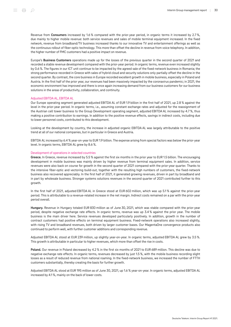Revenue from Consumers increased by 1.6 % compared with the prior-year period, in organic terms it increased by 2.7 %, due mainly to higher mobile revenue: both service revenues and sales of mobile terminal equipment increased. In the fixed network, revenue from broadband/TV business increased thanks to our innovative TV and entertainment offerings as well as the continuous rollout of fiber-optic technology. This more than offset the decline in revenue from voice telephony. In addition, the higher number of FMC customers had a positive impact on revenue.

Europe's **Business Customers** operations made up for the losses of the previous quarter in the second quarter of 2021 and recorded a stable revenue development compared with the prior-year period. In organic terms, revenue even increased slightly by 0.6 %. The figures in our ICT unit continue to be impacted by the agreed sale of the fixed-network business in Romania; the strong performance recorded in Greece with sales of hybrid cloud and security solutions only partially offset the decline in the second quarter. By contrast, the core business in Europe recorded excellent growth in mobile business, especially in Poland and Austria. In the first half of the prior year, our revenues had been massively impacted by the coronavirus pandemic; in 2021, the economic environment has improved and there is once again increasing demand from our business customers for our business solutions in the areas of productivity, collaboration, and continuity.

### Adjusted EBITDA AL, EBITDA AL

Our Europe operating segment generated adjusted EBITDA AL of EUR 1.9 billion in the first half of 2021, up 2.8 % against the level in the prior-year period. In organic terms, i.e., assuming constant exchange rates and adjusted for the reassignment of the Austrian cell tower business to the Group Development operating segment, adjusted EBITDA AL increased by 4.7 %, thus making a positive contribution to earnings. In addition to the positive revenue effects, savings in indirect costs, including due to lower personnel costs, contributed to this development.

Looking at the development by country, the increase in adjusted organic EBITDA AL was largely attributable to the positive trend at all of our national companies, but in particular in Greece and Austria.

EBITDA AL increased by 6.4 % year-on-year to EUR 1.9 billion. The expense arising from special factors was below the prior-year level. In organic terms, EBITDA AL grew by 8.6 %.

### Development of operations in selected countries

Greece. In Greece, revenue increased by 5.5 % against the first six months in the prior year to EUR 1.5 billion. The encouraging development in mobile business was mainly driven by higher revenue from terminal equipment sales. In addition, service revenues were also back on course for growth in the second quarter of 2021 compared with the prior-year quarter. Thanks to the intensive fiber-optic and vectoring build-out, together with the resulting high numbers of customers, the fixed-network business also recovered appreciably. In the first half of 2021, it generated growing revenues, driven in part by broadband and in part by wholesale business. Stronger systems solutions revenues in the second quarter of 2021 contributed further to this growth.

In the first half of 2021, adjusted EBITDA AL in Greece stood at EUR 602 million, which was up 5.1% against the prior-year period. This is attributable to a revenue-related increase in the net margin. Indirect costs remained on a par with the prior-year period overall.

Hungary. Revenue in Hungary totaled EUR 830 million as of June 30, 2021, which was stable compared with the prior-year period, despite negative exchange rate effects. In organic terms, revenue was up 3.4 % against the prior year. The mobile business is the main driver here. Service revenues developed particularly positively. In addition, growth in the number of contract customers had positive effects on terminal equipment business. Fixed-network operations also increased slightly, with rising TV and broadband revenues, both driven by larger customer bases. Our MagentaOne convergence products also continued to perform well, with further customer additions and corresponding revenue.

Adjusted EBITDA AL stood at EUR 239 million, up slightly year-on-year. In organic terms, adjusted EBITDA AL grew by 3.5 %. This growth is attributable in particular to higher revenues, which more than offset the rise in costs.

Poland. Our revenue in Poland decreased by 4.2 % in the first six months of 2021 to EUR 689 million. This decline was due to negative exchange rate effects. In organic terms, revenues decreased by just 1.5 %, with the mobile business recording slight losses as a result of reduced revenue from national roaming. In the fixed-network business, we increased the number of FTTH customers substantially, thereby creating the basis for further growth.

Adjusted EBITDA AL stood at EUR 195 million as of June 30, 2021, up 1.6 % year-on-year. In organic terms, adjusted EBITDA AL increased by 4.1 %, mainly on the back of lower costs.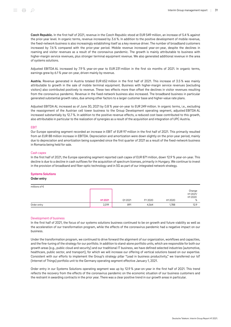Czech Republic. In the first half of 2021, revenue in the Czech Republic stood at EUR 549 million, an increase of 5.4 % against the prior-year level. In organic terms, revenue increased by 3.6 %. In addition to the positive development of mobile revenue, the fixed-network business is also increasingly establishing itself as a key revenue driver. The number of broadband customers increased by 7.6 % compared with the prior-year period. Mobile revenue increased year-on-year, despite the declines in roaming and visitor revenues as a result of the coronavirus pandemic. The growth is mainly attributable to business with higher-margin service revenues, plus stronger terminal equipment revenue. We also generated additional revenue in the area of systems solutions.

Adjusted EBITDA AL increased by 7.9 % year-on-year to EUR 231 million in the first six months of 2021. In organic terms, earnings grew by 6.1 % year-on-year, driven mainly by revenue.

Austria. Revenue generated in Austria totaled EUR 652 million in the first half of 2021. This increase of 3.5 % was mainly attributable to growth in the sale of mobile terminal equipment. Business with higher-margin service revenues (excluding visitors) also contributed positively to revenue. These two effects more than offset the declines in visitor revenues resulting from the coronavirus pandemic. Revenue in the fixed-network business also increased. The broadband business in particular generated substantial growth rates, due among other factors to a larger customer base and higher-value rate plans.

Adjusted EBITDA AL increased as of June 30, 2021 by 0.8 % year-on-year to EUR 249 million. In organic terms, i.e., excluding the reassignment of the Austrian cell tower business to the Group Development operating segment, adjusted EBITDA AL increased substantially by 12.7 %. In addition to the positive revenue effects, a reduced cost base contributed to this growth, also attributable in particular to the realization of synergies as a result of the acquisition and integration of UPC Austria.

### EBIT

Our Europe operating segment recorded an increase in EBIT of EUR 97 million in the first half of 2021. This primarily resulted from an EUR 88 million increase in EBITDA. Depreciation and amortization were down slightly on the prior-year period, mainly due to depreciation and amortization being suspended since the first quarter of 2021 as a result of the fixed-network business in Romania being held for sale.

### Cash capex

In the first half of 2021, the Europe operating segment reported cash capex of EUR 871 million, down 12.9 % year-on-year. This decline is due to a decline in cash outflows for the acquisition of spectrum licenses, primarily in Hungary. We continue to invest in the provision of broadband and fiber-optic technology and in 5G as part of our integrated network strategy.

### Systems Solutions

### Order entry

| millions of $\epsilon$ |        |        |         |        | Change<br>H1 2021/ |
|------------------------|--------|--------|---------|--------|--------------------|
|                        | H12021 | Q12021 | FY 2020 | H12020 | H12020<br>%        |
| Order entry            | 2,019  | 891    | 4.564   | 1.788  | 12.9               |

### Development of business

In the first half of 2021, the focus of our systems solutions business continued to be on growth and future viability as well as the acceleration of our transformation program, while the effects of the coronavirus pandemic had a negative impact on our business.

Under the transformation program, we continued to drive forward the alignment of our organization, workflows and capacities, and the fine-tuning of the strategy for our portfolio. In addition to stand-alone portfolio units, which are responsible for both our growth areas (e.g., public cloud and security) and our traditional IT business, we have defined selected industries (automotive, healthcare, public sector, and transport), for which we will increase our offering of vertical solutions based on our expertise. Consistent with our efforts to implement the Group's strategy pillar "Lead in business productivity," we transferred our IoT (Internet of Things) portfolio unit to the Germany operating segment effective January 1, 2021.

Order entry in our Systems Solutions operating segment was up by 12.9 % year-on-year in the first half of 2021. This trend reflects the recovery from the effects of the coronavirus pandemic on the economic situation of our business customers and the restraint in awarding contracts in the prior year. There was a clear positive trend in our growth areas in particular.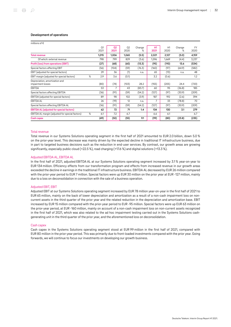### Development of operations

| millions of $\epsilon$                              |                        |            |                        |             |                   |            |             |                   |
|-----------------------------------------------------|------------------------|------------|------------------------|-------------|-------------------|------------|-------------|-------------------|
|                                                     | O <sub>1</sub><br>2021 | 02<br>2021 | O <sub>2</sub><br>2020 | Change<br>℅ | <b>H1</b><br>2021 | H1<br>2020 | Change<br>℅ | <b>FY</b><br>2020 |
| <b>Total revenue</b>                                | 1,015                  | 1,006      | 1,065                  | (5.5)       | 2,021             | 2,127      | (5.0)       | 4,159             |
| Of which: external revenue                          | 798                    | 799        | 829                    | (3.6)       | 1,596             | 1,669      | (4.4)       | 3,237             |
| Profit (loss) from operations (EBIT)                | (27)                   | (68)       | (60)                   | (13.3)      | (95)              | (110)      | 13.6        | (534)             |
| Special factors affecting EBIT                      | (56)                   | (104)      | (59)                   | (76.3)      | (160)             | (97)       | (64.9)      | (582)             |
| EBIT (adjusted for special factors)                 | 29                     | 36         | (1)                    | n.a.        | 65                | (13)       | n.a.        | 48                |
| EBIT margin (adjusted for special factors)          | %<br>2.9               | 3.6        | (0.1)                  |             | 3.2               | (0.6)      |             | 1.2               |
| Depreciation, amortization and<br>impairment losses | (80)                   | (74)       | (103)                  | 28.2        | (155)             | (205)      | 24.4        | (720)             |
| <b>EBITDA</b>                                       | 53                     | 7          | 43                     | (83.7)      | 60                | 95         | (36.8)      | 185               |
| Special factors affecting EBITDA                    | (36)                   | (91)       | (59)                   | (54.2)      | (127)             | (97)       | (30.9)      | (209)             |
| EBITDA (adjusted for special factors)               | 89                     | 98         | 102                    | (3.9)       | 187               | 192        | (2.6)       | 394               |
| <b>EBITDA AL</b>                                    | 26                     | (19)       | 12                     | n.a.        | $\overline{7}$    | 33         | (78.8)      | 70                |
| Special factors affecting EBITDA AL                 | (36)                   | (91)       | (59)                   | (54.2)      | (127)             | (97)       | (30.9)      | (209)             |
| <b>EBITDA AL (adjusted for special factors)</b>     | 62                     | 72         | 71                     | 1.4         | 134               | 130        | 3.1         | 279               |
| EBITDA AL margin (adjusted for special factors)     | %<br>6.1               | 7.2        | 6.7                    |             | 6.6               | 6.1        |             | 6.7               |
| <b>Cash capex</b>                                   | (49)                   | (50)       | (55)                   | 9.1         | (99)              | (80)       | (23.8)      | (235)             |

### Total revenue

Total revenue in our Systems Solutions operating segment in the first half of 2021 amounted to EUR 2.0 billion, down 5.0 % on the prior-year level. This decrease was mainly driven by the expected decline in traditional IT infrastructure business, due in part to targeted business decisions such as the reduction in end-user services. By contrast, our growth areas are growing significantly, especially public cloud (+22.5 %), road charging (+17.6 %) and digital solutions (+13.3 %).

### Adjusted EBITDA AL, EBITDA AL

In the first half of 2021, adjusted EBITDA AL at our Systems Solutions operating segment increased by 3.1% year-on-year to EUR 134 million. Efficiency effects from our transformation program and effects from increased revenue in our growth areas exceeded the decline in earnings in the traditional IT infrastructure business. EBITDA AL decreased by EUR 26 million compared with the prior-year period to EUR 7 million. Special factors were up EUR 30 million on the prior year at EUR -127 million, mainly due to a loss on deconsolidation in connection with the sale of a business operation.

### Adjusted EBIT, EBIT

Adjusted EBIT at our Systems Solutions operating segment increased by EUR 78 million year-on-year in the first half of 2021 to EUR 65 million, mainly on the back of lower depreciation and amortization as a result of a non-cash impairment loss on noncurrent assets in the third quarter of the prior year and the related reduction in the depreciation and amortization base. EBIT increased by EUR 15 million compared with the prior-year period to EUR -95 million. Special factors were up EUR 63 million on the prior-year period, at EUR ‑160 million, mainly on account of a non-cash impairment loss on non-current assets recognized in the first half of 2021, which was also related to the ad hoc impairment testing carried out in the Systems Solutions cashgenerating unit in the third quarter of the prior year, and the aforementioned loss on deconsolidation.

### Cash capex

Cash capex in the Systems Solutions operating segment stood at EUR 99 million in the first half of 2021, compared with EUR 80 million in the prior-year period. This was primarily due to front-loaded investments compared with the prior year. Going forwards, we will continue to focus our investments on developing our growth business.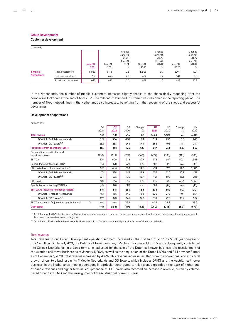Customer development

| thousands          |                     |                         |                  |                                                      |                  |                                                      |                  |                                                      |
|--------------------|---------------------|-------------------------|------------------|------------------------------------------------------|------------------|------------------------------------------------------|------------------|------------------------------------------------------|
|                    |                     | <b>June 30,</b><br>2021 | Mar. 31,<br>2021 | Change<br>June 30,<br>2021/<br>Mar. 31,<br>2021<br>% | Dec. 31,<br>2020 | Change<br>June 30,<br>2021/<br>Dec. 31,<br>2020<br>% | June 30,<br>2020 | Change<br>June 30,<br>2021/<br>June 30,<br>2020<br>% |
| <b>T-Mobile</b>    | Mobile customers    | 6,853                   | 6,798            | 0.8                                                  | 6,803            | 0.7                                                  | 5.741            | 19.4                                                 |
| <b>Netherlands</b> | Fixed-network lines | 707                     | 693              | 2.0                                                  | 682              | 3.7                                                  | 644              | 9.8                                                  |
|                    | Broadband customers | 695                     | 680              | 2.2                                                  | 668              | 4.0                                                  | 628              | 10.7                                                 |

In the Netherlands, the number of mobile customers increased slightly thanks to the shops finally reopening after the coronavirus lockdown at the end of April 2021. The millionth "Unlimited" customer was welcomed in the reporting period. The number of fixed-network lines in the Netherlands also increased, benefiting from the reopening of the shops and successful advertising.

### Development of operations

| millions of $\epsilon$                              |                        |            |                        |             |                   |            |             |                   |
|-----------------------------------------------------|------------------------|------------|------------------------|-------------|-------------------|------------|-------------|-------------------|
|                                                     | O <sub>1</sub><br>2021 | 02<br>2021 | O <sub>2</sub><br>2020 | Change<br>% | <b>H1</b><br>2021 | H1<br>2020 | Change<br>% | <b>FY</b><br>2020 |
| <b>Total revenue</b>                                | 782                    | 780        | 716                    | 8.9         | 1,563             | 1.424      | 9.8         | 2,883             |
| Of which: T-Mobile Netherlands                      | 513                    | 506        | 480                    | 5.4         | 1,019             | 956        | 6.6         | 1,946             |
| Of which: GD Towers <sup>a, b</sup>                 | 282                    | 283        | 248                    | 14.1        | 565               | 495        | 14.1        | 989               |
| Profit (loss) from operations (EBIT)                | 166                    | 381        | 123                    | n.a.        | 547               | 263        | n.a.        | 562               |
| Depreciation, amortization and<br>impairment losses | (210)                  | (219)      | (192)                  | (14.1)      | (429)             | (386)      | (11.1)      | (780)             |
| <b>EBITDA</b>                                       | 376                    | 600        | 316                    | 89.9        | 976               | 649        | 50.4        | 1,343             |
| Special factors affecting EBITDA                    | (16)                   | 198        | (37)                   | n.a.        | 182               | (44)       | n.a.        | (43)              |
| EBITDA (adjusted for special factors)               | 392                    | 403        | 353                    | 14.2        | 794               | 693        | 14.6        | 1,386             |
| Of which: T-Mobile Netherlands                      | 171                    | 184        | 163                    | 12.9        | 355               | 320        | 10.9        | 639               |
| Of which: GD Towers <sup>a, b</sup>                 | 224                    | 226        | 195                    | 15.9        | 451               | 390        | 15.6        | 786               |
| <b>EBITDA AL</b>                                    | 301                    | 516        | 246                    | n.a.        | 816               | 508        | 60.6        | 1,058             |
| Special factors affecting EBITDA AL                 | (16)                   | 198        | (37)                   | n.a.        | 182               | (44)       | n.a.        | (43)              |
| <b>EBITDA AL (adjusted for special factors)</b>     | 316                    | 318        | 283                    | 12.4        | 634               | 552        | 14.9        | 1,101             |
| Of which: T-Mobile Netherlands                      | 151                    | 155        | 143                    | 8.4         | 306               | 278        | 10.1        | 554               |
| Of which: GD Towers <sup>a, b</sup>                 | 169                    | 170        | 145                    | 17.2        | 339               | 290        | 16.9        | 587               |
| EBITDA AL margin (adjusted for special factors)     | %<br>40.4              | 40.8       | 39.5                   |             | 40.6              | 38.8       |             | 38.2              |
| <b>Cash capex</b>                                   | (115)                  | (134)      | (117)                  | (14.5)      | (250)             | (236)      | (5.9)       | (699)             |

<sup>a</sup> As of January 1, 2021, the Austrian cell tower business was reassigned from the Europe operating segment to the Group Development operating segment. Prior-year comparatives were not adjusted.

b As of June 1, 2021, the Dutch cell tower business was sold to DIV and subsequently contributed into Cellnex Netherlands.

### Total revenue

Total revenue in our Group Development operating segment increased in the first half of 2021 by 9.8 % year-on-year to EUR 1.6 billion. On June 1, 2021, the Dutch cell tower company T‑Mobile Infra was sold to DIV and subsequently contributed into Cellnex Netherlands. In organic terms, i.e., adjusted for the sale of the Dutch cell tower business, the reassignment of the Austrian cell tower business as of January 1, 2021, as well as the acquisition of the Dutch MVNO and SIM provider Simpel as of December 1, 2020, total revenue increased by 4.4 %. This revenue increase resulted from the operational and structural growth of our two business units T‑Mobile Netherlands and GD Towers, which includes DFMG and the Austrian cell tower business. In the Netherlands, mobile operations in particular contributed to this revenue growth on the back of higher outof-bundle revenues and higher terminal equipment sales. GD Towers also recorded an increase in revenue, driven by volumebased growth at DFMG and the reassignment of the Austrian cell tower business.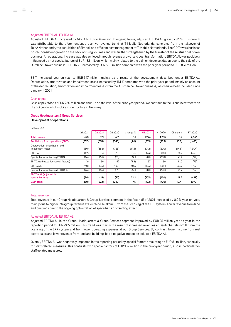### Adjusted EBITDA AL, EBITDA AL

Adjusted EBITDA AL increased by 14.9 % to EUR 634 million. In organic terms, adjusted EBITDA AL grew by 8.1 %. This growth was attributable to the aforementioned positive revenue trend at T-Mobile Netherlands, synergies from the takeover of Tele2 Netherlands, the acquisition of Simpel, and efficient cost management at T‑Mobile Netherlands. The GD Towers business posted consistent growth on the back of rising volumes and was further strengthened by the transfer of the Austrian cell tower business. An operational increase was also achieved through revenue growth and cost transformation. EBITDA AL was positively influenced by net special factors of EUR 182 million, which mainly related to the gain on deconsolidation due to the sale of the Dutch cell tower business. EBITDA AL increased by EUR 308 million compared with the prior-year period to EUR 816 million.

### EBIT

EBIT increased year-on-year to EUR 547 million, mainly as a result of the development described under EBITDA AL. Depreciation, amortization and impairment losses increased by 11.1 % compared with the prior-year period, mainly on account of the depreciation, amortization and impairment losses from the Austrian cell tower business, which have been included since January 1, 2021.

### Cash capex

Cash capex stood at EUR 250 million and thus up on the level of the prior-year period. We continue to focus our investments on the 5G build-out of mobile infrastructure in Germany.

### Group Headquarters & Group Services

### Development of operations

| millions of $\epsilon$                              |        |          |          |          |         |        |          |         |
|-----------------------------------------------------|--------|----------|----------|----------|---------|--------|----------|---------|
|                                                     | Q12021 | 02 20 21 | 02 20 20 | Change % | H1 2021 | H12020 | Change % | FY 2020 |
| <b>Total revenue</b>                                | 625    | 671      | 651      | 3.1      | 1,296   | 1.285  | 0.9      | 2,556   |
| Profit (loss) from operations (EBIT)                | (357)  | (378)    | (345)    | (9.6)    | (735)   | (709)  | (3.7)    | (1,655) |
| Depreciation, amortization and<br>impairment losses | (330)  | (382)    | (325)    | (17.5)   | (712)   | (620)  | (14.8)   | (1,304) |
| EBITDA                                              | (27)   | 4        | (20)     | n.a.     | (23)    | (89)   | 74.2     | (350)   |
| Special factors affecting EBITDA                    | (26)   | (55)     | (81)     | 32.1     | (81)    | (139)  | 41.7     | (277)   |
| EBITDA (adjusted for special factors)               | (2)    | 59       | 62       | (4.8)    | 57      | 50     | 14.0     | (73)    |
| <b>EBITDA AL</b>                                    | (110)  | (75)     | (108)    | 30.6     | (186)   | (269)  | 30.9     | (707)   |
| Special factors affecting EBITDA AL                 | (26)   | (55)     | (81)     | 32.1     | (81)    | (139)  | 41.7     | (277)   |
| <b>EBITDA AL (adjusted for</b><br>special factors)  | (84)   | (21)     | (27)     | 22.2     | (105)   | (130)  | 19.2     | (429)   |
| <b>Cash capex</b>                                   | (250)  | (222)    | (240)    | 7.5      | (472)   | (470)  | (0.4)    | (990)   |

### Total revenue

Total revenue in our Group Headquarters & Group Services segment in the first half of 2021 increased by 0.9 % year-on-year, mainly due to higher intragroup revenue at Deutsche Telekom IT from the licensing of the ERP system. Lower revenue from land and buildings due to the ongoing optimization of space had an offsetting effect.

### Adjusted EBITDA AL, EBITDA AL

Adjusted EBITDA AL in the Group Headquarters & Group Services segment improved by EUR 25 million year-on-year in the reporting period to EUR ‑105 million. This trend was mainly the result of increased revenues at Deutsche Telekom IT from the licensing of the ERP system and from lower operating expenses at our Group Services. By contrast, lower income from real estate sales and lower revenue from land and buildings had a negative impact on adjusted EBITDA AL.

Overall, EBITDA AL was negatively impacted in the reporting period by special factors amounting to EUR 81 million, especially for staff-related measures. This contrasts with special factors of EUR 139 million in the prior-year period, also in particular for staff-related measures.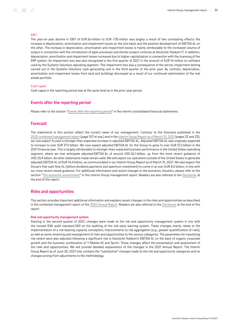### **FRIT**

The year-on-year decline in EBIT of EUR 26 million to EUR-735 million was largely a result of two contrasting effects: the increase in depreciation, amortization and impairment losses on the one hand, and the positive development of EBITDA AL on the other. The increase in depreciation, amortization and impairment losses is mainly attributable to the increased volume of output in connection with the introduction of agile processes and shorter project runtimes at Deutsche Telekom IT. In addition, depreciation, amortization and impairment losses increased due to higher capitalization in connection with the licensing of the ERP system. An impairment loss was also recognized in the first quarter of 2021 in the amount of EUR 14 million on software used by the Systems Solutions operating segment. This impairment loss was a consequence of the ad hoc impairment testing carried out in the Systems Solutions cash-generating unit in the third quarter of the prior year. By contrast, depreciation, amortization and impairment losses from land and buildings decreased as a result of our continued optimization of the real estate portfolio.

### Cash capex

Cash capex in the reporting period was at the same level as in the prior-year period.

### <span id="page-34-0"></span>Events after the reporting period

Please refer to the section "[Events after the reporting period](#page-71-0)" in the interim consolidated financial statements.

### <span id="page-34-1"></span>Forecast

The statements in this section reflect the current views of our management. Contrary to the forecasts published in the 2020 [combined management report](https://report.telekom.com/annual-report-2020/management-report/forecast.html) (page 107 et seq.) and in the [Interim Group Report as of March](https://report.telekom.com/interim-report-q1-2021/management-report/forecast.html) 31, 2021(pages 32 and 33), we now expect to post a stronger-than-expected increase in adjusted EBITDA AL. Adjusted EBITDA AL was originally expected to increase to over EUR 37.0 billion. We now expect adjusted EBITDA AL for the Group to grow to over EUR 37.2 billion in the 2021 financial year. This is largely attributable to stronger-than-expected business performance in the United States operating segment, where we now anticipate adjusted EBITDA AL of around USD 26.1 billion, up from the most recent guidance of USD 25.9 billion. All other statements made remain valid. We still expect our operations outside of the United States to generate adjusted EBITDA AL of EUR 14.4 billion, as communicated in our Interim Group Report as of March 31, 2021. We also expect the Group's free cash flow AL (before dividend payments and spectrum investment) to come in at over EUR 8.0 billion, in line with our most recent raised guidance. For additional information and recent changes in the economic situation, please refer to the section ["The economic environment](#page-9-0)" in this interim Group management report. Readers are also referred to the [Disclaimer](#page-76-1) at the end of this report.

### <span id="page-34-2"></span>Risks and opportunities

This section provides important additional information and explains recent changes in the risks and opportunities as described in the combined management report of the 2020 [Annual Report](https://report.telekom.com/annual-report-2020/management-report/risk-and-opportunity-management/board-of-managements-assessment-of-the-aggregate-risk-and-opportunity-position.html). Readers are also referred to the [Disclaimer](#page-76-1) at the end of this report.

### Risk and opportunity management system

Starting in the second quarter of 2021, changes were made to the risk and opportunity management system in line with the revised IDW audit standard 340 on the auditing of the risk early warning system. These changes mainly relate to the implementation of a risk-bearing capacity conception, improvements to risk aggregation (e.g., greater quantification of risks), as well as some renaming and reassignment of risks and opportunities to the various categories. The parameters for classifying risk extent were also adjusted following a significant rise in Deutsche Telekom's EBITDA AL on the back of organic corporate growth and the business combination of T‑Mobile US and Sprint. These changes affect the presentation and assessment of the risks and opportunities. We will provide detailed explanations of the changes in the 2021 Annual Report. The Interim Group Report as of June 30, 2021 only contains the "substantive" changes made to the risk and opportunity categories and no changes arising from adjustments to the methodology.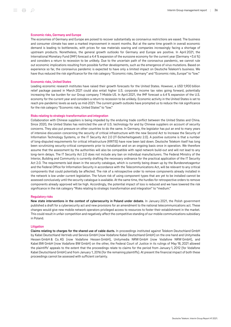### Economic risks, Germany and Europe

The economies of Germany and Europe are poised to recover substantially as coronavirus restrictions are eased. The business and consumer climate has seen a marked improvement in recent months. But at the same time growth in overall economic demand is leading to bottlenecks, with prices for raw materials soaring and companies increasingly facing a shortage of upstream products. Nonetheless, the general growth outlooks for Germany and Europe are positive. In April 2021, the International Monetary Fund (IMF) forecast a 4.4 % expansion of the eurozone economy for the current year (Germany +3.6 %) and considers a return to recession to be unlikely. Due to the uncertain path of the coronavirus pandemic, we cannot rule out economic implications resulting from possible further developments, such as the emergence of virus mutations. Based on experience so far, the coronavirus pandemic is expected to have only a limited impact on Deutsche Telekom's business. We have thus reduced the risk significance for the risk category "Economic risks, Germany" and "Economic risks, Europe" to "low."

### Economic risks, United States

Leading economic research institutes have raised their growth forecasts for the United States. However, a USD 1,900 billion relief package passed in March 2021 could also entail higher U.S. corporate income tax rates going forward, potentially increasing the tax burden for our Group company T-Mobile US. In April 2021, the IMF forecast a 6.4 % expansion of the U.S. economy for the current year and considers a return to recession to be unlikely. Economic activity in the United States is set to reach pre-pandemic levels as early as mid-2021. The current growth outlooks have prompted us to reduce the risk significance for the risk category "Economic risks, United States" to "low."

### Risks relating to strategic transformation and integration

Collaboration with Chinese suppliers is being impeded by the enduring trade conflict between the United States and China. Since 2020, the United States has restricted the use of U.S. technology for and by Chinese suppliers on account of security concerns. They also put pressure on other countries to do the same. In Germany, the legislator has put an end to many years of intensive discussion concerning the security of critical infrastructure with the new Second Act to Increase the Security of Information Technology Systems, or the IT Security Act 2.0 (IT-Sicherheitsgesetz 2.0). A positive outcome is that a number of long-disputed requirements for critical infrastructure (KRITIS) have now been laid down. Deutsche Telekom itself has long been scrutinizing security-critical components prior to installation and on an ongoing basis once in operation. We therefore assume that the assessment by the authorities will also be compatible with rapid network build-out and will not lead to any long-term delays. The IT Security Act 2.0 does not include any ban on individual manufacturers. The Federal Ministry of the Interior, Building and Community is currently drafting the necessary ordinance for the practical application of the IT Security Act 2.0. The requirements laid down in the security catalogue, which is currently being drawn up by the Bundesnetzagentur and the Federal Office for Information Security in accordance with the Telecommunications Act, will be relevant to any critical components that could potentially be affected. The risk of a retrospective order to remove components already installed in the network is low under current legislation. The future risk of using component types that are yet to be installed cannot be assessed conclusively until the security catalogue is available. At the same time, the hurdles for retrospective orders to remove components already approved will be high. Accordingly, the potential impact of loss is reduced and we have lowered the risk significance in the risk category "Risks relating to strategic transformation and integration" to "medium."

### Regulatory risks

New state interventions in the context of cybersecurity in Poland under debate. In January 2021, the Polish government published a draft for a cybersecurity act and new provisions for an amendment to the national telecommunications act. These changes would give new mobile network operators privileged access to resources to foster their establishment in the market. This could result in unfair competition and negatively affect the competitive standing of our mobile communications subsidiary in Poland.

### **Litigation**

Claims relating to charges for the shared use of cable ducts. In proceedings instituted against Telekom Deutschland GmbH by Kabel Deutschland Vertrieb und Service GmbH (now Vodafone Kabel Deutschland GmbH) on the one hand and Unitymedia Hessen GmbH & Co. KG (now Vodafone Hessen GmbH), Unitymedia NRW GmbH (now Vodafone NRW GmbH), and Kabel BW GmbH (now Vodafone BW GmbH) on the other, the Federal Court of Justice in its rulings of May 18, 2021 allowed the plaintiffs' appeals to the extent that the proceedings relate to claims for the period from January 1, 2012 (for Vodafone Kabel Deutschland GmbH) and from January 1, 2016 (for the remaining plaintiffs). At present the financial impact of both these proceedings cannot be assessed with sufficient certainty.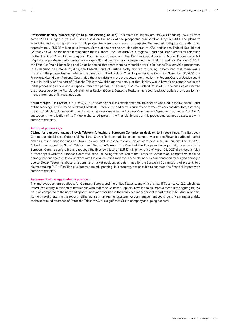Prospectus liability proceedings (third public offering, or DT3). This relates to initially around 2,600 ongoing lawsuits from some 16,000 alleged buyers of T-Shares sold on the basis of the prospectus published on May 26, 2000. The plaintiffs assert that individual figures given in this prospectus were inaccurate or incomplete. The amount in dispute currently totals approximately EUR 78 million plus interest. Some of the actions are also directed at KfW and/or the Federal Republic of Germany as well as the banks that handled the issuances. The Frankfurt/Main Regional Court had issued orders for reference to the Frankfurt/Main Higher Regional Court in accordance with the German Capital Investor Model Proceedings Act (Kapitalanleger-Musterverfahrensgesetz – KapMuG) and has temporarily suspended the initial proceedings. On May 16, 2012, the Frankfurt/Main Higher Regional Court had ruled that there were no material errors in Deutsche Telekom AG's prospectus. In its decision on October 21, 2014, the Federal Court of Justice partly revoked this ruling, determined that there was a mistake in the prospectus, and referred the case back to the Frankfurt/Main Higher Regional Court. On November 30, 2016, the Frankfurt/Main Higher Regional Court ruled that the mistake in the prospectus identified by the Federal Court of Justice could result in liability on the part of Deutsche Telekom AG, although the details of that liability would have to be established in the initial proceedings. Following an appeal from both parties, in February 2021 the Federal Court of Justice once again referred the process back to the Frankfurt/Main Higher Regional Court. Deutsche Telekom has recognized appropriate provisions for risk in the statement of financial position.

Sprint Merger Class Action. On June 4, 2021, a shareholder class action and derivative action was filed in the Delaware Court of Chancery against Deutsche Telekom, SoftBank, T‑Mobile US, and certain current and former officers and directors, asserting breach of fiduciary duties relating to the repricing amendment to the Business Combination Agreement, as well as SoftBank's subsequent monetization of its T-Mobile shares. At present the financial impact of this proceeding cannot be assessed with sufficient certainty.

#### Anti-trust proceedings

Claims for damages against Slovak Telekom following a European Commission decision to impose fines. The European Commission decided on October 15, 2014 that Slovak Telekom had abused its market power on the Slovak broadband market and as a result imposed fines on Slovak Telekom and Deutsche Telekom, which were paid in full in January 2015. In 2018, following an appeal by Slovak Telekom and Deutsche Telekom, the Court of the European Union partially overturned the European Commission's ruling and reduced the fines by a total of EUR 13 million. A ruling of March 25, 2021 dismissed in full a further appeal with the European Court of Justice. Following the decision of the European Commission, competitors had filed damage actions against Slovak Telekom with the civil court in Bratislava. These claims seek compensation for alleged damages due to Slovak Telekom's abuse of a dominant market position, as determined by the European Commission. At present, two claims totaling EUR 112 million plus interest are still pending. It is currently not possible to estimate the financial impact with sufficient certainty.

#### Assessment of the aggregate risk position

The improved economic outlooks for Germany, Europe, and the United States, along with the new IT Security Act 2.0, which has introduced clarity in relation to restrictions with regard to Chinese suppliers, have led to an improvement in the aggregate risk position compared to the risks and opportunities as described in the combined management report of the 2020 Annual Report. At the time of preparing this report, neither our risk management system nor our management could identify any material risks to the continued existence of Deutsche Telekom AG or a significant Group company as a going concern.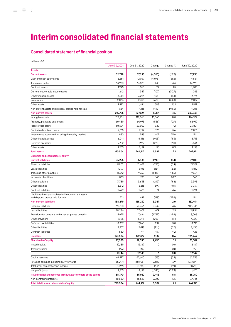# Interim consolidated financial statements

## Consolidated statement of financial position

| millions of $\epsilon$                                           |               |                  |          |                  |                  |
|------------------------------------------------------------------|---------------|------------------|----------|------------------|------------------|
|                                                                  | June 30, 2021 | Dec. 31, 2020    | Change   | Change %         | June 30, 2020    |
| <b>Assets</b>                                                    |               |                  |          |                  |                  |
| <b>Current assets</b>                                            | 32,728        | 37,293<br>12,939 | (4, 565) | (12.2)<br>(31.5) | 37,936<br>14,537 |
| Cash and cash equivalents                                        | 8,861         |                  | (4,078)  |                  |                  |
| Trade receivables                                                | 13,968        | 13,523           | 445      | 3.3              | 12,690           |
| Contract assets                                                  | 1,995         | 1,966            | 29       | 1.5              | 1,905            |
| Current recoverable income taxes                                 | 242           | 349              | (107)    | (30.7)           | 245              |
| Other financial assets                                           | 3,061         | 3,224            | (163)    | (5.1)            | 2,776            |
| Inventories                                                      | 2,066         | 2,695            | (629)    | (23.3)           | 2,077            |
| Other assets                                                     | 1,872         | 1,484            | 388      | 26.1             | 1,919            |
| Non-current assets and disposal groups held for sale             | 664           | 1,113            | (449)    | (40.3)           | 1,786            |
| <b>Non-current assets</b>                                        | 237,775       | 227,624          | 10,151   | 4.5              | 232,035          |
| Intangible assets                                                | 128,431       | 118,066          | 10,365   | 8.8              | 126,372          |
| Property, plant and equipment                                    | 60,439        | 60,975           | (536)    | (0.9)            | 62,912           |
| Right-of-use assets                                              | 30,624        | 30,302           | 322      | 1.1              | 23,821           |
| Capitalized contract costs                                       | 2,315         | 2,192            | 123      | 5.6              | 2,081            |
| Investments accounted for using the equity method                | 950           | 543              | 407      | 75.0             | 541              |
| Other financial assets                                           | 6,011         | 6,416            | (405)    | (6.3)            | 6,715            |
| Deferred tax assets                                              | 7,752         | 7,972            | (220)    | (2.8)            | 8,434            |
| Other assets                                                     | 1,255         | 1,159            | 96       | 8.3              | 1,158            |
| <b>Total assets</b>                                              | 270,504       | 264,917          | 5,587    | 2.1              | 269,971          |
| Liabilities and shareholders' equity                             |               |                  |          |                  |                  |
| <b>Current liabilities</b>                                       | 35,225        | 37,135           | (1,910)  | (5.1)            | 39,015           |
| <b>Financial liabilities</b>                                     | 11,902        | 12,652           | (750)    | (5.9)            | 13.567           |
| Lease liabilities                                                | 4,977         | 5,108            | (131)    | (2.6)            | 5,812            |
| Trade and other payables                                         | 8,342         | 9,760            | (1, 418) | (14.5)           | 9,601            |
| Income tax liabilities                                           | 833           | 690              | 143      | 20.7             | 566              |
| Other provisions                                                 | 3,389         | 3,638            | (249)    | (6.8)            | 3,395            |
| Other liabilities                                                | 3,812         | 3,213            | 599      | 18.6             | 3,739            |
| <b>Contract liabilities</b>                                      | 1,699         | 1,625            | 74       | 4.6              | 1,794            |
| Liabilities directly associated with non-current assets          |               |                  |          |                  |                  |
| and disposal groups held for sale                                | 271           | 449              | (178)    | (39.6)           | 541              |
| <b>Non-current liabilities</b>                                   | 158,279       | 155,232          | 3,047    | 2.0              | 157,454          |
| <b>Financial liabilities</b>                                     | 97,788        | 94,456           | 3,332    | 3.5              | 103,043          |
| Lease liabilities                                                | 28,286        | 27,607           | 679      | 2.5              | 19,994           |
| Provisions for pensions and other employee benefits              | 5,925         | 7,684            | (1,759)  | (22.9)           | 8,003            |
| Other provisions                                                 | 5,186         | 5,395            | (209)    | (3.9)            | 4,820            |
| Deferred tax liabilities                                         | 18,257        | 17,260           | 997      | 5.8              | 18,716           |
| Other liabilities                                                | 2,257         | 2,418            | (161)    | (6.7)            | 2,450            |
| Contract liabilities                                             | 580           | 411              | 169      | 41.1             | 428              |
| Liabilities                                                      | 193,504       | 192,367          | 1,137    | 0.6              | 196,469          |
| Shareholders' equity                                             | 77,000        | 72,550           | 4,450    | 6.1              | 73,502           |
| Issued capital                                                   | 12,189        | 12,189           | 0        | 0.0              | 12,189           |
| Treasury shares                                                  | (46)          | (46)             | 0        | 0.0              | (47)             |
|                                                                  | 12,144        | 12,143           | 1        | 0.0              | 12,142           |
| Capital reserves                                                 | 62,597        | 62,640           | (43)     | (0.1)            | 62,535           |
| Retained earnings including carryforwards                        | (36, 217)     | (38,905)         | 2,688    | 6.9              | (39, 014)        |
| Total other comprehensive income                                 | (2,969)       | (4, 115)         | 1,146    | 27.8             | (1, 573)         |
| Net profit (loss)                                                |               |                  | (1,343)  | (32.3)           |                  |
|                                                                  | 2,815         | 4,158<br>35,922  |          |                  | 1,670            |
| Issued capital and reserves attributable to owners of the parent | 38,370        |                  | 2,448    | 6.8              | 35,760           |
| Non-controlling interests                                        | 38,630        | 36,628           | 2,002    | 5.5              | 37,743           |
| Total liabilities and shareholders' equity                       | 270,504       | 264,917          | 5,587    | 2.1              | 269,971          |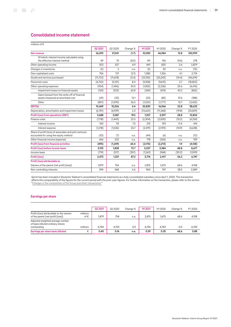## Consolidated income statement

| millions of $\epsilon$                                                                           |           |                |          |           |           |          |           |
|--------------------------------------------------------------------------------------------------|-----------|----------------|----------|-----------|-----------|----------|-----------|
|                                                                                                  | 02 2021   | 02 20 20       | Change % | H1 2021   | H12020    | Change % | FY 2020   |
| Net revenue                                                                                      | 26,593    | 27,041         | (1.7)    | 52,983    | 46.984    | 12.8     | 100,999   |
| Of which: interest income calculated using<br>the effective interest method                      | 69        | 75             | (8.0)    | 141       | 156       | (9.6)    | 278       |
| Other operating income                                                                           | 553       | 527            | 4.9      | 841       | 820       | 2.6      | 2,879     |
| Changes in inventories                                                                           | (5)       | $\overline{c}$ | n.a.     | (5)       | 30        | n.a.     | (15)      |
| Own capitalized costs                                                                            | 706       | 721            | (2.1)    | 1,380     | 1,326     | 4.1      | 2,774     |
| Goods and services purchased                                                                     | (11, 722) | (11,678)       | (0.4)    | (23, 155) | (20, 243) | (14.4)   | (44, 674) |
| Personnel costs                                                                                  | (4,702)   | (5, 131)       | 8.4      | (9,358)   | (9,615)   | 2.7      | (18, 853) |
| Other operating expenses                                                                         | (954)     | (1,456)        | 34.5     | (1, 855)  | (2,336)   | 20.6     | (4, 476)  |
| Impairment losses on financial assets                                                            | (124)     | (333)          | 62.8     | (269)     | (474)     | 43.2     | (862)     |
| Gains (losses) from the write-off of financial<br>assets measured at amortized cost              | (29)      | (33)           | 12.1     | (53)      | (85)      | 37.6     | (188)     |
| Other                                                                                            | (801)     | (1,090)        | 26.5     | (1,533)   | (1,777)   | 13.7     | (3, 425)  |
| <b>EBITDA</b>                                                                                    | 10,469    | 10,026         | 4.4      | 20,830    | 16,966    | 22.8     | 38,633    |
| Depreciation, amortization and impairment losses                                                 | (6,781)   | (6,939)        | 2.3      | (13,623)  | (11, 368) | (19.8)   | (25, 829) |
| <b>Profit (loss) from operations (EBIT)</b>                                                      | 3,688     | 3,087          | 19.5     | 7,207     | 5,597     | 28.8     | 12,804    |
| Finance costs                                                                                    | (1,118)   | (1, 443)       | 22.5     | (2,304)   | (2,000)   | (15.2)   | (4, 224)  |
| Interest income                                                                                  | $100 -$   | 93             | 7.5      | 215       | 193       | 11.4     | 414       |
| Interest expense                                                                                 | (1,218)   | (1,536)        | 20.7     | (2,519)   | (2,193)   | (14.9)   | (4,638)   |
| Share of profit (loss) of associates and joint ventures<br>accounted for using the equity method | (33)      | (7)            | n.a.     | (44)      | (6)       | n.a.     | (12)      |
| Other financial income (expense)                                                                 | 656       | 202            | n.a.     | 178       | (206)     | n.a.     | 109       |
| <b>Profit (loss) from financial activities</b>                                                   | (495)     | (1, 249)       | 60.4     | (2,170)   | (2, 213)  | 1.9      | (4, 128)  |
| Profit (loss) before income taxes                                                                | 3,193     | 1,838          | 73.7     | 5,037     | 3,384     | 48.8     | 8,677     |
| Income taxes                                                                                     | (719)     | (517)          | (39.1)   | (1,261)   | (968)     | (30.3)   | (1,929)   |
| Profit (loss)                                                                                    | 2,473     | 1,321          | 87.2     | 3,776     | 2,417     | 56.2     | 6,747     |
| Profit (loss) attributable to                                                                    |           |                |          |           |           |          |           |
| Owners of the parent (net profit (loss))                                                         | 1,879     | 754            | n.a.     | 2,815     | 1,670     | 68.6     | 4,158     |
| Non-controlling interests                                                                        | 594       | 568            | 4.6      | 960       | 747       | 28.5     | 2,589     |

Sprint has been included in Deutsche Telekom's consolidated financial statements as a fully consolidated subsidiary since April 1, 2020. This transaction affects the comparability of the figures for the current period with the prior-year figures. For further information on the transaction, please refer to the section "[Changes in the composition of the Group and other transactions.](#page-44-0)"

## Earnings per share

|                                                                                     |                  | 02 20 21 | 02 2020 | Change % | H1 2021 | H <sub>12020</sub> | Change % | FY 2020 |
|-------------------------------------------------------------------------------------|------------------|----------|---------|----------|---------|--------------------|----------|---------|
| Profit (loss) attributable to the owners<br>of the parent (net profit (loss))       | millions<br>of € | 1.879    | 754     | n.a.     | 2.815   | 1.670              | 68.6     | 4,158   |
| Adjusted weighted average number<br>of basic/diluted ordinary shares<br>outstanding | millions         | 4.744    | 4.743   | 0.0      | 4.744   | 4.743              | 0.0      | 4,743   |
| Earnings per share basic/diluted                                                    | €                | 0.40     | 0.16    | n.a.     | 0.59    | 0.35               | 68.6     | 0.88    |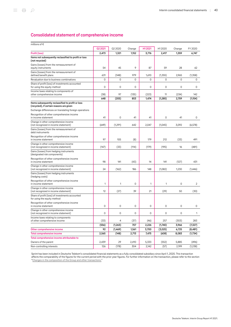## Consolidated statement of comprehensive income

| millions of €                                                                                 |                 |          |        |        |                    |             |          |
|-----------------------------------------------------------------------------------------------|-----------------|----------|--------|--------|--------------------|-------------|----------|
|                                                                                               | Q2 2021         | Q2 2020  | Change | H12021 | H <sub>12020</sub> | Change      | FY 2020  |
| <b>Profit (loss)</b>                                                                          | 2,473           | 1,321    | 1,152  | 3,776  | 2,417              | 1,359       | 6,747    |
| Items not subsequently reclassified to profit or loss<br>(not recycled)                       |                 |          |        |        |                    |             |          |
| Gains (losses) from the remeasurement of<br>equity instruments                                | 54              | 45       | 9      | 87     | 59                 | 28          | 62       |
| Gains (losses) from the remeasurement of<br>defined benefit plans                             | 631             | (348)    | 979    | 1,610  | (1,355)            | 2,965       | (1,358)  |
| Revaluation due to business combinations                                                      | 0               | 0        | 0      | 0      | 0                  | 0           | 0        |
| Share of profit (loss) of investments accounted<br>for using the equity method                | 0               | 0        | 0      | 0      | 0                  | $\mathbf 0$ | 0        |
| Income taxes relating to components of<br>other comprehensive income                          | (38)            | 97       | (135)  | (223)  | 11                 | (234)       | 142      |
|                                                                                               | 648             | (205)    | 853    | 1,474  | (1, 285)           | 2,759       | (1,154)  |
| Items subsequently reclassified to profit or loss<br>(recycled), if certain reasons are given |                 |          |        |        |                    |             |          |
| Exchange differences on translating foreign operations                                        |                 |          |        |        |                    |             |          |
| Recognition of other comprehensive income<br>in income statement                              | 41              | 0        | 41     | 41     | 0                  | 41          | 0        |
| Change in other comprehensive income<br>(not recognized in income statement)                  | (649)           | (1, 291) | 642    | 2.047  | (1,045)            | 3,092       | (6, 578) |
| Gains (losses) from the remeasurement of<br>debt instruments                                  |                 |          |        |        |                    |             |          |
| Recognition of other comprehensive income<br>in income statement                              | 97              | 105      | (8)    | 179    | 212                | (33)        | 491      |
| Change in other comprehensive income<br>(not recognized in income statement)                  | (147)           | (33)     | (114)  | (179)  | (195)              | 16          | (481)    |
| Gains (losses) from hedging instruments<br>(designated risk components)                       |                 |          |        |        |                    |             |          |
| Recognition of other comprehensive income<br>in income statement                              | 98              | 141      | (43)   | 14     | 141                | (127)       | 431      |
| Change in other comprehensive income<br>(not recognized in income statement)                  | 24              | (162)    | 186    | 148    | (1,082)            | 1,230       | (1,446)  |
| Gains (losses) from hedging instruments<br>(hedging costs)                                    |                 |          |        |        |                    |             |          |
| Recognition of other comprehensive income<br>in income statement                              | 1               | 1        | 0      | 1      | $\mathbf{1}$       | 0           | 2        |
| Change in other comprehensive income<br>(not recognized in income statement)                  | 12 <sup>°</sup> | (27)     | 39     | 21     | (29)               | 50          | (30)     |
| Share of profit (loss) of investments accounted<br>for using the equity method                |                 |          |        |        |                    |             |          |
| Recognition of other comprehensive income<br>in income statement                              | 0               | 0        | 0      | 0      | 0                  | 0           | 0        |
| Change in other comprehensive income<br>(not recognized in income statement)                  | 0               | 0        | 0      | 0      | 0                  | 0           | 1        |
| Income taxes relating to components<br>of other comprehensive income                          | (33)            | 4        | (37)   | (46)   | 257                | (303)       | 283      |
|                                                                                               | (556)           | (1, 263) | 707    | 2,226  | (1,740)            | 3,966       | (7, 327) |
| Other comprehensive income                                                                    | 92              | (1, 469) | 1,561  | 3,700  | (3,025)            | 6,725       | (8,481)  |
| <b>Total comprehensive income</b>                                                             | 2,565           | (148)    | 2,713  | 7,475  | (608)              | 8,083       | (1,734)  |
| Total comprehensive income attributable to                                                    |                 |          |        |        |                    |             |          |
| Owners of the parent                                                                          | 2,439           | 29       | 2,410  | 5,333  | (552)              | 5,885       | (496)    |
| Non-controlling interests                                                                     | 126             | (178)    | 304    | 2,142  | (57)               | 2,199       | (1,238)  |

Sprint has been included in Deutsche Telekom's consolidated financial statements as a fully consolidated subsidiary since April 1, 2020. This transaction affects the comparability of the figures for the current period with the prior-year figures. For further information on the transaction, please refer to the section "[Changes in the composition of the Group and other transactions.](#page-44-0)"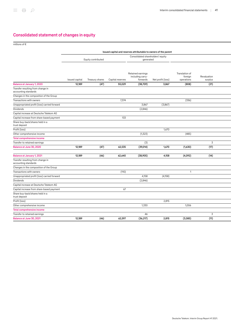## Consolidated statement of changes in equity

millions of €

|                                                           | Issued capital and reserves attributable to owners of the parent |                 |                  |                                                   |                   |                                         |                        |  |
|-----------------------------------------------------------|------------------------------------------------------------------|-----------------|------------------|---------------------------------------------------|-------------------|-----------------------------------------|------------------------|--|
|                                                           | Equity contributed                                               |                 |                  | Consolidated shareholders' equity<br>generated    |                   |                                         |                        |  |
|                                                           | Issued capital                                                   | Treasury shares | Capital reserves | Retained earnings<br>including carry-<br>forwards | Net profit (loss) | Translation of<br>foreign<br>operations | Revaluation<br>surplus |  |
| Balance at January 1, 2020                                | 12,189                                                           | (47)            | 55,029           | (38,709)                                          | 3,867             | (808)                                   | (21)                   |  |
| Transfer resulting from change in<br>accounting standards |                                                                  |                 |                  |                                                   |                   |                                         |                        |  |
| Changes in the composition of the Group                   |                                                                  |                 |                  |                                                   |                   |                                         |                        |  |
| Transactions with owners                                  |                                                                  |                 | 7,374            |                                                   |                   | (336)                                   |                        |  |
| Unappropriated profit (loss) carried forward              |                                                                  |                 |                  | 3,867                                             | (3,867)           |                                         |                        |  |
| <b>Dividends</b>                                          |                                                                  |                 |                  | (2,846)                                           |                   |                                         |                        |  |
| Capital increase at Deutsche Telekom AG                   |                                                                  |                 |                  |                                                   |                   |                                         |                        |  |
| Capital increase from share-based payment                 |                                                                  |                 | 133              |                                                   |                   |                                         |                        |  |
| Share buy-back/shares held in a<br>trust deposit          |                                                                  |                 |                  |                                                   |                   |                                         |                        |  |
| Profit (loss)                                             |                                                                  |                 |                  |                                                   | 1,670             |                                         |                        |  |
| Other comprehensive income                                |                                                                  |                 |                  | (1, 323)                                          |                   | (485)                                   |                        |  |
| <b>Total comprehensive income</b>                         |                                                                  |                 |                  |                                                   |                   |                                         |                        |  |
| Transfer to retained earnings                             |                                                                  |                 |                  | (3)                                               |                   |                                         | 3                      |  |
| Balance at June 30, 2020                                  | 12,189                                                           | (47)            | 62,535           | (39,014)                                          | 1,670             | (1,630)                                 | (17)                   |  |
| Balance at January 1, 2021                                | 12,189                                                           | (46)            | 62,640           | (38,905)                                          | 4,158             | (4,092)                                 | (14)                   |  |
| Transfer resulting from change in<br>accounting standards |                                                                  |                 |                  |                                                   |                   |                                         |                        |  |
| Changes in the composition of the Group                   |                                                                  |                 |                  |                                                   |                   |                                         |                        |  |
| Transactions with owners                                  |                                                                  |                 | (110)            |                                                   |                   | $\mathbf{1}$                            |                        |  |
| Unappropriated profit (loss) carried forward              |                                                                  |                 |                  | 4,158                                             | (4, 158)          |                                         |                        |  |
| Dividends                                                 |                                                                  |                 |                  | (2,846)                                           |                   |                                         |                        |  |
| Capital increase at Deutsche Telekom AG                   |                                                                  |                 |                  |                                                   |                   |                                         |                        |  |
| Capital increase from share-based payment                 |                                                                  |                 | 67               |                                                   |                   |                                         |                        |  |
| Share buy-back/shares held in a<br>trust deposit          |                                                                  |                 |                  |                                                   |                   |                                         |                        |  |
| Profit (loss)                                             |                                                                  |                 |                  |                                                   | 2,815             |                                         |                        |  |
| Other comprehensive income                                |                                                                  |                 |                  | 1,330                                             |                   | 1,006                                   |                        |  |
| <b>Total comprehensive income</b>                         |                                                                  |                 |                  |                                                   |                   |                                         |                        |  |
| Transfer to retained earnings                             |                                                                  |                 |                  | 46                                                |                   |                                         | 3                      |  |
| Balance at June 30, 2021                                  | 12,189                                                           | (46)            | 62,597           | (36, 217)                                         | 2,815             | (3,085)                                 | (11)                   |  |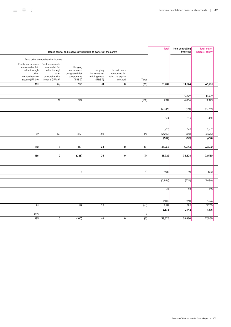|                                                                                                      |                                                                                                    | Issued capital and reserves attributable to owners of the parent     |                                                      |                                                            |                  | <b>Total</b> | Non-controlling<br>interests | <b>Total share-</b><br>holders' equity |  |
|------------------------------------------------------------------------------------------------------|----------------------------------------------------------------------------------------------------|----------------------------------------------------------------------|------------------------------------------------------|------------------------------------------------------------|------------------|--------------|------------------------------|----------------------------------------|--|
|                                                                                                      | Total other comprehensive income                                                                   |                                                                      |                                                      |                                                            |                  |              |                              |                                        |  |
| Equity instruments<br>measured at fair<br>value through<br>other<br>comprehensive<br>income (IFRS 9) | Debt instruments<br>measured at fair<br>value through<br>other<br>comprehensive<br>income (IFRS 9) | Hedging<br>instruments:<br>designated risk<br>components<br>(IFRS 9) | Hedging<br>instruments:<br>hedging costs<br>(IFRS 9) | Investments<br>accounted for<br>using the equity<br>method | Taxes            |              |                              |                                        |  |
| 101                                                                                                  | (6)                                                                                                | 130                                                                  | 51                                                   | 0                                                          | (69)             | 31,707       | 14,524                       | 46,231                                 |  |
|                                                                                                      |                                                                                                    |                                                                      |                                                      |                                                            |                  |              |                              |                                        |  |
|                                                                                                      |                                                                                                    |                                                                      |                                                      |                                                            |                  |              | 17,329                       | 17,329                                 |  |
|                                                                                                      | 12                                                                                                 | 377                                                                  |                                                      |                                                            | (109)            | 7,317        | 6,006                        | 13,323                                 |  |
|                                                                                                      |                                                                                                    |                                                                      |                                                      |                                                            |                  |              |                              |                                        |  |
|                                                                                                      |                                                                                                    |                                                                      |                                                      |                                                            |                  | (2,846)      | (174)                        | (3,019)                                |  |
|                                                                                                      |                                                                                                    |                                                                      |                                                      |                                                            |                  |              |                              |                                        |  |
|                                                                                                      |                                                                                                    |                                                                      |                                                      |                                                            |                  | 133          | 113                          | 246                                    |  |
|                                                                                                      |                                                                                                    |                                                                      |                                                      |                                                            |                  |              |                              |                                        |  |
|                                                                                                      |                                                                                                    |                                                                      |                                                      |                                                            |                  | 1,670        | 747                          | 2,417                                  |  |
| 59                                                                                                   | (3)                                                                                                | (617)                                                                | (27)                                                 |                                                            | 175              | (2,222)      | (803)                        | (3,025)                                |  |
|                                                                                                      |                                                                                                    |                                                                      |                                                      |                                                            |                  | (552)        | (56)                         | (608)                                  |  |
|                                                                                                      |                                                                                                    |                                                                      |                                                      |                                                            |                  |              |                              |                                        |  |
| 160                                                                                                  | 3                                                                                                  | (110)                                                                | 24                                                   | 0                                                          | (3)              | 35,760       | 37,743                       | 73,502                                 |  |
|                                                                                                      |                                                                                                    |                                                                      |                                                      |                                                            | 34               |              |                              |                                        |  |
| 156                                                                                                  | 0                                                                                                  | (223)                                                                | 24                                                   | $\mathbf 0$                                                |                  | 35,922       | 36,628                       | 72,550                                 |  |
|                                                                                                      |                                                                                                    |                                                                      |                                                      |                                                            |                  |              |                              |                                        |  |
|                                                                                                      |                                                                                                    |                                                                      |                                                      |                                                            |                  |              |                              |                                        |  |
|                                                                                                      |                                                                                                    | $\overline{4}$                                                       |                                                      |                                                            | (1)              | (106)        | 10                           | (96)                                   |  |
|                                                                                                      |                                                                                                    |                                                                      |                                                      |                                                            |                  |              |                              |                                        |  |
|                                                                                                      |                                                                                                    |                                                                      |                                                      |                                                            |                  | (2,846)      | (234)                        | (3,080)                                |  |
|                                                                                                      |                                                                                                    |                                                                      |                                                      |                                                            |                  | 67           | 83                           | 150                                    |  |
|                                                                                                      |                                                                                                    |                                                                      |                                                      |                                                            |                  |              |                              |                                        |  |
|                                                                                                      |                                                                                                    |                                                                      |                                                      |                                                            |                  |              |                              |                                        |  |
|                                                                                                      |                                                                                                    |                                                                      |                                                      |                                                            |                  | 2,815        | 960                          | 3,776                                  |  |
| 81                                                                                                   |                                                                                                    | 119                                                                  | 22                                                   |                                                            | (41)             | 2,517        | 1,182                        | 3,700                                  |  |
|                                                                                                      |                                                                                                    |                                                                      |                                                      |                                                            |                  | 5,333        | 2,142                        | 7,475                                  |  |
| (52)                                                                                                 |                                                                                                    |                                                                      |                                                      |                                                            | $\overline{c}$   |              |                              |                                        |  |
| 185                                                                                                  | 0                                                                                                  | (100)                                                                | 46                                                   | 0                                                          | $\overline{(5)}$ | 38,370       | 38,630                       | 77,000                                 |  |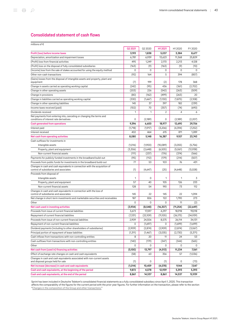## Consolidated statement of cash flows

| millions of $\epsilon$                                                                                               |         |          |                |           |           |
|----------------------------------------------------------------------------------------------------------------------|---------|----------|----------------|-----------|-----------|
|                                                                                                                      | 02 2021 | Q2 2020  | H12021         | H12020    | FY 2020   |
| Profit (loss) before income taxes                                                                                    | 3,193   | 1,838    | 5,037          | 3,384     | 8,677     |
| Depreciation, amortization and impairment losses                                                                     | 6,781   | 6,939    | 13,623         | 11,368    | 25,829    |
| (Profit) loss from financial activities                                                                              | 495     | 1,249    | 2,170          | 2,213     | 4,128     |
| (Profit) loss on the disposal of fully consolidated subsidiaries                                                     | (163)   | (9)      | (163)          | (9)       | (10)      |
| (Income) loss from the sale of stakes accounted for using the equity method                                          | 0       | 0        | 0              | 0         | 0         |
| Other non-cash transactions                                                                                          | (92)    | 164      | 5              | 394       | (857)     |
| (Gains) losses from the disposal of intangible assets and property, plant and                                        |         |          |                |           |           |
| equipment                                                                                                            | (7)     | 199      | (2)            | 178       | 368       |
| Change in assets carried as operating working capital                                                                | (242)   | (95)     | 436            | (361)     | (2,702)   |
| Change in other operating assets                                                                                     | (203)   | 226      | (542)          | (263)     | (509)     |
| Change in provisions                                                                                                 | (80)    | (162)    | (499)          | (263)     | 20        |
| Change in liabilities carried as operating working capital                                                           | (330)   | (1,667)  | (1,130)        | (1, 875)  | (2,108)   |
| Change in other operating liabilities                                                                                | 145     | 37       | 397            | 182       | (239)     |
| Income taxes received (paid)                                                                                         | (102)   | 70       | (357)          | (74)      | (690)     |
| Dividends received                                                                                                   | 1       | 1        | $\overline{2}$ | 4         | 6         |
| Net payments from entering into, canceling or changing the terms and<br>conditions of interest rate derivatives      | 0       | (2,189)  | 0              | (2,189)   | (2,207)   |
|                                                                                                                      |         |          |                |           |           |
| Cash generated from operations                                                                                       | 9,396   | 6,600    | 18,977         | 12,690    | 29,706    |
| Interest paid                                                                                                        | (1,718) | (1,917)  | (3,206)        | (4, 394)  | (7,252)   |
| Interest received                                                                                                    | 402     | 464      | 615            | 811       | 1,289     |
| Net cash from operating activities                                                                                   | 8,080   | 5,148    | 16,387         | 9,107     | 23,743    |
| Cash outflows for investments in                                                                                     |         |          |                |           |           |
| Intangible assets                                                                                                    | (1,016) | (1,900)  | (10,089)       | (3,055)   | (5,756)   |
| Property, plant and equipment                                                                                        | (3,306) | (2,648)  | (6,505)        | (5,061)   | (12,938)  |
| Non-current financial assets                                                                                         | (111)   | (237)    | (176)          | (374)     | (566)     |
| Payments for publicly funded investments in the broadband build-out                                                  | (95)    | (112)    | (179)          | (214)     | (507)     |
| Proceeds from public funds for investments in the broadband build-out                                                | 77      | 53       | 103            | 76        | 431       |
| Changes in cash and cash equivalents in connection with the acquisition of<br>control of subsidiaries and associates | (1)     | (4,647)  | (25)           | (4,648)   | (5,028)   |
| Proceeds from disposal of                                                                                            |         |          |                |           |           |
| Intangible assets                                                                                                    | 1       | 0        | $\mathbf{1}$   | 1         | 3         |
| Property, plant and equipment                                                                                        | 57      | 40       | 105            | 126       | 233       |
| Non-current financial assets                                                                                         | 128     | 54       | 190            | 73        | 112       |
| Changes in cash and cash equivalents in connection with the loss of<br>control of subsidiaries and associates        | 145     | 22       | 145            | 22        | 1,094     |
| Net change in short-term investments and marketable securities and receivables                                       | 187     | 826      | 122            | 1,790     | 273       |
| Other                                                                                                                | 0       | 0        | 0              | 11        | (2)       |
| Net cash used in investing activities                                                                                | (3,934) | (8,548)  | (16, 307)      | (11, 254) | (22, 649) |
| Proceeds from issue of current financial liabilities                                                                 | 3,673   | 17,597   | 4,297          | 18,918    | 19,018    |
| Repayment of current financial liabilities                                                                           | (7,331) | (22.109) | (11,105)       | (26, 175) | (34,939)  |
| Proceeds from issue of non-current financial liabilities                                                             | 2,909   | 24,506   | 8,575          | 26,114    | 34,131    |
| Repayment of non-current financial liabilities                                                                       | 0       | (1,697)  | 0              | (1,699)   | (1,699)   |
| Dividend payments (including to other shareholders of subsidiaries)                                                  | (2,909) | (2,874)  | (2,909)        | (2,874)   | (3,067)   |
| Principal portion of repayment of lease liabilities                                                                  | (1,311) | (1, 467) | (3,035)        | (2,730)   | (5,371)   |
| Cash inflows from transactions with non-controlling entities                                                         | 8       | 20       | 11             | 24        | 53        |
| Cash outflows from transactions with non-controlling entities                                                        | (140)   | (179)    | (347)          | (344)     | (565)     |
| Other                                                                                                                | 0       | 0        | 0              | 0         | 0         |
| Net cash from (used in) financing activities                                                                         | (5,100) | 13,797   | (4, 513)       | 11,234    | 7,561     |
| Effect of exchange rate changes on cash and cash equivalents                                                         | (58)    | 63       | 356            | 57        | (1,036)   |
| Changes in cash and cash equivalents associated with non-current assets                                              |         |          |                |           |           |
| and disposal groups held for sale                                                                                    | (1)     | 0        | (1)            | 0         | (73)      |
| Net increase (decrease) in cash and cash equivalents                                                                 | (1,014) | 10,459   | (4,078)        | 9,144     | 7,547     |
| Cash and cash equivalents, at the beginning of the period                                                            | 9,872   | 4,078    | 12,939         | 5,393     | 5,393     |
| Cash and cash equivalents, at the end of the period                                                                  | 8,861   | 14,537   | 8,861          | 14,537    | 12,939    |

Sprint has been included in Deutsche Telekom's consolidated financial statements as a fully consolidated subsidiary since April 1, 2020. This transaction affects the comparability of the figures for the current period with the prior-year figures. For further information on the transaction, please refer to the section "[Changes in the composition of the Group and other transactions.](#page-44-0)"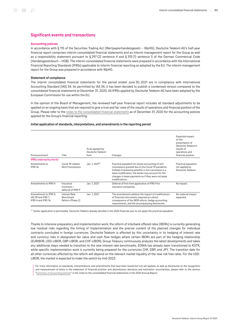### Significant events and transactions

#### <span id="page-43-0"></span>Accounting policies

In accordance with § 115 of the Securities Trading Act (Wertpapierhandelsgesetz – WpHG), Deutsche Telekom AG's half-year financial report comprises interim consolidated financial statements and an interim management report for the Group as well as a responsibility statement pursuant to § 297 (2) sentence 4 and § 315 (1) sentence 5 of the German Commercial Code (Handelsgesetzbuch – HGB). The interim consolidated financial statements were prepared in accordance with the International Financial Reporting Standards (IFRSs) applicable to interim financial reporting as adopted by the EU. The interim management report for the Group was prepared in accordance with WpHG.

#### Statement of compliance

The interim consolidated financial statements for the period ended June 30, 2021 are in compliance with International Accounting Standard (IAS) 34. As permitted by IAS 34, it has been decided to publish a condensed version compared to the consolidated financial statements at December 31, 2020. All IFRSs applied by Deutsche Telekom AG have been adopted by the European Commission for use within the EU.

In the opinion of the Board of Management, the reviewed half-year financial report includes all standard adjustments to be applied on an ongoing basis that are required to give a true and fair view of the results of operations and financial position of the Group. Please refer to the [notes to the consolidated financial statements](https://report.telekom.com/annual-report-2020/notes/summary-of-accounting-policies/general-information.html) as of December 31, 2020 for the accounting policies applied for the Group's financial reporting.

#### Initial application of standards, interpretations, and amendments in the reporting period

| Pronouncement                                                     | Title                                          | To be applied by<br>Deutsche Telekom<br>from | Changes                                                                                                                                                                                                                                                                                      | Expected impact<br>on the<br>presentation of<br>Deutsche Telekom's<br>results of<br>operations and<br>financial position |
|-------------------------------------------------------------------|------------------------------------------------|----------------------------------------------|----------------------------------------------------------------------------------------------------------------------------------------------------------------------------------------------------------------------------------------------------------------------------------------------|--------------------------------------------------------------------------------------------------------------------------|
| <b>IFRSs endorsed by the EU</b>                                   |                                                |                                              |                                                                                                                                                                                                                                                                                              |                                                                                                                          |
| Amendments to<br>IFRS <sub>16</sub>                               | Covid-19-related<br><b>Rent Concessions</b>    | Jan. 1, 2021 <sup>a</sup>                    | Practical expedient for lessee accounting of rent<br>concessions granted due to the Covid-19 pandemic.<br>Instead of assessing whether a rent concession is a<br>lease modification, the lessee may account for the<br>changes in lease payments as if they were not lease<br>modifications. | Practical expedient<br>not applied by<br>Deutsche Telekom.                                                               |
| Amendments to IFRS 4                                              | Insurance<br>Contracts-<br>deferral of IFRS 9  | Jan. 1, 2021                                 | Deferral of first-time application of IFRS 9 for<br>insurance companies.                                                                                                                                                                                                                     | No impact.                                                                                                               |
| Amendments to IFRS 9,<br>IAS 39 and IFRS 7.<br>IFRS 4 and IFRS 16 | Interest Rate<br>Benchmark<br>Reform (Phase 2) | Jan. 1, 2021                                 | The amendments address the impact of modifications<br>of financial instruments required as a direct<br>consequence of the IBOR reform, hedge accounting<br>requirements, and the accompanying disclosures.                                                                                   | No material impact<br>expected.                                                                                          |

<sup>a</sup> Earlier application is permissible. Deutsche Telekom already decided in the 2020 financial year to not apply the practical expedient.

Thanks to intensive preparatory and implementation work, the reform of interbank offered rates (IBORs) is currently generating low residual risks regarding the timing of implementation and the precise content of the planned changes for individual contracts concluded in foreign currencies. Deutsche Telekom is affected by this uncertainty in its hedging of interest rate and currency risks in designated fair value and cash flow hedges where certain IBORs are part of the hedging relationship (EURIBOR, USD-LIBOR, GBP-LIBOR, and CHF-LIBOR). Group Treasury continuously analyzes the latest developments and takes any additional steps needed to transition to the new interest rate benchmarks. EONIA has already been transitioned to  $\epsilon$ STR, while specific implementation work is currently being prepared for the currencies CHF, GBP, and JPY. The transition date for all other currencies affected by the reform will depend on the relevant market liquidity of the new risk free rates. For the USD-LIBOR, the market is expected to make the switch by mid-2023.

For more information on standards, interpretations, and amendments that have been issued but not yet applied, as well as disclosures on the recognition and measurement of items in the statement of financial position and discretionary decisions and estimation uncertainties, please refer to the section "[Summary of accounting policies"](https://report.telekom.com/annual-report-2020/notes/summary-of-accounting-policies/general-information.html) in the notes to the consolidated financial statements in the 2020 Annual Report.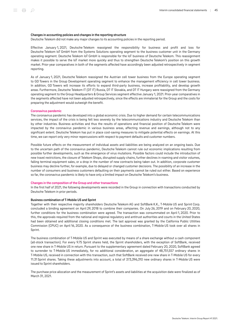#### Changes in accounting policies and changes in the reporting structure

Deutsche Telekom did not make any major changes to its accounting policies in the reporting period.

Effective January 1, 2021, Deutsche Telekom reassigned the responsibility for business and profit and loss for Deutsche Telekom IoT GmbH from the Systems Solutions operating segment to the business customer unit in the Germany operating segment. Deutsche Telekom IoT GmbH is responsible for the IoT business of Deutsche Telekom. This reassignment makes it possible to serve the IoT market more quickly and thus to strengthen Deutsche Telekom's position on this growth market. Prior-year comparatives in both of the segments affected have accordingly been adjusted retrospectively in segment reporting.

As of January 1, 2021, Deutsche Telekom reassigned the Austrian cell tower business from the Europe operating segment to GD Towers in the Group Development operating segment to enhance the management efficiency in cell tower business. In addition, GD Towers will increase its efforts to expand third-party business, increase profitability, and develop growth areas. Furthermore, Deutsche Telekom IT (DT IT) Russia, DT IT Slovakia, and DT IT Hungary were reassigned from the Germany operating segment to the Group Headquarters & Group Services segment effective January 1, 2021. Prior-year comparatives in the segments affected have not been adjusted retrospectively, since the effects are immaterial for the Group and the costs for preparing the adjustment would outweigh the benefit.

#### Coronavirus pandemic

The coronavirus pandemic has developed into a global economic crisis. Due to higher demand for certain telecommunications services, the impact of the crisis is being felt less severely by the telecommunications industry and Deutsche Telekom than by other industries. Business activities and thus the results of operations and financial position of Deutsche Telekom were impacted by the coronavirus pandemic in various business areas, affecting revenue and earnings, although not to any significant extent. Deutsche Telekom has put in place cost-saving measures to mitigate potential effects on earnings. At this time, we can report only very minor repercussions with respect to payment defaults and customer numbers.

Possible future effects on the measurement of individual assets and liabilities are being analyzed on an ongoing basis. Due to the uncertain path of the coronavirus pandemic, Deutsche Telekom cannot rule out economic implications resulting from possible further developments, such as the emergence of virus mutations. Possible factors could include the introduction of new travel restrictions, the closure of Telekom Shops, disrupted supply chains, further declines in roaming and visitor volumes, falling terminal equipment sales, or a drop in the number of new contracts being taken out. In addition, corporate customer business may decline further, for example, due to delayed or changed customer decisions. The possibility of an increase in the number of consumers and business customers defaulting on their payments cannot be ruled out either. Based on experience so far, the coronavirus pandemic is likely to have only a limited impact on Deutsche Telekom's business.

#### <span id="page-44-0"></span>Changes in the composition of the Group and other transactions

In the first half of 2021, the following developments were recorded in the Group in connection with transactions conducted by Deutsche Telekom in prior periods.

#### Business combination of T‑Mobile US and Sprint

Together with their respective majority shareholders Deutsche Telekom AG and SoftBank K.K., T‑Mobile US and Sprint Corp. concluded a binding agreement on April 29, 2018 to combine their companies. On July 26, 2019 and on February 20, 2020, further conditions for the business combination were agreed. The transaction was consummated on April 1, 2020. Prior to this, the approvals required from the national and regional regulatory and antitrust authorities and courts in the United States had been obtained and additional closing conditions met. The last approval was granted by the California Public Utilities Commission (CPUC) on April 16, 2020. As a consequence of the business combination, T‑Mobile US took over all shares in Sprint.

The business combination of T‑Mobile US and Sprint was executed by means of a share exchange without a cash component (all-stock transaction). For every 9.75 Sprint shares held, the Sprint shareholders, with the exception of SoftBank, received one new share in T‑Mobile US in return. Pursuant to the supplementary agreement dated February 20, 2020, SoftBank agreed to surrender to T-Mobile US immediately, for no additional consideration, an aggregate of 48,751,557 ordinary shares in T‑Mobile US, received in connection with this transaction, such that SoftBank received one new share in T‑Mobile US for every 11.31 Sprint shares. Taking these adjustments into account, a total of 373,396,310 new ordinary shares in T‑Mobile US were issued to Sprint shareholders.

The purchase price allocation and the measurement of Sprint's assets and liabilities at the acquisition date were finalized as of March 31, 2021.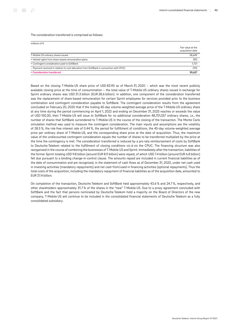The consideration transferred is comprised as follows:

| millions of $\epsilon$                                                                  | Fair value at the<br>acquisition date |
|-----------------------------------------------------------------------------------------|---------------------------------------|
| T-Mobile US ordinary shares issued                                                      | 28,649                                |
| + Vested rights from share-based remuneration plans                                     | 350                                   |
| + Contingent consideration paid to SoftBank                                             | 1,721                                 |
| - Payment received in relation to cost allocation from SoftBank in connection with CPUC | (93)                                  |
| = Consideration transferred                                                             | 30.627                                |

Based on the closing T‑Mobile US share price of USD 83.90 as of March 31, 2020 – which was the most recent publicly available closing price at the time of consummation – the total value of T‑Mobile US ordinary shares issued in exchange for Sprint ordinary shares was USD 31.3 billion (EUR 28.6 billion). In addition, one component of the consideration transferred was the replacement of share-based remuneration for certain Sprint employees for services provided prior to the business combination and contingent consideration payable to SoftBank. The contingent consideration results from the agreement concluded on February 20, 2020 that if the trailing 45-day volume-weighted average price of the T‑Mobile US ordinary share at any time during the period commencing on April 1, 2022 and ending on December 31, 2025 reaches or exceeds the value of USD 150.00, then T‑Mobile US will issue to SoftBank for no additional consideration 48,751,557 ordinary shares, i.e., the number of shares that SoftBank surrendered to T‑Mobile US in the course of the closing of the transaction. The Monte Carlo simulation method was used to measure the contingent consideration. The main inputs and assumptions are the volatility of 28.5 %, the risk-free interest rate of 0.44 %, the period for fulfillment of conditions, the 45-day volume-weighted average price per ordinary share of T-Mobile US, and the corresponding share price at the date of acquisition. Thus, the maximum value of the undiscounted contingent consideration equals the number of shares to be transferred multiplied by the price at the time the contingency is met. The consideration transferred is reduced by a pro rata reimbursement of costs by SoftBank to Deutsche Telekom related to the fulfillment of closing conditions vis-à-vis the CPUC. The financing structure was also reorganized in the course of combining the businesses of T‑Mobile US and Sprint. Immediately after the transaction, liabilities of the former Sprint totaling USD 9.8 billion (around EUR 8.9 billion) were repaid, of which USD 7.4 billion (around EUR 6.8 billion) fell due pursuant to a binding change-in-control clause. The amounts repaid are included in current financial liabilities as of the date of consummation and are recognized, in the statement of cash flows as of December 31, 2020, under net cash used in investing activities (mandatory repayments) and net cash from/used in financing activities (optional repayments). Thus the total costs of the acquisition, including the mandatory repayment of financial liabilities as of the acquisition date, amounted to EUR 37.4 billion.

On completion of the transaction, Deutsche Telekom and SoftBank held approximately 43.6 % and 24.7 %, respectively, and other shareholders approximately 31.7 % of the shares in the "new" T‑Mobile US. Due to a proxy agreement concluded with SoftBank and the fact that persons nominated by Deutsche Telekom hold a majority on the Board of Directors of the new company, T-Mobile US will continue to be included in the consolidated financial statements of Deutsche Telekom as a fully consolidated subsidiary.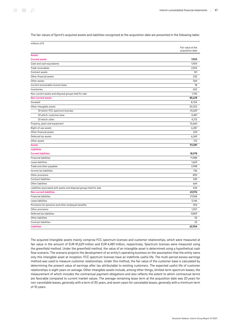The fair values of Sprint's acquired assets and liabilities recognized at the acquisition date are presented in the following table:

| millions of $\epsilon$                                               |                   |
|----------------------------------------------------------------------|-------------------|
|                                                                      | Fair value at the |
|                                                                      | acquisition date  |
| <b>Assets</b>                                                        |                   |
| <b>Current assets</b>                                                | 7,903             |
| Cash and cash equivalents                                            | 1,904             |
| Trade receivables                                                    | 2,924             |
| Contract assets                                                      | 141               |
| Other financial assets                                               | 205               |
| Other assets                                                         | 364               |
| Current recoverable income taxes                                     | 18                |
| Inventories                                                          | 602               |
| Non-current assets and disposal groups held for sale                 | 1,745             |
| <b>Non-current assets</b>                                            | 85,678            |
| Goodwill                                                             | 8,704             |
| Other intangible assets                                              | 50,322            |
| Of which: FCC spectrum licenses                                      | 41,629            |
| Of which: customer base                                              | 4,481             |
| Of which: other                                                      | 4,212             |
| Property, plant and equipment                                        | 13,660            |
| Right-of-use assets                                                  | 6,287             |
| Other financial assets                                               | 224               |
| Deferred tax assets                                                  | 6,269             |
| Other assets                                                         | 212               |
| <b>Assets</b>                                                        | 93,581            |
| <b>Liabilities</b>                                                   |                   |
| <b>Current liabilities</b>                                           | 18,978            |
| <b>Financial liabilities</b>                                         | 11,988            |
| Lease liabilities                                                    | 1,669             |
| Trade and other payables                                             | 2,948             |
| Income tax liabilities                                               | 136               |
| Other provisions                                                     | 890               |
| Contract liabilities                                                 | 249               |
| Other liabilities                                                    | 664               |
| Liabilities associated with assets and disposal groups held for sale | 434               |
| <b>Non-current liabilities</b>                                       | 43,976            |
| <b>Financial liabilities</b>                                         | 27,068            |
| Lease liabilities                                                    | 5,146             |
| Provisions for pensions and other employee benefits                  | 816               |
| Other provisions                                                     | 1,057             |
| Deferred tax liabilities                                             | 9,809             |
| Other liabilities                                                    | 55                |
| Contract liabilities                                                 | 25                |
| <b>Liabilities</b>                                                   | 62,954            |
|                                                                      |                   |

The acquired intangible assets mainly comprise FCC spectrum licenses and customer relationships, which were measured at fair value in the amount of EUR 41,629 million and EUR 4,481 million, respectively. Spectrum licenses were measured using the greenfield method. Under the greenfield method, the value of an intangible asset is determined using a hypothetical cash flow scenario. The scenario projects the development of an entity's operating business on the assumption that the entity owns only this intangible asset at inception. FCC spectrum licenses have an indefinite useful life. The multi-period excess earnings method was used to measure customer relationships. Under this method, the fair value of the customer base is calculated by determining the present value of earnings after tax attributable to existing customers. The expected useful life of customer relationships is eight years on average. Other intangible assets include, among other things, limited-term spectrum leases, the measurement of which includes the contractual payment obligations and also reflects the extent to which contractual terms are favorable compared to current market values. The average remaining lease term at the acquisition date was 20 years for non-cancelable leases, generally with a term of 30 years, and seven years for cancelable leases, generally with a minimum term of 10 years.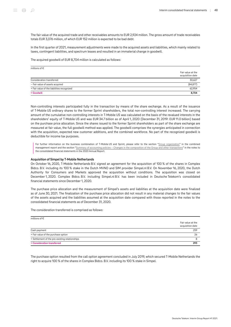The fair value of the acquired trade and other receivables amounts to EUR 2,924 million. The gross amount of trade receivables totals EUR 3,076 million, of which EUR 152 million is expected to be bad debt.

In the first quarter of 2021, measurement adjustments were made to the acquired assets and liabilities, which mainly related to taxes, contingent liabilities, and spectrum leases and resulted in an immaterial change in goodwill.

The acquired goodwill of EUR 8,704 million is calculated as follows:

| millions of $\epsilon$                     |                                       |
|--------------------------------------------|---------------------------------------|
|                                            | Fair value at the<br>acquisition date |
| Consideration transferred                  | 30,627                                |
| - Fair value of assets acquired            | (84, 877)                             |
| + Fair value of the liabilities recognized | 62,954                                |
| $=$ Goodwill                               | 8,704                                 |

Non-controlling interests participated fully in the transaction by means of the share exchange. As a result of the issuance of T‑Mobile US ordinary shares to the former Sprint shareholders, the total non-controlling interest increased. The carrying amount of the cumulative non-controlling interests in T‑Mobile US was calculated on the basis of the revalued interests in the shareholders' equity of T‑Mobile US and was EUR 34.7 billion as of April 1, 2020 (December 31, 2019: EUR 11.0 billion) based on the purchase price allocation. Since the shares issued to the former Sprint shareholders as part of the share exchange are measured at fair value, the full goodwill method was applied. The goodwill comprises the synergies anticipated in connection with the acquisition, expected new customer additions, and the combined workforce. No part of the recognized goodwill is deductible for income tax purposes.

For further information on the business combination of T-Mobile US and Sprint, please refer to the section "[Group organization"](https://report.telekom.com/annual-report-2020/management-report/group-organization/business-activities-and-segment-structure.html) in the combined management report and the section ["Summary of accounting policies – Changes in the composition of the Group and other transactions](https://report.telekom.com/annual-report-2020/notes/summary-of-accounting-policies/changes-in-the-composition-of-the-group-and-other-transactions.html)" in the notes to the consolidated financial statements in the 2020 Annual Report.

#### Acquisition of Simpel by T‑Mobile Netherlands

On October 16, 2020, T‑Mobile Netherlands B.V. signed an agreement for the acquisition of 100 % of the shares in Complex Bidco. B.V. including its 100 % stake in the Dutch MVNO and SIM provider Simpel.nl B.V. On November 16, 2020, the Dutch Authority for Consumers and Markets approved the acquisition without conditions. The acquisition was closed on December 1, 2020. Complex Bidco. B.V. including Simpel.nl B.V. has been included in Deutsche Telekom's consolidated financial statements since December 1, 2020.

The purchase price allocation and the measurement of Simpel's assets and liabilities at the acquisition date were finalized as of June 30, 2021. The finalization of the purchase price allocation did not result in any material changes to the fair values of the assets acquired and the liabilities assumed at the acquisition date compared with those reported in the notes to the consolidated financial statements as of December 31, 2020.

The consideration transferred is comprised as follows:

| = Consideration transferred                    | 293                                   |
|------------------------------------------------|---------------------------------------|
| + Settlement of the pre-existing relationships |                                       |
| + Fair value of the purchase option            | 26                                    |
| Cash payment                                   | 259                                   |
|                                                | Fair value at the<br>acquisition date |
| millions of $\epsilon$                         |                                       |

The purchase option resulted from the call option agreement concluded in July 2019, which secured T‑Mobile Netherlands the right to acquire 100 % of the shares in Complex Bidco. B.V. including its 100 % stake in Simpel.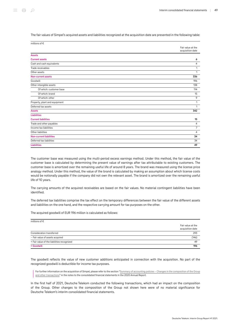The fair values of Simpel's acquired assets and liabilities recognized at the acquisition date are presented in the following table:

| millions of €                  |                                       |
|--------------------------------|---------------------------------------|
|                                | Fair value at the<br>acquisition date |
| <b>Assets</b>                  |                                       |
| <b>Current assets</b>          | 6                                     |
| Cash and cash equivalents      | $\overline{4}$                        |
| Trade receivables              | 1                                     |
| Other assets                   | 1                                     |
| <b>Non-current assets</b>      | 336                                   |
| Goodwill                       | 196                                   |
| Other intangible assets        | 138                                   |
| Of which: customer base        | 114                                   |
| Of which: brand                | 15                                    |
| Of which: other                | 9                                     |
| Property, plant and equipment  | $\mathbf{1}$                          |
| Deferred tax assets            | 1                                     |
| <b>Assets</b>                  | 342                                   |
| <b>Liabilities</b>             |                                       |
| <b>Current liabilities</b>     | 15                                    |
| Trade and other payables       | $\overline{4}$                        |
| Income tax liabilities         | $\overline{7}$                        |
| Other liabilities              | 4                                     |
| <b>Non-current liabilities</b> | 34                                    |
| Deferred tax liabilities       | 34                                    |
| <b>Liabilities</b>             | 49                                    |

The customer base was measured using the multi-period excess earnings method. Under this method, the fair value of the customer base is calculated by determining the present value of earnings after tax attributable to existing customers. The customer base is amortized over the remaining useful life of around 8 years. The brand was measured using the license price analogy method. Under this method, the value of the brand is calculated by making an assumption about which license costs would be notionally payable if the company did not own the relevant asset. The brand is amortized over the remaining useful life of 10 years.

The carrying amounts of the acquired receivables are based on the fair values. No material contingent liabilities have been identified.

The deferred tax liabilities comprise the tax effect on the temporary differences between the fair value of the different assets and liabilities on the one hand, and the respective carrying amount for tax purposes on the other.

The acquired goodwill of EUR 196 million is calculated as follows:

| millions of $\epsilon$                     |                                       |
|--------------------------------------------|---------------------------------------|
|                                            | Fair value at the<br>acquisition date |
| Consideration transferred                  | 293                                   |
| - Fair value of assets acquired            | (146)                                 |
| + Fair value of the liabilities recognized | 49                                    |
| $=$ Goodwill                               | 196                                   |

The goodwill reflects the value of new customer additions anticipated in connection with the acquisition. No part of the recognized goodwill is deductible for income tax purposes.

For further information on the acquisition of Simpel, please refer to the section ["Summary of accounting policies – Changes in the composition of the Group](https://report.telekom.com/annual-report-2020/notes/summary-of-accounting-policies/changes-in-the-composition-of-the-group-and-other-transactions.html) [and other transactions](https://report.telekom.com/annual-report-2020/notes/summary-of-accounting-policies/changes-in-the-composition-of-the-group-and-other-transactions.html)" in the notes to the consolidated financial statements in the 2020 Annual Report.

In the first half of 2021, Deutsche Telekom conducted the following transactions, which had an impact on the composition of the Group. Other changes to the composition of the Group not shown here were of no material significance for Deutsche Telekom's interim consolidated financial statements.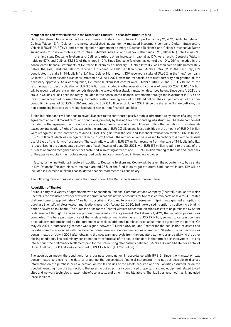#### Merger of the cell tower business in the Netherlands and set-up of an infrastructure fund

Deutsche Telekom has set up a fund for investments in digital infrastructure in Europe. On January 21, 2021, Deutsche Telekom, Cellnex Telecom S.A. (Cellnex), the newly established independently managed investment company Digital Infrastructure Vehicle II SICAF-RAIF (DIV), and others signed an agreement to merge Deutsche Telekom's and Cellnex's respective Dutch subsidiaries for passive mobile infrastructure, T‑Mobile Infra B.V. and Cellnex Netherlands B.V. (Cellnex NL), into Cellnex NL. In the first step, Deutsche Telekom and Cellnex carried out an increase in capital at DIV. As a result, Deutsche Telekom holds 66.67 % and Cellnex 33.33 % of the shares in DIV. Since Deutsche Telekom has control over DIV, DIV is included in the consolidated financial statements of Deutsche Telekom as a subsidiary. T‑Mobile Infra B.V. was then sold to DIV. Immediately before the sale, Deutsche Telekom received a dividend of EUR 0.3 billion from T-Mobile Infra B.V. In the next step, DIV contributed its stake in T‑Mobile Infra B.V. into Cellnex NL. In return, DIV received a stake of 37.65 % in the "new" company Cellnex NL. The transaction was consummated on June 1, 2021, after the responsible antitrust authority had granted all the necessary approvals. As a consequence, Deutsche Telekom lost control over T‑Mobile Infra B.V. and EUR 0.2 billion of the resulting gain on deconsolidation of EUR 0.3 billion was included in other operating income as of June 30, 2021. EUR 0.1 billion will be recognized pro rata in later periods through the sale-and-leaseback transaction described below. Since June 1, 2021, the stake in Cellnex NL has been indirectly included in the consolidated financial statements through the investment in DIV as an investment accounted for using the equity method with a carrying amount of EUR 0.4 billion. The carrying amount of the noncontrolling interest of 33.33 % in DIV amounted to EUR 0.1 billion as of June 1, 2021. Since the shares in DIV are puttable, the non-controlling interests were recognized under non-current financial liabilities.

T‑Mobile Netherlands will continue to have full access to the contributed passive mobile infrastructure by means of a long-term agreement at normal market terms and conditions, primarily by leasing the corresponding infrastructure. The lease component included in the agreement with a non-cancelable basic lease term of around 12 years fulfills the conditions of a sale-andleaseback transaction. Right-of-use assets in the amount of EUR 0.3 billion and lease liabilities in the amount of EUR 0.4 billion were recognized in this context as of June 1, 2021. The gain from the sale-and-leaseback transaction totaled EUR 0.1 billion, EUR 12 million of which was recognized directly in profit or loss; the remainder will be released to profit or loss over the residual useful lives of the rights-of-use assets. The cash inflow totaling EUR 377 million resulting from the sale of T-Mobile Infra B.V. is recognized in the consolidated statement of cash flows as of June 30, 2021, with EUR 135 million relating to the sale of the business operation recognized under net cash used in investing activities and EUR 242 million relating to the sale and leaseback of the passive mobile infrastructure recognized under net cash from/used in financing activities.

In future, further institutional investors in addition to Deutsche Telekom and Cellnex will be given the opportunity to buy a stake in DIV. Deutsche Telekom plans to maintain around 25 % of the fund in its target structure. Until control is lost, DIV will be included in Deutsche Telekom's consolidated financial statements as a subsidiary.

The following transactions will change the composition of the Deutsche Telekom Group in future.

#### Acquisition of Shentel

Sprint is party to a variety of agreements with Shenandoah Personal Communications Company (Shentel), pursuant to which Shentel is the exclusive provider of wireless communications network products for Sprint in certain parts of several U.S. states that are home to approximately 1.1 million subscribers. Pursuant to one such agreement, Sprint was granted an option to purchase Shentel's wireless telecommunications assets. On August 26, 2020, Sprint exercised its option by delivering a binding notice of exercise to Shentel. The purchase price for the Shentel wireless telecommunications assets to be purchased by Sprint is determined through the valuation process prescribed in the agreement. On February 1, 2021, the valuation process was completed. The base purchase price of the wireless telecommunication assets is USD 1.9 billion, subject to certain purchase price adjustments prescribed by the agreement as well as additional purchase price adjustments agreed by the parties. On May 28, 2021, a purchase agreement was signed between T‑Mobile USA Inc. and Shentel for the acquisition of assets and liabilities directly associated with the aforementioned wireless telecommunications operation of Shentel. The transaction was consummated on July 1, 2021, after obtaining the necessary approvals from the regulatory authorities and satisfying the other closing conditions. The preliminary consideration transferred as of the acquisition date in the form of a cash payment – taking into account the preliminary settlement paid for the pre-existing relationships between T‑Mobile US and Shentel for a total of USD 0.1 billion (EUR 0.1 billion) – amounted to USD 1.9 billion (EUR 1.6 billion).

The acquisition meets the conditions for a business combination in accordance with IFRS 3. Since the transaction was consummated so close to the date of preparing the consolidated financial statements, it is not yet possible to disclose information on the purchase price allocation, on the fair values of the assets acquired and the liabilities assumed, or on the goodwill resulting from the transaction. The assets acquired primarily comprised property, plant and equipment related to cell sites and network technology, lease right-of-use assets, and other intangible assets. The liabilities assumed mainly included lease liabilities.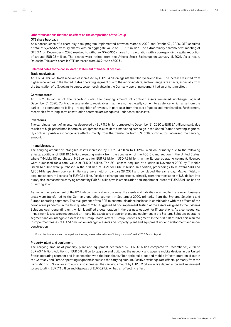#### Other transactions that had no effect on the composition of the Group OTE share buy-back

As a consequence of a share buy-back program implemented between March 4, 2020 and October 31, 2020, OTE acquired a total of 9,965,956 treasury shares with an aggregate value of EUR 121 million. The extraordinary shareholders' meeting of OTE S.A. on December 4, 2020 resolved to withdraw 9,965,956 shares from circulation with a corresponding capital reduction of around EUR 28 million. The shares were retired from the Athens Stock Exchange on January 15, 2021. As a result, Deutsche Telekom's share in OTE increased from 46.91 % to 47.90 %.

#### <span id="page-50-0"></span>Selected notes to the consolidated statement of financial position

#### Trade receivables

At EUR 14.0 billion, trade receivables increased by EUR 0.4 billion against the 2020 year-end level. The increase resulted from higher receivables in the United States operating segment due to the reporting date, and exchange rate effects, especially from the translation of U.S. dollars to euros. Lower receivables in the Germany operating segment had an offsetting effect.

#### Contract assets

At EUR 2.0 billion as of the reporting date, the carrying amount of contract assets remained unchanged against December 31, 2020. Contract assets relate to receivables that have not yet legally come into existence, which arise from the earlier – as compared to billing – recognition of revenue, in particular from the sale of goods and merchandise. Furthermore, receivables from long-term construction contracts are recognized under contract assets.

#### Inventories

The carrying amount of inventories decreased by EUR 0.6 billion compared to December 31, 2020 to EUR 2.1 billion, mainly due to sales of high-priced mobile terminal equipment as a result of a marketing campaign in the United States operating segment. By contrast, positive exchange rate effects, mainly from the translation from U.S. dollars into euros, increased the carrying amount.

#### Intangible assets

The carrying amount of intangible assets increased by EUR 10.4 billion to EUR 128.4 billion, primarily due to the following effects: additions of EUR 10.6 billion, resulting mainly from the conclusion of the FCC C-band auction in the United States, where T‑Mobile US purchased 142 licenses for EUR 7.8 billion (USD 9.3 billion). In the Europe operating segment, licenses were purchased for a total value of EUR 0.2 billion. The 5G licenses acquired at auction in November 2020 by T-Mobile Czech Republic were purchased in the first half of 2021 for EUR 0.1 billion. In addition, proceedings to re-award 900 and 1,800 MHz spectrum licenses in Hungary were held on January 28, 2021 and concluded the same day. Magyar Telekom acquired spectrum licenses for EUR 0.1 billion. Positive exchange rate effects, primarily from the translation of U.S. dollars into euros, also increased the carrying amount by EUR 3.1 billion, while amortization and impairment losses of EUR 3.3 billion had an offsetting effect.

As part of the realignment of the B2B telecommunications business, the assets and liabilities assigned to the relevant business areas were transferred to the Germany operating segment in September 2020, primarily from the Systems Solutions and Europe operating segments. The realignment of the B2B telecommunications business in combination with the effects of the coronavirus pandemic in the third quarter of 2020 triggered ad hoc impairment testing of the assets assigned to the Systems Solutions cash-generating unit, which identified a deterioration in the business outlook for IT operations. As a consequence, impairment losses were recognized on intangible assets and property, plant and equipment in the Systems Solutions operating segment and on intangible assets in the Group Headquarters & Group Services segment. In the first half of 2021, this resulted in impairment losses of EUR 47 million on intangible assets and property, plant and equipment under development and under construction.

For further information on the impairment losses, please refer to Note 6 "[Intangible assets](https://report.telekom.com/annual-report-2020/notes/notes-to-the-statement-of-financial-position/6-intangible-assets.html)" in the 2020 Annual Report.

#### Property, plant and equipment

The carrying amount of property, plant and equipment decreased by EUR 0.5 billion compared to December 31, 2020 to EUR 60.4 billion. Additions of EUR 6.8 billion to upgrade and build out the network and acquire mobile devices in our United States operating segment and in connection with the broadband/fiber-optic build-out and mobile infrastructure build-out in the Germany and Europe operating segments increased the carrying amount. Positive exchange rate effects, primarily from the translation of U.S. dollars into euros, also increased the carrying amount by EUR 0.9 billion, while depreciation and impairment losses totaling EUR 7.3 billion and disposals of EUR 0.9 billion had an offsetting effect.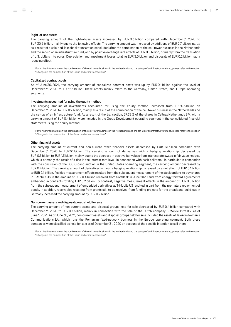#### Right-of-use assets

The carrying amount of the right-of-use assets increased by EUR 0.3 billion compared with December 31, 2020 to EUR 30.6 billion, mainly due to the following effects: The carrying amount was increased by additions of EUR 2.7 billion, partly as a result of a sale-and-leaseback transaction concluded after the combination of the cell tower business in the Netherlands and the set-up of an infrastructure fund, and by positive exchange rate effects of EUR 0.8 billion, primarily from the translation of U.S. dollars into euros. Depreciation and impairment losses totaling EUR 3.0 billion and disposals of EUR 0.2 billion had a reducing effect.

For further information on the combination of the cell tower business in the Netherlands and the set-up of an infrastructure fund, please refer to the section "[Changes in the composition of the Group and other transactions](#page-44-0)."

#### Capitalized contract costs

As of June 30, 2021, the carrying amount of capitalized contract costs was up by EUR 0.1 billion against the level of December 31, 2020 to EUR 2.3 billion. These assets mainly relate to the Germany, United States, and Europe operating segments.

#### Investments accounted for using the equity method

The carrying amount of investments accounted for using the equity method increased from EUR 0.5 billion on December 31, 2020 to EUR 0.9 billion, mainly as a result of the combination of the cell tower business in the Netherlands and the set-up of an infrastructure fund. As a result of the transaction, 37.65 % of the shares in Cellnex Netherlands B.V. with a carrying amount of EUR 0.4 billion were included in the Group Development operating segment in the consolidated financial statements using the equity method.

For further information on the combination of the cell tower business in the Netherlands and the set-up of an infrastructure fund, please refer to the section "[Changes in the composition of the Group and other transactions](#page-44-0)."

#### Other financial assets

The carrying amount of current and non-current other financial assets decreased by EUR 0.6 billion compared with December 31, 2020 to EUR 9.1 billion. The carrying amount of derivatives with a hedging relationship decreased by EUR 0.5 billion to EUR 1.5 billion, mainly due to the decrease in positive fair values from interest rate swaps in fair value hedges, which is primarily the result of a rise in the interest rate level. In connection with cash collateral, in particular in connection with the conclusion of the FCC C-band auction in the United States operating segment, the carrying amount decreased by EUR 0.4 billion. The carrying amount of derivatives without a hedging relationship increased by a net effect of EUR 0.1 billion to EUR 2.1 billion. Positive measurement effects resulted from the subsequent measurement of the stock options to buy shares in T-Mobile US in the amount of EUR 0.4 billion received from SoftBank in June 2020 and from energy forward agreements embedded in contracts totaling EUR 0.2 billion. By contrast, negative measurement effects in the amount of EUR 0.5 billion from the subsequent measurement of embedded derivatives at T-Mobile US resulted in part from the premature repayment of bonds. In addition, receivables resulting from grants still to be received from funding projects for the broadband build-out in Germany increased the carrying amount by EUR 0.2 billion.

#### Non-current assets and disposal groups held for sale

The carrying amount of non-current assets and disposal groups held for sale decreased by EUR 0.4 billion compared with December 31, 2020 to EUR 0.7 billion, mainly in connection with the sale of the Dutch company T-Mobile Infra B.V. as of June 1, 2021. As of June 30, 2021, non-current assets and disposal groups held for sale included the assets of Telekom Romania Communications S.A., which runs the Romanian fixed-network business in the Europe operating segment. Both these companies were classified as held for sale as of December 31, 2020 on account of the specific intention to sell them.

For further information on the combination of the cell tower business in the Netherlands and the set-up of an infrastructure fund, please refer to the section "[Changes in the composition of the Group and other transactions](#page-44-0)."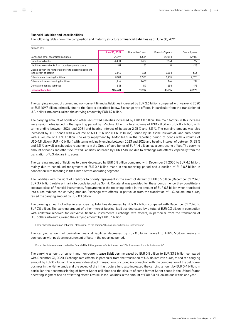The following table shows the composition and maturity structure of financial liabilities as of June 30, 2021:

| millions of $\epsilon$                                                                   |               |                   |                       |                 |
|------------------------------------------------------------------------------------------|---------------|-------------------|-----------------------|-----------------|
|                                                                                          | June 30, 2021 | Due within 1 year | Due $>1 \leq 5$ years | Due $>$ 5 years |
| Bonds and other securitized liabilities                                                  | 91,749        | 5.534             | 29.034                | 57,180          |
| Liabilities to banks                                                                     | 4,480         | 1.429             | 2,151                 | 899             |
| Liabilities to non-banks from promissory note bonds                                      | 481           | 53                | 0                     | 428             |
| Liabilities with the right of creditors to priority repayment<br>in the event of default | 3,513         | 626               | 2,254                 | 633             |
| Other interest-bearing liabilities                                                       | 7,020         | 2,505             | 1.995                 | 2,520           |
| Other non-interest-bearing liabilities                                                   | 1.916         | 1.637             | 146                   | 134             |
| Derivative financial liabilities                                                         | 531           | 119               | 234                   | 178             |
| <b>Financial liabilities</b>                                                             | 109,690       | 11.902            | 35,815                | 61,973          |

The carrying amount of current and non-current financial liabilities increased by EUR 2.6 billion compared with year-end 2020 to EUR 109.7 billion, primarily due to the factors described below. Exchange rate effects, in particular from the translation of U.S. dollars into euros, raised the carrying amount by EUR 1.9 billion.

The carrying amount of bonds and other securitized liabilities increased by EUR 4.0 billion. The main factors in this increase were senior notes issued in the reporting period by T-Mobile US with a total volume of USD 9.8 billion (EUR 8.2 billion) with terms ending between 2026 and 2031 and bearing interest of between 2.25 % and 3.5 %. The carrying amount was also increased by AUD bonds with a volume of AUD 0.1 billion (EUR 0.1 billion) issued by Deutsche Telekom AG and euro bonds with a volume of EUR 0.1 billion. The early repayment by T-Mobile US in the reporting period of bonds with a volume of USD 4.8 billion (EUR 4.0 billion) with terms originally ending between 2023 and 2026 and bearing interest of between 5.125 % and 6.5 % as well as scheduled repayments in the Group of euro bonds of EUR 1.4 billion had a contrasting effect. The carrying amount of bonds and other securitized liabilities increased by EUR 1.6 billion due to exchange rate effects, especially from the translation of U.S. dollars into euros.

The carrying amount of liabilities to banks decreased by EUR 0.8 billion compared with December 31, 2020 to EUR 4.5 billion, mainly due to scheduled repayments of EUR 0.6 billion made in the reporting period and a decline of EUR 0.3 billion in connection with factoring in the United States operating segment.

The liabilities with the right of creditors to priority repayment in the event of default of EUR 3.5 billion (December 31, 2020: EUR 3.9 billion) relate primarily to bonds issued by Sprint. Collateral was provided for these bonds, hence they constitute a separate class of financial instruments. Repayments in the reporting period in the amount of EUR 0.5 billion when translated into euros reduced the carrying amount. Exchange rate effects, in particular from the translation of U.S. dollars into euros, raised the carrying amount by EUR 0.1 billion.

The carrying amount of other interest-bearing liabilities decreased by EUR 0.2 billion compared with December 31, 2020 to EUR 7.0 billion. The carrying amount of other interest-bearing liabilities decreased by a total of EUR 0.3 billion in connection with collateral received for derivative financial instruments. Exchange rate effects, in particular from the translation of U.S. dollars into euros, raised the carrying amount by EUR 0.1 billion.

For further information on collateral, please refer to the section "[Disclosures on financial instruments.](#page-62-0)"

The carrying amount of derivative financial liabilities decreased by EUR 0.3 billion overall to EUR 0.5 billion, mainly in connection with positive measurement effects in the reporting period.

For further information on derivative financial liabilities, please refer to the section "[Disclosures on financial instruments](#page-62-0)."

The carrying amount of current and non-current lease liabilities increased by EUR 0.5 billion to EUR 33.3 billion compared with December 31, 2020. Exchange rate effects, in particular from the translation of U.S. dollars into euros, raised the carrying amount by EUR 0.9 billion. The sale-and-leaseback transaction concluded in connection with the combination of the cell tower business in the Netherlands and the set-up of the infrastructure fund also increased the carrying amount by EUR 0.4 billion. In particular, the decommissioning of former Sprint cell sites and the closure of some former Sprint shops in the United States operating segment had an offsetting effect. Overall, lease liabilities in the amount of EUR 5.0 billion are due within one year.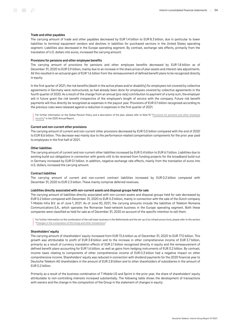#### Trade and other payables

The carrying amount of trade and other payables decreased by EUR 1.4 billion to EUR 8.3 billion, due in particular to lower liabilities to terminal equipment vendors and declines in liabilities for purchased services in the United States operating segment. Liabilities also decreased in the Europe operating segment. By contrast, exchange rate effects, primarily from the translation of U.S. dollars into euros, increased the carrying amount.

#### Provisions for pensions and other employee benefits

The carrying amount of provisions for pensions and other employee benefits decreased by EUR 1.8 billion as of December 31, 2020 to EUR 5.9 billion, mainly due to an increase in the share prices of plan assets and interest rate adjustments. All this resulted in an actuarial gain of EUR 1.6 billion from the remeasurement of defined benefit plans to be recognized directly in equity.

In the first quarter of 2021, the risk benefits (death in the active phase and/or disability) for employees not covered by collective agreements in Germany were restructured, as had already been done for employees covered by collective agreements in the fourth quarter of 2020. As a result of the change from an annual (pro rata) contribution to payment of a lump sum, the employer will in future grant the risk benefit irrespective of the employee's length of service with the company. Future risk benefit payments will thus directly be recognized as expenses in the payout year. Provisions of EUR 0.1 billion recognized according to the previous rules were released against a reduction in expenses in the first quarter of 2021.

For further information on the Global Pension Policy and a description of the plan, please refer to Note 15 ["Provisions for pensions and other employee](https://report.telekom.com/annual-report-2020/notes/notes-to-the-statement-of-financial-position/15-provisions-for-pensions-and-other-employee-benefits.html) [benefits"](https://report.telekom.com/annual-report-2020/notes/notes-to-the-statement-of-financial-position/15-provisions-for-pensions-and-other-employee-benefits.html) in the 2020 Annual Report.

#### Current and non-current other provisions

The carrying amount of current and non-current other provisions decreased by EUR 0.5 billion compared with the end of 2020 to EUR 8.6 billion. This decrease was mainly due to the performance-related compensation components for the prior year paid to employees in the first half of 2021.

#### Other liabilities

The carrying amount of current and non-current other liabilities increased by EUR 0.4 billion to EUR 6.1 billion. Liabilities due to existing build-out obligations in connection with grants still to be received from funding projects for the broadband build-out in Germany increased by EUR 0.1 billion. In addition, negative exchange rate effects, mainly from the translation of euros into U.S. dollars, increased the carrying amount.

#### Contract liabilities

The carrying amount of current and non-current contract liabilities increased by EUR 0.2 billion compared with December 31, 2020 to EUR 2.3 billion. These mainly comprise deferred revenues.

#### Liabilities directly associated with non-current assets and disposal groups held for sale

The carrying amount of liabilities directly associated with non-current assets and disposal groups held for sale decreased by EUR 0.2 billion compared with December 31, 2020 to EUR 0.3 billion, mainly in connection with the sale of the Dutch company T‑Mobile Infra B.V. as of June 1, 2021. As of June 30, 2021, the carrying amounts include the liabilities of Telekom Romania Communications S.A., which operates the Romanian fixed-network business in the Europe operating segment. Both these companies were classified as held for sale as of December 31, 2020 on account of the specific intention to sell them.

For further information on the combination of the cell tower business in the Netherlands and the set-up of an infrastructure fund, please refer to the section "[Changes in the composition of the Group and other transactions](#page-44-0)."

#### Shareholders' equity

The carrying amount of shareholders' equity increased from EUR 72.6 billion as of December 31, 2020 to EUR 77.0 billion. This growth was attributable to profit of EUR 3.8 billion and to the increase in other comprehensive income of EUR 3.7 billion, primarily as a result of currency translation effects of EUR 2.1 billion recognized directly in equity and the remeasurement of defined benefit plans accounting for EUR 1.6 billion, as well as gains from hedging instruments of EUR 0.2 billion. By contrast, income taxes relating to components of other comprehensive income of EUR 0.3 billion had a negative impact on other comprehensive income. Shareholders' equity was reduced in connection with dividend payments for the 2020 financial year to Deutsche Telekom AG shareholders in the amount of EUR 2.8 billion and to other shareholders of subsidiaries in the amount of EUR 0.2 billion.

Primarily as a result of the business combination of T-Mobile US and Sprint in the prior year, the share of shareholders' equity attributable to non-controlling interests increased substantially. The following table shows the development of transactions with owners and the change in the composition of the Group in the statement of changes in equity: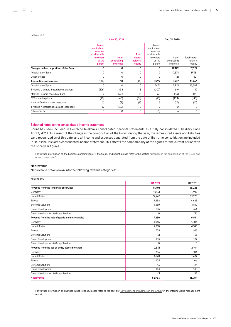#### millions of €

|                                         |                                                                                           | June 30, 2021                           |                                              | Dec. 31, 2020                                                                      |                                  |                                    |  |
|-----------------------------------------|-------------------------------------------------------------------------------------------|-----------------------------------------|----------------------------------------------|------------------------------------------------------------------------------------|----------------------------------|------------------------------------|--|
|                                         | <b>Issued</b><br>capital and<br>reserves<br>attributable<br>to owners<br>of the<br>parent | Non-<br>controlling<br><b>interests</b> | <b>Total</b><br>share-<br>holders'<br>equity | Issued<br>capital and<br>reserves<br>attributable<br>to owners<br>of the<br>parent | Non-<br>controlling<br>interests | Total share-<br>holders'<br>equity |  |
| Changes in the composition of the Group | 0                                                                                         | 0                                       | 0                                            | 0                                                                                  | 17,329                           | 17,329                             |  |
| Acquisition of Sprint                   | 0                                                                                         | 0                                       | $\Omega$                                     | $\Omega$                                                                           | 17,331                           | 17,331                             |  |
| Other effects                           | 0                                                                                         | 0                                       | $\Omega$                                     | $\Omega$                                                                           | (2)                              | (2)                                |  |
| <b>Transactions with owners</b>         | (106)                                                                                     | 10                                      | (96)                                         | 7,299                                                                              | 5,967                            | 13,266                             |  |
| Acquisition of Sprint                   | 0                                                                                         | 0                                       | 0                                            | 7,474                                                                              | 5,915                            | 13,389                             |  |
| T-Mobile US share-based remuneration    | (126)                                                                                     | 134                                     | 8                                            | (207)                                                                              | 249                              | 42                                 |  |
| Magyar Telekom share buy-back           | 9                                                                                         | (38)                                    | (29)                                         | 68                                                                                 | (83)                             | (15)                               |  |
| OTE share buy-back                      | (20)                                                                                      | (46)                                    | (66)                                         | (40)                                                                               | (103)                            | (143)                              |  |
| Hrvatski Telekom share buy-back         | (1)                                                                                       | (8)                                     | (9)                                          | 5                                                                                  | (17)                             | (12)                               |  |
| T-Mobile Netherlands sale and leaseback | 32                                                                                        | (32)                                    | 0                                            | $\Omega$                                                                           | 0                                | $\Omega$                           |  |
| Other effects                           | 0                                                                                         | 0                                       | 0                                            | (1)                                                                                | 6                                | 5                                  |  |

#### Selected notes to the consolidated income statement

Sprint has been included in Deutsche Telekom's consolidated financial statements as a fully consolidated subsidiary since April 1, 2020. As a result of the change in the composition of the Group during the year, the remeasured assets and liabilities were recognized as of this date, and all income and expenses generated from the date of first-time consolidation are included in Deutsche Telekom's consolidated income statement. This affects the comparability of the figures for the current period with the prior-year figures.

For further information on the business combination of T-Mobile US and Sprint, please refer to the section "[Changes in the composition of the Group and](#page-44-0) [other transactions.](#page-44-0)"

#### Net revenue

Net revenue breaks down into the following revenue categories:

#### millions of €

|                                                 | H12021   | H12020   |
|-------------------------------------------------|----------|----------|
| Revenue from the rendering of services          | 41,401   | 38,226   |
| Germany                                         | 10,131   | 9,918    |
| <b>United States</b>                            | 24,247   | 21,273   |
| Europe                                          | 4,638    | 4,625    |
| <b>Systems Solutions</b>                        | 1,550    | 1,610    |
| Group Development                               | 795      | 764      |
| Group Headquarters & Group Services             | 40       | 36       |
| Revenue from the sale of goods and merchandise  | 9,250    | 6,614    |
| Germany                                         | 1,065    | 1,003    |
| <b>United States</b>                            | 7,230    | 4,745    |
| Europe                                          | 709      | 645      |
| <b>Systems Solutions</b>                        | 31       | 35       |
| Group Development                               | 215      | 187      |
| Group Headquarters & Group Services             | $\Omega$ | $\Omega$ |
| Revenue from the use of entity assets by others | 2,331    | 2,144    |
| Germany                                         | 356      | 384      |
| <b>United States</b>                            | 1,648    | 1,437    |
| Europe                                          | 105      | 106      |
| <b>Systems Solutions</b>                        | 16       | 24       |
| Group Development                               | 144      | 135      |
| Group Headquarters & Group Services             | 63       | 58       |
| Net revenue                                     | 52,983   | 46,984   |

For further information on changes in net revenue, please refer to the section ["Development of business in the Group"](#page-11-0) in the interim Group management report.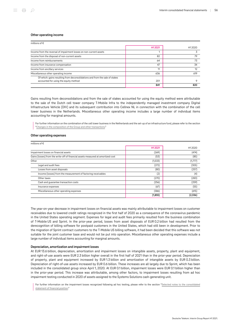#### Other operating income

| millions of $\epsilon$                                                                                               |        |                    |
|----------------------------------------------------------------------------------------------------------------------|--------|--------------------|
|                                                                                                                      | H12021 | H <sub>12020</sub> |
| Income from the reversal of impairment losses on non-current assets                                                  |        |                    |
| Income from the disposal of non-current assets                                                                       | 82     | 79                 |
| Income from reimbursements                                                                                           | 64     | 73                 |
| Income from insurance compensation                                                                                   | 47     | 34                 |
| Income from ancillary services                                                                                       | 11     | 12                 |
| Miscellaneous other operating income                                                                                 | 636    | 619                |
| Of which: gains resulting from deconsolidations and from the sale of stakes<br>accounted for using the equity method | 201    |                    |
|                                                                                                                      | 841    | 820                |

Gains resulting from deconsolidations and from the sale of stakes accounted for using the equity method were attributable to the sale of the Dutch cell tower company T-Mobile Infra to the independently managed investment company Digital Infrastructure Vehicle (DIV) and its subsequent contribution into Cellnex NL in connection with the combination of the cell tower business in the Netherlands. Miscellaneous other operating income includes a large number of individual items accounting for marginal amounts.

For further information on the combination of the cell tower business in the Netherlands and the set-up of an infrastructure fund, please refer to the section "[Changes in the composition of the Group and other transactions](#page-44-0)."

#### Other operating expenses

| millions of $\epsilon$                                                           |          |                    |
|----------------------------------------------------------------------------------|----------|--------------------|
|                                                                                  | H12021   | H <sub>12020</sub> |
| Impairment losses on financial assets                                            | (269)    | (474)              |
| Gains (losses) from the write-off of financial assets measured at amortized cost | (53)     | (85)               |
| Other                                                                            | (1,533)  | (1,777)            |
| Legal and audit fees                                                             | (272)    | (305)              |
| Losses from asset disposals                                                      | (80)     | (257)              |
| Income (losses) from the measurement of factoring receivables                    | (2)      | (4)                |
| Other taxes                                                                      | (270)    | (283)              |
| Cash and quarantee transaction costs                                             | (256)    | (259)              |
| Insurance expenses                                                               | (67)     | (55)               |
| Miscellaneous other operating expenses                                           | (586)    | (615)              |
|                                                                                  | (1, 855) | (2,336)            |

The year-on-year decrease in impairment losses on financial assets was mainly attributable to impairment losses on customer receivables due to lowered credit ratings recognized in the first half of 2020 as a consequence of the coronavirus pandemic in the United States operating segment. Expenses for legal and audit fees primarily resulted from the business combination of T‑Mobile US and Sprint. In the prior-year period, losses from asset disposals of EUR 0.2 billion had resulted from the derecognition of billing software for postpaid customers in the United States, which had still been in development. Prior to the migration of Sprint contract customers to the T‑Mobile US billing software, it had been decided that this software was not suitable for the joint customer base and would not be put into operation. Miscellaneous other operating expenses include a large number of individual items accounting for marginal amounts.

#### Depreciation, amortization and impairment losses

At EUR 13.6 billion, depreciation, amortization and impairment losses on intangible assets, property, plant and equipment, and right-of-use assets were EUR 2.3 billion higher overall in the first half of 2021 than in the prior-year period. Depreciation of property, plant and equipment increased by EUR 1.3 billion and amortization of intangible assets by EUR 0.3 billion. Depreciation of right-of-use assets increased by EUR 0.6 billion. These increases are all largely due to Sprint, which has been included in the consolidated group since April 1, 2020. At EUR 0.1 billion, impairment losses were EUR 0.1 billion higher than in the prior-year period. This increase was attributable, among other factors, to impairment losses resulting from ad hoc impairment testing conducted in 2020 of assets assigned to the Systems Solutions cash-generating unit.

For further information on the impairment losses recognized following ad hoc testing, please refer to the section "[Selected notes to the consolidated](#page-50-0) [statement of financial position](#page-50-0)."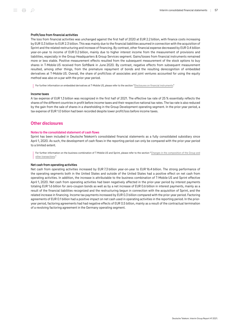#### Profit/loss from financial activities

The loss from financial activities was unchanged against the first half of 2020 at EUR 2.2 billion, with finance costs increasing by EUR 0.3 billion to EUR 2.3 billion. This was mainly due to the financial liabilities assumed in connection with the acquisition of Sprint and the related restructuring and increase of financing. By contrast, other financial expense decreased by EUR 0.4 billion year-on-year to income of EUR 0.2 billion, mainly due to higher interest income from the measurement of provisions and liabilities, especially in the Group Headquarters & Group Services segment. Gains/losses from financial instruments remained more or less stable. Positive measurement effects resulted from the subsequent measurement of the stock options to buy shares in T‑Mobile US received from SoftBank in June 2020. By contrast, negative effects from subsequent measurement resulted, among other things, from the premature repayment of bonds and the resulting derecognition of embedded derivatives at T-Mobile US. Overall, the share of profit/loss of associates and joint ventures accounted for using the equity method was also on a par with the prior-year period.

For further information on embedded derivatives at T-Mobile US, please refer to the section ["Disclosures on financial instruments.](#page-62-0)"

#### Income taxes

A tax expense of EUR 1.3 billion was recognized in the first half of 2021. The effective tax rate of 25 % essentially reflects the shares of the different countries in profit before income taxes and their respective national tax rates. The tax rate is also reduced by the gain from the sale of shares in a shareholding in the Group Development operating segment. In the prior-year period, a tax expense of EUR 1.0 billion had been recorded despite lower profit/loss before income taxes.

## Other disclosures

#### Notes to the consolidated statement of cash flows

Sprint has been included in Deutsche Telekom's consolidated financial statements as a fully consolidated subsidiary since April 1, 2020. As such, the development of cash flows in the reporting period can only be compared with the prior-year period to a limited extent.

For further information on the business combination of T-Mobile US and Sprint, please refer to the section "[Changes in the composition of the Group and](#page-44-0) [other transactions.](#page-44-0)"

#### Net cash from operating activities

Net cash from operating activities increased by EUR 7.3 billion year-on-year to EUR 16.4 billion. The strong performance of the operating segments both in the United States and outside of the United States had a positive effect on net cash from operating activities. In addition, the increase is attributable to the business combination of T‑Mobile US and Sprint effective April 1, 2020. Net cash from operating activities had been negatively affected in the prior-year period by interest payments totaling EUR 1.6 billion for zero-coupon bonds as well as by a net increase of EUR 0.6 billion in interest payments, mainly as a result of the financial liabilities recognized and the restructuring begun in connection with the acquisition of Sprint, and the related increase in financing. Income tax payments increased by EUR 0.3 billion compared with the prior-year period. Factoring agreements of EUR 0.1 billion had a positive impact on net cash used in operating activities in the reporting period. In the prioryear period, factoring agreements had had negative effects of EUR 0.5 billion, mainly as a result of the contractual termination of a revolving factoring agreement in the Germany operating segment.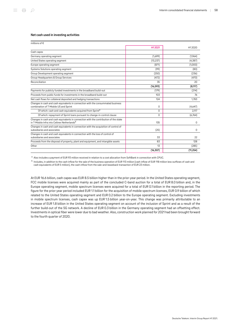#### Net cash used in investing activities

| millions of $\epsilon$                                                                                                                           |                 |           |
|--------------------------------------------------------------------------------------------------------------------------------------------------|-----------------|-----------|
|                                                                                                                                                  | H12021          | H12020    |
| Cash capex                                                                                                                                       |                 |           |
| Germany operating segment                                                                                                                        | (1,699)         | (1,964)   |
| United States operating segment                                                                                                                  | (13, 237)       | (4,387)   |
| Europe operating segment                                                                                                                         | (871)           | (1,000)   |
| Systems Solutions operating segment                                                                                                              | (99)            | (80)      |
| Group Development operating segment                                                                                                              | (250)           | (236)     |
| Group Headquarters & Group Services                                                                                                              | (472)           | (470)     |
| Reconciliation                                                                                                                                   | 35              | 20        |
|                                                                                                                                                  | (16, 593)       | (8, 117)  |
| Payments for publicly funded investments in the broadband build-out                                                                              | (179)           | (214)     |
| Proceeds from public funds for investments in the broadband build-out                                                                            | 10 <sub>3</sub> | 76        |
| Net cash flows for collateral deposited and hedging transactions                                                                                 | 124             | 1.783     |
| Changes in cash and cash equivalents in connection with the consummated business<br>combination of T-Mobile US and Sprint                        | 0               | (4,647)   |
| Of which: cash and cash equivalents acquired from Sprint <sup>a</sup>                                                                            | $\Omega$        | 2.117     |
| Of which: repayment of Sprint loans pursuant to change-in-control clause                                                                         | $\Omega$        | (6,764)   |
| Changes in cash and cash equivalents in connection with the contribution of the stake<br>in T-Mobile Infra into Cellnex Netherlands <sup>b</sup> | 135             | 0         |
| Changes in cash and cash equivalents in connection with the acquisition of control of<br>subsidiaries and associates                             | (25)            | 0         |
| Changes in cash and cash equivalents in connection with the loss of control of<br>subsidiaries and associates                                    | 33              | 22        |
| Proceeds from the disposal of property, plant and equipment, and intangible assets                                                               | 83              | 128       |
| Other                                                                                                                                            | 13              | (285)     |
|                                                                                                                                                  | (16, 307)       | (11, 254) |

a Also includes a payment of EUR 93 million received in relation to a cost allocation from SoftBank in connection with CPUC.

 $^{\rm b}$  Includes, in addition to the cash inflow for the sale of the business operation of EUR 113 million (cash inflow of EUR 118 million less outflows of cash and cash equivalents of EUR 5 million), the cash inflow from the sale-and-leaseback transaction of EUR 23 million.

At EUR 16.6 billion, cash capex was EUR 8.5 billion higher than in the prior-year period. In the United States operating segment, FCC mobile licenses were acquired mainly as part of the concluded C-band auction for a total of EUR 8.0 billion and, in the Europe operating segment, mobile spectrum licenses were acquired for a total of EUR 0.1 billion in the reporting period. The figure for the prior-year period included EUR 1.1 billion for the acquisition of mobile spectrum licenses. EUR 0.9 billion of which related to the United States operating segment and EUR 0.2 billion to the Europe operating segment. Excluding investments in mobile spectrum licenses, cash capex was up EUR 1.5 billion year-on-year. This change was primarily attributable to an increase of EUR 1.8 billion in the United States operating segment on account of the inclusion of Sprint and as a result of the further build-out of the 5G network. A decline of EUR 0.3 billion in the Germany operating segment had an offsetting effect. Investments in optical fiber were lower due to bad weather. Also, construction work planned for 2021 had been brought forward to the fourth quarter of 2020.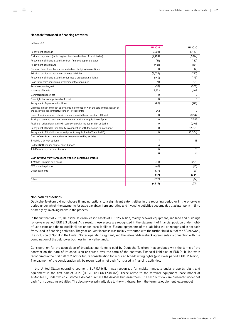#### Net cash from/used in financing activities

| millions of €                                                                                                                            |          |                    |
|------------------------------------------------------------------------------------------------------------------------------------------|----------|--------------------|
|                                                                                                                                          | H1 2021  | H <sub>12020</sub> |
| Repayment of bonds                                                                                                                       | (5,804)  | (5, 449)           |
| Dividend payments (including to other shareholders of subsidiaries)                                                                      | (2,909)  | (2,874)            |
| Repayment of financial liabilities from financed capex and opex                                                                          | (41)     | (160)              |
| Repayment of EIB loans                                                                                                                   | (481)    | (181)              |
| Net cash flows for collateral deposited and hedging transactions                                                                         | 0        | (4)                |
| Principal portion of repayment of lease liabilities                                                                                      | (3,035)  | (2,730)            |
| Repayment of financial liabilities for media broadcasting rights                                                                         | (140)    | (193)              |
| Cash flows from continuing involvement factoring, net                                                                                    | (71)     | (93)               |
| Promissory notes, net                                                                                                                    | (58)     | (202)              |
| Issuance of bonds                                                                                                                        | 8,332    | 1.609              |
| Commercial paper, net                                                                                                                    | 0        | 0                  |
| Overnight borrowings from banks, net                                                                                                     | $\Omega$ | $\Omega$           |
| Repayment of spectrum liabilities                                                                                                        | (85)     | (197)              |
| Changes in cash and cash equivalents in connection with the sale and leaseback of<br>the passive mobile infrastructure of T-Mobile Infra | 242      | $\Omega$           |
| Issue of senior secured notes in connection with the acquisition of Sprint                                                               | 0        | 20,942             |
| Raising of secured term loan in connection with the acquisition of Sprint                                                                | 0        | 3,562              |
| Raising of bridge loan facility in connection with the acquisition of Sprint                                                             | $\Omega$ | 17,405             |
| Repayment of bridge loan facility in connection with the acquisition of Sprint                                                           | 0        | (17, 493)          |
| Repayment of Sprint loans (raised prior to acquisition by T-Mobile US)                                                                   | 0        | (2,304)            |
| Cash inflows from transactions with non-controlling entities                                                                             |          |                    |
| T-Mobile US stock options                                                                                                                | 7        | 13                 |
| Cellnex Netherlands capital contributions                                                                                                | 3        | 0                  |
| Toll4Europe capital contributions                                                                                                        | 0        | 11                 |
|                                                                                                                                          | 11       | 24                 |
| Cash outflows from transactions with non-controlling entities                                                                            |          |                    |
| T-Mobile US share buy-backs                                                                                                              | (243)    | (255)              |
| OTE share buy-backs                                                                                                                      | (65)     | (60)               |
| Other payments                                                                                                                           | (39)     | (29)               |
|                                                                                                                                          | (347)    | (344)              |
| Other                                                                                                                                    | (126)    | (84)               |
|                                                                                                                                          | (4, 513) | 11,234             |

#### Non-cash transactions

Deutsche Telekom did not choose financing options to a significant extent either in the reporting period or in the prior-year period under which the payments for trade payables from operating and investing activities become due at a later point in time primarily by involving banks in the process.

In the first half of 2021, Deutsche Telekom leased assets of EUR 2.9 billion, mainly network equipment, and land and buildings (prior-year period: EUR 2.3 billion). As a result, these assets are recognized in the statement of financial position under rightof-use assets and the related liabilities under lease liabilities. Future repayments of the liabilities will be recognized in net cash from/used in financing activities. The year-on-year increase was mainly attributable to the further build-out of the 5G network, the inclusion of Sprint in the United States operating segment, and the sale-and-leaseback agreements in connection with the combination of the cell tower business in the Netherlands.

Consideration for the acquisition of broadcasting rights is paid by Deutsche Telekom in accordance with the terms of the contract on the date of its conclusion or spread over the term of the contract. Financial liabilities of EUR 0.1 billion were recognized in the first half of 2021 for future consideration for acquired broadcasting rights (prior-year period: EUR 0.1 billion). The payment of the consideration will be recognized in net cash from/used in financing activities.

In the United States operating segment, EUR 0.7 billion was recognized for mobile handsets under property, plant and equipment in the first half of 2021 (H1 2020: EUR 1.6 billion). These relate to the terminal equipment lease model at T‑Mobile US, under which customers do not purchase the devices but lease them. The cash outflows are presented under net cash from operating activities. The decline was primarily due to the withdrawal from the terminal equipment lease model.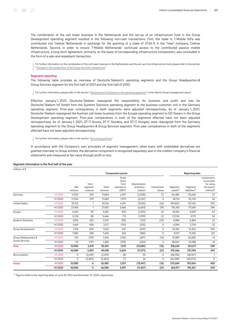The combination of the cell tower business in the Netherlands and the set-up of an infrastructure fund in the Group Development operating segment resulted in the following non-cash transactions: First, the stake in T‑Mobile Infra was contributed into Cellnex Netherlands in exchange for the granting of a stake of 37.65 % in the "new" company, Cellnex Netherlands. Second, in order to ensure T‑Mobile Netherlands' continued access to the contributed passive mobile infrastructure, a long-term agreement, primarily on the lease of corresponding infrastructure components, was concluded in the form of a sale-and-leaseback transaction.

For further information on the combination of the cell tower business in the Netherlands and the set-up of an infrastructure fund, please refer to the section "[Changes in the composition of the Group and other transactions](#page-44-0)."

#### Segment reporting

The following table provides an overview of Deutsche Telekom's operating segments and the Group Headquarters & Group Services segment for the first half of 2021 and the first half of 2020.

For further information, please refer to the section ["Development of business in the operating segments](#page-20-0)" in the interim Group management report.

Effective January 1, 2021, Deutsche Telekom reassigned the responsibility for business and profit and loss for Deutsche Telekom IoT GmbH from the Systems Solutions operating segment to the business customer unit in the Germany operating segment. Prior-year comparatives in both segments were adjusted retrospectively. As of January 1, 2021, Deutsche Telekom reassigned the Austrian cell tower business from the Europe operating segment to GD Towers in the Group Development operating segment. Prior-year comparatives in both of the segments affected have not been adjusted retrospectively. As of January 1, 2021, DT IT Russia, DT IT Slovakia, and DT IT Hungary were reassigned from the Germany operating segment to the Group Headquarters & Group Services segment. Prior-year comparatives in both of the segments affected have not been adjusted retrospectively.

For further information, please refer to the section ["Accounting policies](#page-43-0)."

In accordance with the Company's own principles of segment management, when loans with embedded derivatives are granted internally to Group entities, the derivative component is recognized separately also in the creditor company's financial statements and measured at fair value through profit or loss.

#### Segment information in the first half of the year

| millions of $\epsilon$   |         |                |                              |                  |                                                  |                                       |                      |                                |                                     |                                                                            |
|--------------------------|---------|----------------|------------------------------|------------------|--------------------------------------------------|---------------------------------------|----------------------|--------------------------------|-------------------------------------|----------------------------------------------------------------------------|
|                          |         |                |                              |                  | Comparative period                               |                                       |                      | <b>Reporting date</b>          |                                     |                                                                            |
|                          |         | Net<br>revenue | Inter-<br>segment<br>revenue | Total<br>revenue | Profit<br>(loss)<br>from<br>operations<br>(EBIT) | Depreciation<br>and amor-<br>tization | Impairment<br>losses | Segment<br>assets <sup>a</sup> | Segment<br>liabilities <sup>a</sup> | Investments<br>accounted<br>for using<br>the equity<br>method <sup>a</sup> |
| Germany                  | H12021  | 11,552         | 292                          | 11,844           | 2,397                                            | (2,008)                               | (1)                  | 46,486                         | 33,646                              | 27                                                                         |
|                          | H12020  | 11,304         | 379                          | 11,683           | 1,979                                            | (2,207)                               | 0                    | 45,114                         | 32,725                              | 34                                                                         |
| <b>United States</b>     | H12021  | 33,125         | 1                            | 33,126           | 4,291                                            | (9,036)                               | (26)                 | 184,803                        | 122,165                             | 302                                                                        |
|                          | H12020  | 27,454         | 1                            | 27,455           | 3,468                                            | (6,654)                               | (19)                 | 176,765                        | 117,681                             | 296                                                                        |
| Europe                   | H12021  | 5,452          | 99                           | 5,551            | 810                                              | (1, 290)                              | (2)                  | 25,516                         | 9,429                               | 54                                                                         |
|                          | H12020  | 5,376          | 88                           | 5,464            | 713                                              | (1, 299)                              | (2)                  | 27,034                         | 9,172                               | 54                                                                         |
| <b>Systems Solutions</b> | H1 2021 | 1,596          | 425                          | 2,021            | (95)                                             | (122)                                 | (33)                 | 4,084                          | 3,484                               | 22                                                                         |
|                          | H12020  | 1,669          | 458                          | 2,127            | (110)                                            | (205)                                 | 0                    | 4,094                          | 3,754                               | 23                                                                         |
| Group Development        | H12021  | 1,154          | 409                          | 1,563            | 547                                              | (429)                                 | 0                    | 10,356                         | 12,302                              | 530                                                                        |
|                          | H12020  | 1,086          | 338                          | 1,424            | 263                                              | (386)                                 | 0                    | 9,212                          | 11,220                              | 122                                                                        |
| Group Headquarters &     | H1 2021 | 103            | 1,193                        | 1,296            | (735)                                            | (697)                                 | (14)                 | 47,389                         | 60,585                              | 14                                                                         |
| <b>Group Services</b>    | H12020  | 94             | 1,191                        | 1,285            | (709)                                            | (620)                                 | 0                    | 48,047                         | 63,188                              | 14                                                                         |
| <b>Total</b>             | H12021  | 52,983         | 2,419                        | 55,401           | 7,215                                            | (13, 582)                             | (76)                 | 318,634                        | 241,611                             | 949                                                                        |
|                          | H1 2020 | 46,984         | 2,453                        | 49,438           | 5,604                                            | (11, 371)                             | (21)                 | 310,266                        | 237,740                             | 543                                                                        |
| Reconciliation           | H12021  | 0              | (2, 419)                     | (2, 419)         | (8)                                              | 35                                    | 0                    | (48, 130)                      | (48,107)                            | 1                                                                          |
|                          | H12020  | 0              | (2, 453)                     | (2, 453)         | (7)                                              | 24                                    | 0                    | (45, 349)                      | (45, 373)                           | 0                                                                          |
| Group                    | H12021  | 52,983         | 0                            | 52,983           | 7,207                                            | (13, 547)                             | (76)                 | 270,504                        | 193,504                             | 950                                                                        |
|                          | H1 2020 | 46,984         | 0                            | 46,984           | 5,597                                            | (11, 347)                             | (21)                 | 264,917                        | 192,367                             | 543                                                                        |

<sup>a</sup> Figures relate to the reporting dates of June 30, 2021 and December 31, 2020, respectively.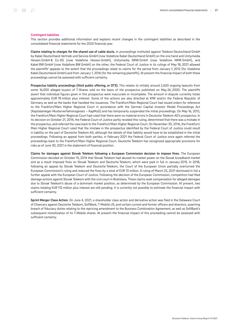#### Contingent liabilities

This section provides additional information and explains recent changes in the contingent liabilities as described in the consolidated financial statements for the 2020 financial year.

Claims relating to charges for the shared use of cable ducts. In proceedings instituted against Telekom Deutschland GmbH by Kabel Deutschland Vertrieb und Service GmbH (now Vodafone Kabel Deutschland GmbH) on the one hand and Unitymedia Hessen GmbH & Co. KG (now Vodafone Hessen GmbH), Unitymedia NRW GmbH (now Vodafone NRW GmbH), and Kabel BW GmbH (now Vodafone BW GmbH) on the other, the Federal Court of Justice in its rulings of May 18, 2021 allowed the plaintiffs' appeals to the extent that the proceedings relate to claims for the period from January 1, 2012 (for Vodafone Kabel Deutschland GmbH) and from January 1, 2016 (for the remaining plaintiffs). At present the financial impact of both these proceedings cannot be assessed with sufficient certainty.

Prospectus liability proceedings (third public offering, or DT3). This relates to initially around 2,600 ongoing lawsuits from some 16,000 alleged buyers of T-Shares sold on the basis of the prospectus published on May 26, 2000. The plaintiffs assert that individual figures given in this prospectus were inaccurate or incomplete. The amount in dispute currently totals approximately EUR 78 million plus interest. Some of the actions are also directed at KfW and/or the Federal Republic of Germany as well as the banks that handled the issuances. The Frankfurt/Main Regional Court had issued orders for reference to the Frankfurt/Main Higher Regional Court in accordance with the German Capital Investor Model Proceedings Act (Kapitalanleger-Musterverfahrensgesetz – KapMuG) and has temporarily suspended the initial proceedings. On May 16, 2012, the Frankfurt/Main Higher Regional Court had ruled that there were no material errors in Deutsche Telekom AG's prospectus. In its decision on October 21, 2014, the Federal Court of Justice partly revoked this ruling, determined that there was a mistake in the prospectus, and referred the case back to the Frankfurt/Main Higher Regional Court. On November 30, 2016, the Frankfurt/ Main Higher Regional Court ruled that the mistake in the prospectus identified by the Federal Court of Justice could result in liability on the part of Deutsche Telekom AG, although the details of that liability would have to be established in the initial proceedings. Following an appeal from both parties, in February 2021 the Federal Court of Justice once again referred the proceedings back to the Frankfurt/Main Higher Regional Court. Deutsche Telekom has recognized appropriate provisions for risks as of June 30, 2021 in the statement of financial position.

Claims for damages against Slovak Telekom following a European Commission decision to impose fines. The European Commission decided on October 15, 2014 that Slovak Telekom had abused its market power on the Slovak broadband market and as a result imposed fines on Slovak Telekom and Deutsche Telekom, which were paid in full in January 2015. In 2018, following an appeal by Slovak Telekom and Deutsche Telekom, the Court of the European Union partially overturned the European Commission's ruling and reduced the fines by a total of EUR 13 million. A ruling of March 25, 2021 dismissed in full a further appeal with the European Court of Justice. Following the decision of the European Commission, competitors had filed damage actions against Slovak Telekom with the civil court in Bratislava. These claims seek compensation for alleged damages due to Slovak Telekom's abuse of a dominant market position, as determined by the European Commission. At present, two claims totaling EUR 112 million plus interest are still pending. It is currently not possible to estimate the financial impact with sufficient certainty.

Sprint Merger Class Action. On June 4, 2021, a shareholder class action and derivative action was filed in the Delaware Court of Chancery against Deutsche Telekom, SoftBank, T‑Mobile US, and certain current and former officers and directors, asserting breach of fiduciary duties relating to the repricing amendment to the Business Combination Agreement, as well as SoftBank's subsequent monetization of its T‑Mobile shares. At present the financial impact of this proceeding cannot be assessed with sufficient certainty.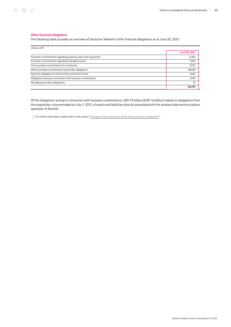#### Other financial obligations

The following table provides an overview of Deutsche Telekom's other financial obligations as of June 30, 2021:

| millions of $\epsilon$                                       |               |
|--------------------------------------------------------------|---------------|
|                                                              | June 30, 2021 |
| Purchase commitments regarding property, plant and equipment | 6,326         |
| Purchase commitments regarding intangible assets             | 1,553         |
| Firm purchase commitments for inventories                    | 3,913         |
| Other purchase commitments and similar obligations           | 18,530        |
| Payment obligations to the Civil Service Pension Fund        | 1,463         |
| Obligations arising in connection with business combinations | 1,634         |
| Miscellaneous other obligations                              | 51            |
|                                                              | 33.470        |

Of the obligations arising in connection with business combinations, USD 1.9 billion (EUR 1.6 billion) relates to obligations from the acquisition, consummated on July 1, 2021, of assets and liabilities directly associated with the wireless telecommunications operation of Shentel.

For further information, please refer to the section ["Changes in the composition of the Group and other transactions](#page-44-0)."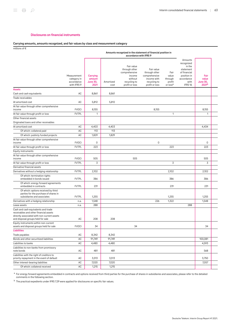#### Disclosures on financial instruments

#### <span id="page-62-0"></span>Carrying amounts, amounts recognized, and fair values by class and measurement category

millions of €

|                                                                                                                                                                   | Amounts recognized in the statement of financial position in<br>accordance with IFRS 9 |                                               |                   |                                                                                                     |                                                                                               |                                                            |                                                                                                                         |                                                       |  |
|-------------------------------------------------------------------------------------------------------------------------------------------------------------------|----------------------------------------------------------------------------------------|-----------------------------------------------|-------------------|-----------------------------------------------------------------------------------------------------|-----------------------------------------------------------------------------------------------|------------------------------------------------------------|-------------------------------------------------------------------------------------------------------------------------|-------------------------------------------------------|--|
|                                                                                                                                                                   | Measurement<br>category in<br>accordance<br>with IFRS 9                                | Carrying<br>amount<br><b>June 30,</b><br>2021 | Amortized<br>cost | Fair value<br>through other<br>comprehensive<br>income<br>without<br>recycling to<br>profit or loss | Fair value<br>through other<br>comprehensive<br>income with<br>recycling to<br>profit or loss | Fair<br>value<br>through<br>profit<br>or loss <sup>a</sup> | Amounts<br>recognized<br>in the<br>statement<br>of financial<br>position in<br>accordance<br>with<br>IFRS <sub>16</sub> | Fair<br>value<br><b>June 30,</b><br>2021 <sup>b</sup> |  |
| <b>Assets</b>                                                                                                                                                     |                                                                                        |                                               |                   |                                                                                                     |                                                                                               |                                                            |                                                                                                                         |                                                       |  |
| Cash and cash equivalents                                                                                                                                         | AC                                                                                     | 8,861                                         | 8,861             |                                                                                                     |                                                                                               |                                                            |                                                                                                                         |                                                       |  |
| Trade receivables                                                                                                                                                 |                                                                                        |                                               |                   |                                                                                                     |                                                                                               |                                                            |                                                                                                                         |                                                       |  |
| At amortized cost                                                                                                                                                 | AC                                                                                     | 5,812                                         | 5,812             |                                                                                                     |                                                                                               |                                                            |                                                                                                                         |                                                       |  |
| At fair value through other comprehensive<br>income                                                                                                               | <b>FVOCI</b>                                                                           | 8,155                                         |                   |                                                                                                     | 8,155                                                                                         |                                                            |                                                                                                                         | 8,155                                                 |  |
| At fair value through profit or loss                                                                                                                              | <b>FVTPL</b>                                                                           | $\mathbf{1}$                                  |                   |                                                                                                     |                                                                                               | $\mathbf{1}$                                               |                                                                                                                         | 1                                                     |  |
| Other financial assets                                                                                                                                            |                                                                                        |                                               |                   |                                                                                                     |                                                                                               |                                                            |                                                                                                                         |                                                       |  |
| Originated loans and other receivables                                                                                                                            |                                                                                        |                                               |                   |                                                                                                     |                                                                                               |                                                            |                                                                                                                         |                                                       |  |
| At amortized cost                                                                                                                                                 | AC                                                                                     | 4,403                                         | 4,403             |                                                                                                     |                                                                                               |                                                            |                                                                                                                         | 4,434                                                 |  |
| Of which: collateral paid                                                                                                                                         | AC                                                                                     | 113                                           | 113               |                                                                                                     |                                                                                               |                                                            |                                                                                                                         |                                                       |  |
| Of which: publicly funded projects                                                                                                                                | AC                                                                                     | 1,829                                         | 1,829             |                                                                                                     |                                                                                               |                                                            |                                                                                                                         |                                                       |  |
| At fair value through other comprehensive                                                                                                                         |                                                                                        |                                               |                   |                                                                                                     |                                                                                               |                                                            |                                                                                                                         |                                                       |  |
| income                                                                                                                                                            | <b>FVOCI</b>                                                                           | 0                                             |                   |                                                                                                     | 0                                                                                             |                                                            |                                                                                                                         | 0                                                     |  |
| At fair value through profit or loss                                                                                                                              | <b>FVTPL</b>                                                                           | 223                                           |                   |                                                                                                     |                                                                                               | 223                                                        |                                                                                                                         | 223                                                   |  |
| Equity instruments                                                                                                                                                |                                                                                        |                                               |                   |                                                                                                     |                                                                                               |                                                            |                                                                                                                         |                                                       |  |
| At fair value through other comprehensive<br>income                                                                                                               | <b>FVOCI</b>                                                                           | 505                                           |                   | 505                                                                                                 |                                                                                               |                                                            |                                                                                                                         | 505                                                   |  |
| At fair value through profit or loss                                                                                                                              | <b>FVTPL</b>                                                                           | 3                                             |                   |                                                                                                     |                                                                                               | $\overline{3}$                                             |                                                                                                                         | 3                                                     |  |
| Derivative financial assets                                                                                                                                       |                                                                                        |                                               |                   |                                                                                                     |                                                                                               |                                                            |                                                                                                                         |                                                       |  |
| Derivatives without a hedging relationship                                                                                                                        | <b>FVTPL</b>                                                                           | 2,102                                         |                   |                                                                                                     |                                                                                               | 2,102                                                      |                                                                                                                         | 2,102                                                 |  |
| Of which: termination rights<br>embedded in bonds issued                                                                                                          | <b>FVTPL</b>                                                                           | 386                                           |                   |                                                                                                     |                                                                                               | 386                                                        |                                                                                                                         | 386                                                   |  |
| Of which: energy forward agreements<br>embedded in contracts                                                                                                      | <b>FVTPL</b>                                                                           | 231                                           |                   |                                                                                                     |                                                                                               | 231                                                        |                                                                                                                         | 231                                                   |  |
| Of which: options received by third<br>parties for the purchase of shares in<br>subsidiaries and associates                                                       | <b>FVTPL</b>                                                                           | 1,255                                         |                   |                                                                                                     |                                                                                               | 1,255                                                      |                                                                                                                         | 1,255                                                 |  |
| Derivatives with a hedging relationship                                                                                                                           | n.a.                                                                                   | 1,548                                         |                   |                                                                                                     | 226                                                                                           | 1,322                                                      |                                                                                                                         | 1,548                                                 |  |
| Lease assets                                                                                                                                                      | n.a.                                                                                   | 288                                           |                   |                                                                                                     |                                                                                               |                                                            | 288                                                                                                                     |                                                       |  |
| Cash and cash equivalents and trade<br>receivables and other financial assets<br>directly associated with non-current assets<br>and disposal groups held for sale | AC                                                                                     | 208                                           | 208               |                                                                                                     |                                                                                               |                                                            |                                                                                                                         |                                                       |  |
| Equity instruments within non-current<br>assets and disposal groups held for sale                                                                                 | <b>FVOCI</b>                                                                           | 34                                            |                   | 34                                                                                                  |                                                                                               |                                                            |                                                                                                                         | 34                                                    |  |
| <b>Liabilities</b>                                                                                                                                                |                                                                                        |                                               |                   |                                                                                                     |                                                                                               |                                                            |                                                                                                                         |                                                       |  |
| Trade payables                                                                                                                                                    | AC                                                                                     | 8,342                                         | 8,342             |                                                                                                     |                                                                                               |                                                            |                                                                                                                         |                                                       |  |
| Bonds and other securitized liabilities                                                                                                                           | AC                                                                                     | 91,749                                        | 91,749            |                                                                                                     |                                                                                               |                                                            |                                                                                                                         | 100,081                                               |  |
| Liabilities to banks                                                                                                                                              | AC                                                                                     | 4,480                                         | 4,480             |                                                                                                     |                                                                                               |                                                            |                                                                                                                         | 4,593                                                 |  |
| Liabilities to non-banks from promissory<br>note bonds                                                                                                            | AC                                                                                     | 481                                           | 481               |                                                                                                     |                                                                                               |                                                            |                                                                                                                         | 568                                                   |  |
| Liabilities with the right of creditors to<br>priority repayment in the event of default                                                                          | AC                                                                                     | 3,513                                         | 3,513             |                                                                                                     |                                                                                               |                                                            |                                                                                                                         | 3,750                                                 |  |
| Other interest-bearing liabilities                                                                                                                                | $\mathsf{AC}$                                                                          | 7,020                                         | 7,020             |                                                                                                     |                                                                                               |                                                            |                                                                                                                         | 7,057                                                 |  |
| Of which: collateral received                                                                                                                                     | AC                                                                                     | 1,215                                         | 1,215             |                                                                                                     |                                                                                               |                                                            |                                                                                                                         |                                                       |  |

 $^{\rm a}$  For energy forward agreements embedded in contracts and options received from third parties for the purchase of shares in subsidiaries and associates, please refer to the detailed comments in the following section.

<sup>b</sup> The practical expedients under IFRS 7.29 were applied for disclosures on specific fair values.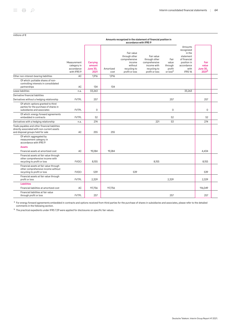#### Amounts recognized in the statement of financial position in accordance with IFRS 9

|                                                                                                                                    | Measurement<br>category in<br>accordance<br>with IFRS 9 | Carrying<br>amount<br><b>June 30,</b><br>2021 | Amortized<br>cost | Fair value<br>through other<br>comprehensive<br>income<br>without<br>recycling to<br>profit or loss | Fair value<br>through other<br>comprehensive<br>income with<br>recycling to<br>profit or loss | Fair<br>value<br>through<br>profit<br>or loss <sup>a</sup> | Amounts<br>recognized<br>in the<br>statement<br>of financial<br>position in<br>accordance<br>with<br>IFRS <sub>16</sub> | Fair<br>value<br><b>June 30,</b><br>2021 <sup>b</sup> |  |
|------------------------------------------------------------------------------------------------------------------------------------|---------------------------------------------------------|-----------------------------------------------|-------------------|-----------------------------------------------------------------------------------------------------|-----------------------------------------------------------------------------------------------|------------------------------------------------------------|-------------------------------------------------------------------------------------------------------------------------|-------------------------------------------------------|--|
| Other non-interest-bearing liabilities                                                                                             | AC                                                      | 1,916                                         | 1,916             |                                                                                                     |                                                                                               |                                                            |                                                                                                                         |                                                       |  |
| Of which: puttable shares of non-<br>controlling interests in consolidated<br>partnerships                                         | AC                                                      | 134                                           | 134               |                                                                                                     |                                                                                               |                                                            |                                                                                                                         |                                                       |  |
| Lease liabilities                                                                                                                  | n.a.                                                    | 33,263                                        |                   |                                                                                                     |                                                                                               |                                                            | 33,263                                                                                                                  |                                                       |  |
| Derivative financial liabilities                                                                                                   |                                                         |                                               |                   |                                                                                                     |                                                                                               |                                                            |                                                                                                                         |                                                       |  |
| Derivatives without a hedging relationship                                                                                         | <b>FVTPL</b>                                            | 257                                           |                   |                                                                                                     |                                                                                               | 257                                                        |                                                                                                                         | 257                                                   |  |
| Of which: options granted to third<br>parties for the purchase of shares in<br>subsidiaries and associates                         | <b>FVTPL</b>                                            | $\mathbf 0$                                   |                   |                                                                                                     |                                                                                               | $\mathbf 0$                                                |                                                                                                                         | $\Omega$                                              |  |
| Of which: energy forward agreements<br>embedded in contracts                                                                       | <b>FVTPL</b>                                            | 52                                            |                   |                                                                                                     |                                                                                               | 52                                                         |                                                                                                                         | 52                                                    |  |
| Derivatives with a hedging relationship                                                                                            | n.a.                                                    | 274                                           |                   |                                                                                                     | 221                                                                                           | 53                                                         |                                                                                                                         | 274                                                   |  |
| Trade payables and other financial liabilities<br>directly associated with non-current assets<br>and disposal groups held for sale | AC                                                      | 255                                           | 255               |                                                                                                     |                                                                                               |                                                            |                                                                                                                         |                                                       |  |
| Of which: aggregated by<br>measurement category in<br>accordance with IFRS 9                                                       |                                                         |                                               |                   |                                                                                                     |                                                                                               |                                                            |                                                                                                                         |                                                       |  |
| <b>Assets</b>                                                                                                                      |                                                         |                                               |                   |                                                                                                     |                                                                                               |                                                            |                                                                                                                         |                                                       |  |
| Financial assets at amortized cost                                                                                                 | AC                                                      | 19,284                                        | 19,284            |                                                                                                     |                                                                                               |                                                            |                                                                                                                         | 4,434                                                 |  |
| Financial assets at fair value through<br>other comprehensive income with<br>recycling to profit or loss                           | <b>FVOCI</b>                                            | 8,155                                         |                   |                                                                                                     | 8,155                                                                                         |                                                            |                                                                                                                         | 8,155                                                 |  |
| Financial assets at fair value through<br>other comprehensive income without<br>recycling to profit or loss                        | <b>FVOCI</b>                                            | 539                                           |                   | 539                                                                                                 |                                                                                               |                                                            |                                                                                                                         | 539                                                   |  |
| Financial assets at fair value through<br>profit or loss                                                                           | <b>FVTPL</b>                                            | 2,329                                         |                   |                                                                                                     |                                                                                               | 2,329                                                      |                                                                                                                         | 2,329                                                 |  |
| <b>Liabilities</b>                                                                                                                 |                                                         |                                               |                   |                                                                                                     |                                                                                               |                                                            |                                                                                                                         |                                                       |  |
| Financial liabilities at amortized cost                                                                                            | AC                                                      | 117,756                                       | 117,756           |                                                                                                     |                                                                                               |                                                            |                                                                                                                         | 116,049                                               |  |
| Financial liabilities at fair value<br>through profit or loss                                                                      | <b>FVTPL</b>                                            | 257                                           |                   |                                                                                                     |                                                                                               | 257                                                        |                                                                                                                         | 257                                                   |  |
|                                                                                                                                    |                                                         |                                               |                   |                                                                                                     |                                                                                               |                                                            |                                                                                                                         |                                                       |  |

 $^{\rm a}$  For energy forward agreements embedded in contracts and options received from third parties for the purchase of shares in subsidiaries and associates, please refer to the detailed comments in the following section.

<sup>b</sup> The practical expedients under IFRS 7.29 were applied for disclosures on specific fair values.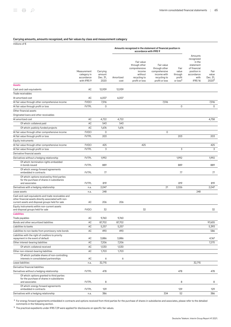#### Carrying amounts, amounts recognized, and fair values by class and measurement category

millions of €

|                                                                                                                                                                 |                                                         |                                        |                   | Amounts recognized in the statement of financial position in<br>accordance with IFRS 9              |                                                                                               |                                                            |                                                                                                                         |                                                |
|-----------------------------------------------------------------------------------------------------------------------------------------------------------------|---------------------------------------------------------|----------------------------------------|-------------------|-----------------------------------------------------------------------------------------------------|-----------------------------------------------------------------------------------------------|------------------------------------------------------------|-------------------------------------------------------------------------------------------------------------------------|------------------------------------------------|
|                                                                                                                                                                 | Measurement<br>category in<br>accordance<br>with IFRS 9 | Carrying<br>amount<br>Dec. 31,<br>2020 | Amortized<br>cost | Fair value<br>through other<br>comprehensive<br>income<br>without<br>recycling to<br>profit or loss | Fair value<br>through other<br>comprehensive<br>income with<br>recycling to<br>profit or loss | Fair<br>value<br>through<br>profit<br>or loss <sup>a</sup> | Amounts<br>recognized<br>in the<br>statement<br>of financial<br>position in<br>accordance<br>with<br>IFRS <sub>16</sub> | Fair<br>value<br>Dec. 31,<br>2020 <sup>b</sup> |
| <b>Assets</b>                                                                                                                                                   |                                                         |                                        |                   |                                                                                                     |                                                                                               |                                                            |                                                                                                                         |                                                |
| Cash and cash equivalents                                                                                                                                       | AC                                                      | 12,939                                 | 12,939            |                                                                                                     |                                                                                               |                                                            |                                                                                                                         |                                                |
| Trade receivables                                                                                                                                               |                                                         |                                        |                   |                                                                                                     |                                                                                               |                                                            |                                                                                                                         |                                                |
| At amortized cost                                                                                                                                               | AC                                                      | 6,007                                  | 6,007             |                                                                                                     |                                                                                               |                                                            |                                                                                                                         |                                                |
| At fair value through other comprehensive income                                                                                                                | <b>FVOCI</b>                                            | 7,516                                  |                   |                                                                                                     | 7,516                                                                                         |                                                            |                                                                                                                         | 7,516                                          |
| At fair value through profit or loss                                                                                                                            | <b>FVTPL</b>                                            | 0                                      |                   |                                                                                                     |                                                                                               | 0                                                          |                                                                                                                         | $\mathbf 0$                                    |
| Other financial assets                                                                                                                                          |                                                         |                                        |                   |                                                                                                     |                                                                                               |                                                            |                                                                                                                         |                                                |
| Originated loans and other receivables                                                                                                                          |                                                         |                                        |                   |                                                                                                     |                                                                                               |                                                            |                                                                                                                         |                                                |
| At amortized cost                                                                                                                                               | AC                                                      | 4,722                                  | 4,722             |                                                                                                     |                                                                                               |                                                            |                                                                                                                         | 4,758                                          |
| Of which: collateral paid                                                                                                                                       | AC                                                      | 543                                    | 543               |                                                                                                     |                                                                                               |                                                            |                                                                                                                         |                                                |
| Of which: publicly funded projects                                                                                                                              | AC                                                      | 1,676                                  | 1,676             |                                                                                                     |                                                                                               |                                                            |                                                                                                                         |                                                |
| At fair value through other comprehensive income                                                                                                                | <b>FVOCI</b>                                            | $\mathsf 0$                            |                   |                                                                                                     | $\mathsf 0$                                                                                   |                                                            |                                                                                                                         |                                                |
| At fair value through profit or loss                                                                                                                            | <b>FVTPL</b>                                            | 203                                    |                   |                                                                                                     |                                                                                               | 203                                                        |                                                                                                                         | 203                                            |
| Equity instruments                                                                                                                                              |                                                         |                                        |                   |                                                                                                     |                                                                                               |                                                            |                                                                                                                         |                                                |
| At fair value through other comprehensive income                                                                                                                | <b>FVOCI</b>                                            | 425                                    |                   | 425                                                                                                 |                                                                                               |                                                            |                                                                                                                         | 425                                            |
| At fair value through profit or loss                                                                                                                            | <b>FVTPL</b>                                            | 3                                      |                   |                                                                                                     |                                                                                               | 3                                                          |                                                                                                                         | 3                                              |
| Derivative financial assets                                                                                                                                     |                                                         |                                        |                   |                                                                                                     |                                                                                               |                                                            |                                                                                                                         |                                                |
| Derivatives without a hedging relationship                                                                                                                      | <b>FVTPL</b>                                            | 1,992                                  |                   |                                                                                                     |                                                                                               | 1,992                                                      |                                                                                                                         | 1,992                                          |
| Of which: termination rights embedded<br>in bonds issued                                                                                                        | <b>FVTPL</b>                                            | 889                                    |                   |                                                                                                     |                                                                                               | 889                                                        |                                                                                                                         | 889                                            |
| Of which: energy forward agreements                                                                                                                             |                                                         |                                        |                   |                                                                                                     |                                                                                               |                                                            |                                                                                                                         |                                                |
| embedded in contracts                                                                                                                                           | <b>FVTPL</b>                                            | 77                                     |                   |                                                                                                     |                                                                                               | 77                                                         |                                                                                                                         | 77                                             |
| Of which: options received by third parties<br>for the purchase of shares in subsidiaries                                                                       |                                                         |                                        |                   |                                                                                                     |                                                                                               |                                                            |                                                                                                                         |                                                |
| and associates                                                                                                                                                  | <b>FVTPL</b>                                            | 819                                    |                   |                                                                                                     |                                                                                               | 819                                                        |                                                                                                                         | 819                                            |
| Derivatives with a hedging relationship                                                                                                                         | n.a.                                                    | 2,047                                  |                   |                                                                                                     | 21                                                                                            | 2,026                                                      |                                                                                                                         | 2,047                                          |
| Lease assets                                                                                                                                                    | n.a.                                                    | 248                                    |                   |                                                                                                     |                                                                                               |                                                            | 248                                                                                                                     |                                                |
| Cash and cash equivalents and trade receivables and<br>other financial assets directly associated with non-<br>current assets and disposal groups held for sale | AC                                                      | 206                                    | 206               |                                                                                                     |                                                                                               |                                                            |                                                                                                                         |                                                |
| Equity instruments within non-current assets                                                                                                                    |                                                         |                                        |                   |                                                                                                     |                                                                                               |                                                            |                                                                                                                         |                                                |
| and disposal groups held for sale<br><b>Liabilities</b>                                                                                                         | <b>FVOCI</b>                                            | 32                                     |                   | 32                                                                                                  |                                                                                               |                                                            |                                                                                                                         | 32                                             |
| Trade payables                                                                                                                                                  | AC                                                      | 9,760                                  | 9,760             |                                                                                                     |                                                                                               |                                                            |                                                                                                                         |                                                |
| Bonds and other securitized liabilities                                                                                                                         | AC                                                      | 87,702                                 | 87,702            |                                                                                                     |                                                                                               |                                                            |                                                                                                                         | 97,655                                         |
| Liabilities to banks                                                                                                                                            | AC                                                      | 5,257                                  | 5,257             |                                                                                                     |                                                                                               |                                                            |                                                                                                                         | 5,393                                          |
| Liabilities to non-banks from promissory note bonds                                                                                                             | AC                                                      | 490                                    | 490               |                                                                                                     |                                                                                               |                                                            |                                                                                                                         | 586                                            |
| Liabilities with the right of creditors to priority<br>repayment in the event of default                                                                        | AC                                                      | 3,886                                  | 3,886             |                                                                                                     |                                                                                               |                                                            |                                                                                                                         | 4,167                                          |
| Other interest-bearing liabilities                                                                                                                              | AC                                                      | 7,206                                  | 7,206             |                                                                                                     |                                                                                               |                                                            |                                                                                                                         | 7,270                                          |
| Of which: collateral received                                                                                                                                   | AC                                                      | 1,530                                  | 1,530             |                                                                                                     |                                                                                               |                                                            |                                                                                                                         |                                                |
| Other non-interest-bearing liabilities                                                                                                                          | AC                                                      | 1,703                                  | 1,703             |                                                                                                     |                                                                                               |                                                            |                                                                                                                         |                                                |
| Of which: puttable shares of non-controlling<br>interests in consolidated partnerships                                                                          | AC                                                      | 6                                      | 6                 |                                                                                                     |                                                                                               |                                                            |                                                                                                                         |                                                |
| Lease liabilities                                                                                                                                               | n.a.                                                    | 32,715                                 |                   |                                                                                                     |                                                                                               |                                                            | 32,715                                                                                                                  |                                                |
| Derivative financial liabilities                                                                                                                                |                                                         |                                        |                   |                                                                                                     |                                                                                               |                                                            |                                                                                                                         |                                                |
| Derivatives without a hedging relationship                                                                                                                      | <b>FVTPL</b>                                            | 478                                    |                   |                                                                                                     |                                                                                               | 478                                                        |                                                                                                                         | 478                                            |
| Of which: options granted to third parties<br>for the purchase of shares in subsidiaries                                                                        |                                                         |                                        |                   |                                                                                                     |                                                                                               |                                                            |                                                                                                                         |                                                |
| and associates                                                                                                                                                  | <b>FVTPL</b>                                            | 8                                      |                   |                                                                                                     |                                                                                               | 8                                                          |                                                                                                                         | 8                                              |
| Of which: energy forward agreements<br>embedded in contracts                                                                                                    | <b>FVTPL</b>                                            | 129                                    |                   |                                                                                                     |                                                                                               | 129                                                        |                                                                                                                         | 129                                            |
| Derivatives with a hedging relationship                                                                                                                         | n.a.                                                    | 386                                    |                   |                                                                                                     | 334                                                                                           | 52                                                         |                                                                                                                         | 386                                            |

<sup>a</sup> For energy forward agreements embedded in contracts and options received from third parties for the purchase of shares in subsidiaries and associates, please refer to the detailed<br>comments in the following section.

<sup>b</sup> The practical expedients under IFRS 7.29 were applied for disclosures on specific fair values.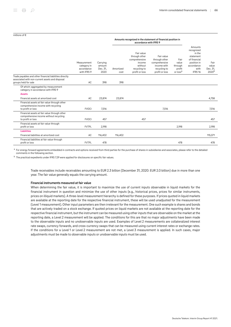#### millions of €

#### Amounts recognized in the statement of financial position in accordance with IFRS 9

|                                                                                                                                    | Measurement<br>category in<br>accordance<br>with IFRS 9 | Carrying<br>amount<br>Dec. 31,<br>2020 | Amortized<br>cost | Fair value<br>through other<br>comprehensive<br>income<br>without<br>recycling to<br>profit or loss | Fair value<br>through other<br>comprehensive<br>income with<br>recycling to<br>profit or loss | Fair<br>value<br>through<br>profit<br>or loss <sup>a</sup> | Amounts<br>recognized<br>in the<br>statement<br>of financial<br>position in<br>accordance<br>with<br>IFRS <sub>16</sub> | Fair<br>value<br>Dec. 31.<br>2020 <sup>b</sup> |
|------------------------------------------------------------------------------------------------------------------------------------|---------------------------------------------------------|----------------------------------------|-------------------|-----------------------------------------------------------------------------------------------------|-----------------------------------------------------------------------------------------------|------------------------------------------------------------|-------------------------------------------------------------------------------------------------------------------------|------------------------------------------------|
| Trade payables and other financial liabilities directly<br>associated with non-current assets and disposal<br>groups held for sale | AC.                                                     | 398                                    | 398               |                                                                                                     |                                                                                               |                                                            |                                                                                                                         |                                                |
| Of which: aggregated by measurement<br>category in accordance with IFRS 9                                                          |                                                         |                                        |                   |                                                                                                     |                                                                                               |                                                            |                                                                                                                         |                                                |
| <b>Assets</b>                                                                                                                      |                                                         |                                        |                   |                                                                                                     |                                                                                               |                                                            |                                                                                                                         |                                                |
| Financial assets at amortized cost                                                                                                 | AC                                                      | 23,874                                 | 23,874            |                                                                                                     |                                                                                               |                                                            |                                                                                                                         | 4,758                                          |
| Financial assets at fair value through other<br>comprehensive income with recycling<br>to profit or loss                           | <b>FVOCI</b>                                            | 7,516                                  |                   |                                                                                                     | 7,516                                                                                         |                                                            |                                                                                                                         | 7,516                                          |
| Financial assets at fair value through other<br>comprehensive income without recycling<br>to profit or loss                        | <b>FVOCI</b>                                            | 457                                    |                   | 457                                                                                                 |                                                                                               |                                                            |                                                                                                                         | 457                                            |
| Financial assets at fair value through<br>profit or loss                                                                           | <b>FVTPL</b>                                            | 2,198                                  |                   |                                                                                                     |                                                                                               | 2,198                                                      |                                                                                                                         | 2,198                                          |
| <b>Liabilities</b>                                                                                                                 |                                                         |                                        |                   |                                                                                                     |                                                                                               |                                                            |                                                                                                                         |                                                |
| Financial liabilities at amortized cost                                                                                            | AC                                                      | 116,402                                | 116,402           |                                                                                                     |                                                                                               |                                                            |                                                                                                                         | 115,071                                        |
| Financial liabilities at fair value through<br>profit or loss                                                                      | <b>FVTPL</b>                                            | 478                                    |                   |                                                                                                     |                                                                                               | 478                                                        |                                                                                                                         | 478                                            |

 $^{\rm a}$  For energy forward agreements embedded in contracts and options received from third parties for the purchase of shares in subsidiaries and associates, please refer to the detailed comments in the following section.

<sup>b</sup> The practical expedients under IFRS 7.29 were applied for disclosures on specific fair values.

Trade receivables include receivables amounting to EUR 2.3 billion (December 31, 2020: EUR 2.0 billion) due in more than one year. The fair value generally equals the carrying amount.

#### Financial instruments measured at fair value

When determining the fair value, it is important to maximize the use of current inputs observable in liquid markets for the financial instrument in question and minimize the use of other inputs (e.g., historical prices, prices for similar instruments, prices on illiquid markets). A three-level measurement hierarchy is defined for these purposes. If prices quoted in liquid markets are available at the reporting date for the respective financial instrument, these will be used unadjusted for the measurement (Level 1 measurement). Other input parameters are then irrelevant for the measurement. One such example is shares and bonds that are actively traded on a stock exchange. If quoted prices on liquid markets are not available at the reporting date for the respective financial instrument, but the instrument can be measured using other inputs that are observable on the market at the reporting date, a Level 2 measurement will be applied. The conditions for this are that no major adjustments have been made to the observable inputs and no unobservable inputs are used. Examples of Level 2 measurements are collateralized interest rate swaps, currency forwards, and cross-currency swaps that can be measured using current interest rates or exchange rates. If the conditions for a Level 1 or Level 2 measurement are not met, a Level 3 measurement is applied. In such cases, major adjustments must be made to observable inputs or unobservable inputs must be used.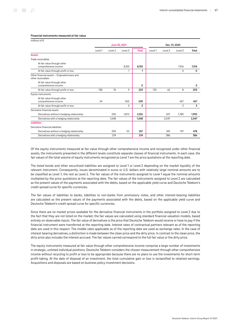| millions of $\epsilon$                                             |               |                    |         |              |               |         |         |       |
|--------------------------------------------------------------------|---------------|--------------------|---------|--------------|---------------|---------|---------|-------|
|                                                                    | June 30, 2021 |                    |         |              | Dec. 31, 2020 |         |         |       |
|                                                                    | Level 1       | Level <sub>2</sub> | Level 3 | <b>Total</b> | Level 1       | Level 2 | Level 3 | Total |
| <b>Assets</b>                                                      |               |                    |         |              |               |         |         |       |
| Trade receivables                                                  |               |                    |         |              |               |         |         |       |
| At fair value through other                                        |               |                    |         |              |               |         |         |       |
| comprehensive income                                               |               |                    | 8,155   | 8,155        |               |         | 7,516   | 7,516 |
| At fair value through profit or loss                               |               |                    | 1       | 1            |               |         | 0       | 0     |
| Other financial assets - Originated loans and<br>other receivables |               |                    |         |              |               |         |         |       |
| At fair value through other<br>comprehensive income                |               |                    |         | 0            |               |         |         | 0     |
| At fair value through profit or loss                               | 138           | 76                 | 9       | 223          | 133           | 62      | 8       | 203   |
| Equity instruments                                                 |               |                    |         |              |               |         |         |       |
| At fair value through other                                        |               |                    |         |              |               |         |         |       |
| comprehensive income                                               | 34            |                    | 505     | 539          |               |         | 457     | 457   |
| At fair value through profit or loss                               |               |                    | 3       | 3            |               |         | 3       | 3     |
| Derivative financial assets                                        |               |                    |         |              |               |         |         |       |
| Derivatives without a hedging relationship                         |               | 230                | 1,872   | 2,102        |               | 207     | 1,785   | 1,992 |
| Derivatives with a hedging relationship                            |               | 1,548              |         | 1,548        |               | 2,047   |         | 2,047 |
| <b>Liabilities</b>                                                 |               |                    |         |              |               |         |         |       |
| Derivative financial liabilities                                   |               |                    |         |              |               |         |         |       |
| Derivatives without a hedging relationship                         |               | 205                | 52      | 257          |               | 341     | 137     | 478   |
| Derivatives with a hedging relationship                            |               | 274                |         | 274          |               | 386     |         | 386   |

Of the equity instruments measured at fair value through other comprehensive income and recognized under other financial assets, the instruments presented in the different levels constitute separate classes of financial instruments. In each case, the fair values of the total volume of equity instruments recognized as Level 1 are the price quotations at the reporting date.

The listed bonds and other securitized liabilities are assigned to Level 1 or Level 2 depending on the market liquidity of the relevant instrument. Consequently, issues denominated in euros or U.S. dollars with relatively large nominal amounts are to be classified as Level 1, the rest as Level 2. The fair values of the instruments assigned to Level 1 equal the nominal amounts multiplied by the price quotations at the reporting date. The fair values of the instruments assigned to Level 2 are calculated as the present values of the payments associated with the debts, based on the applicable yield curve and Deutsche Telekom's credit spread curve for specific currencies.

The fair values of liabilities to banks, liabilities to non-banks from promissory notes, and other interest-bearing liabilities are calculated as the present values of the payments associated with the debts, based on the applicable yield curve and Deutsche Telekom's credit spread curve for specific currencies.

Since there are no market prices available for the derivative financial instruments in the portfolio assigned to Level 2 due to the fact that they are not listed on the market, the fair values are calculated using standard financial valuation models, based entirely on observable inputs. The fair value of derivatives is the price that Deutsche Telekom would receive or have to pay if the financial instrument were transferred at the reporting date. Interest rates of contractual partners relevant as of the reporting date are used in this respect. The middle rates applicable as of the reporting date are used as exchange rates. In the case of interest-bearing derivatives, a distinction is made between the clean price and the dirty price. In contrast to the clean price, the dirty price also includes the interest accrued. The fair values carried correspond to the full fair value or the dirty price.

The equity instruments measured at fair value through other comprehensive income comprise a large number of investments in strategic, unlisted individual positions. Deutsche Telekom considers the chosen measurement through other comprehensive income without recycling to profit or loss to be appropriate because there are no plans to use the investments for short-term profit-taking. At the date of disposal of an investment, the total cumulative gain or loss is reclassified to retained earnings. Acquisitions and disposals are based on business policy investment decisions.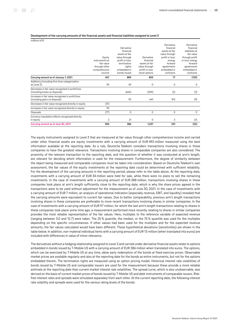#### Development of the carrying amounts of the financial assets and financial liabilities assigned to Level 3

millions of €

|                                                                                     | Equity<br>instruments at<br>fair value   | Derivative<br>financial<br>assets at fair<br>value through<br>profit or loss:<br>termination | Derivative<br>financial<br>assets at fair         | Derivative<br>financial<br>assets at fair<br>value through<br>profit or loss:<br>energy<br>forward | Derivative<br>financial<br>liabilities at<br>fair value<br>through profit<br>or loss: energy<br>forward |
|-------------------------------------------------------------------------------------|------------------------------------------|----------------------------------------------------------------------------------------------|---------------------------------------------------|----------------------------------------------------------------------------------------------------|---------------------------------------------------------------------------------------------------------|
|                                                                                     | through other<br>comprehensive<br>income | rights<br>embedded in<br>bonds issued                                                        | value through<br>profit or loss:<br>stock options | agreements<br>embedded in<br>contracts                                                             | agreements<br>embedded in<br>contracts                                                                  |
| Carrying amount as of January 1, 2021                                               | 457                                      | 889                                                                                          | 805                                               | 77                                                                                                 | (129)                                                                                                   |
| Additions (including first-time categorization<br>as Level 3)                       | 59                                       | 43                                                                                           | 0                                                 | 0                                                                                                  | 0                                                                                                       |
| Decreases in fair value recognized in profit/loss<br>(including losses on disposal) |                                          | (662)                                                                                        | (209)                                             | (2)                                                                                                | (3)                                                                                                     |
| Increases in fair value recognized in profit/loss<br>(including gains on disposal)  |                                          | 95                                                                                           | 641                                               | 153                                                                                                | 83                                                                                                      |
| Decreases in fair value recognized directly in equity                               | (31)                                     |                                                                                              |                                                   |                                                                                                    |                                                                                                         |
| Increases in fair value recognized directly in equity                               | 95                                       |                                                                                              |                                                   |                                                                                                    |                                                                                                         |
| Disposals                                                                           | (77)                                     | 0                                                                                            | 0                                                 | $\Omega$                                                                                           | $\Omega$                                                                                                |
| Currency translation effects recognized directly<br>in equity                       | 2                                        | 21                                                                                           | $\Omega$                                          | 3                                                                                                  | (3)                                                                                                     |
| Carrying amount as of June 30, 2021                                                 | 505                                      | 386                                                                                          | 1,237                                             | 231                                                                                                | (52)                                                                                                    |

The equity instruments assigned to Level 3 that are measured at fair value through other comprehensive income and carried under other financial assets are equity investments with a carrying amount of EUR 492 million measured using the best information available at the reporting date. As a rule, Deutsche Telekom considers transactions involving shares in those companies to have the greatest relevance. Transactions involving shares in comparable companies are also considered. The proximity of the relevant transaction to the reporting date, and the question of whether it was conducted at arm's length, are relevant for deciding which information is used for the measurement. Furthermore, the degree of similarity between the object being measured and comparable companies must be taken into consideration. Based on Deutsche Telekom's own assessment, the fair values of the equity investments at the reporting date could be determined with sufficient reliability. For the development of the carrying amounts in the reporting period, please refer to the table above. At the reporting date, investments with a carrying amount of EUR 34 million were held for sale, while there were no plans to sell the remaining investments. In the case of investments with a carrying amount of EUR 388 million, transactions involving shares in these companies took place at arm's length sufficiently close to the reporting date, which is why the share prices agreed in the transactions were to be used without adjustment for the measurement as of June 30, 2021. In the case of investments with a carrying amount of EUR 7 million, an analysis of operational indicators (especially revenue, EBIT, and liquidity) revealed that the carrying amounts were equivalent to current fair values. Due to better comparability, previous arm's length transactions involving shares in these companies are preferable to more recent transactions involving shares in similar companies. In the case of investments with a carrying amount of EUR 97 million, for which the last arm's length transactions relating to shares in these companies took place some time ago, a measurement performed more recently relating to shares in similar companies provides the most reliable representation of the fair values. Here, multiples to the reference variable of expected revenue (ranging between 3.0 and 12.7) were taken. The 25 % quantile, the median, or the 75 % quantile was used for the multiples depending on the specific circumstances. If other values had been used for the multiples and for the expected revenue amounts, the fair values calculated would have been different. These hypothetical deviations (sensitivities) are shown in the table below. In addition, non-material individual items with a carrying amount of EUR 13 million (when translated into euros) are included with differences in value of minor relevance.

The derivatives without a hedging relationship assigned to Level 3 and carried under derivative financial assets relate to options embedded in bonds issued by T‑Mobile US with a carrying amount of EUR 386 million when translated into euros. The options, which can be exercised by T-Mobile US at any time, allow early redemption of the bonds at fixed exercise prices. Observable market prices are available regularly and also at the reporting date for the bonds as entire instruments, but not for the options embedded therein. The termination rights are measured using an option pricing model. Historical interest rate volatilities of bonds issued by T‑Mobile US and comparable issuers are used for the measurement because these provide a more reliable estimate at the reporting date than current market interest rate volatilities. The spread curve, which is also unobservable, was derived on the basis of current market prices of bonds issued by T‑Mobile US and debt instruments of comparable issuers. Riskfree interest rates and spreads were simulated separately from each other. At the current reporting date, the following interest rate volatility and spreads were used for the various rating levels of the bonds: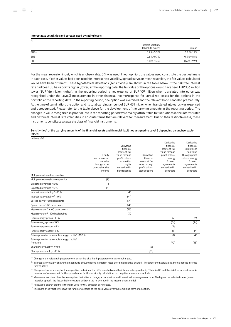#### Interest rate volatilities and spreads used by rating levels

| %         |                                          |                 |
|-----------|------------------------------------------|-----------------|
|           | Interest volatility<br>(absolute figure) | Spread          |
| BBB+      | $0.2$ %-0.3 %                            | $0.2$ %-1.1%    |
| BBB-      | $0.6\% - 0.7\%$                          | $0.3\% - 1.8\%$ |
| <b>BB</b> | $1.0\% - 1.3\%$                          | $0.6\% - 2.9\%$ |

For the mean reversion input, which is unobservable, 3 % was used. In our opinion, the values used constitute the best estimate in each case. If other values had been used for interest rate volatility, spread curve, or mean reversion, the fair values calculated would have been different. These hypothetical deviations (sensitivities) are shown in the table below. If the risk-free interest rate had been 50 basis points higher (lower) at the reporting date, the fair value of the options would have been EUR 136 million lower (EUR 166 million higher). In the reporting period, a net expense of EUR 109 million when translated into euros was recognized under the Level 3 measurement in other financial income/expense for unrealized losses for the options in the portfolio at the reporting date. In the reporting period, one option was exercised and the relevant bond canceled prematurely. At the time of termination, the option and its total carrying amount of EUR 451 million when translated into euros was expensed and derecognized. Please refer to the table above for the development of the carrying amounts in the reporting period. The changes in value recognized in profit or loss in the reporting period were mainly attributable to fluctuations in the interest rates and historical interest rate volatilities in absolute terms that are relevant for measurement. Due to their distinctiveness, these instruments constitute a separate class of financial instruments.

#### Sensitivities<sup>a</sup> of the carrying amounts of the financial assets and financial liabilities assigned to Level 3 depending on unobservable inputs

millions of €

|                                                                      | Equity<br>instruments at<br>fair value<br>through other<br>comprehensive<br>income | Derivative<br>financial<br>assets at fair<br>value through<br>profit or loss:<br>termination<br>rights<br>embedded in<br>bonds issued | Derivative<br>financial<br>assets at fair<br>value through<br>profit or loss:<br>stock options | Derivative<br>financial<br>assets at fair<br>value through<br>profit or loss:<br>energy<br>forward<br>agreements<br>embedded in<br>contracts | Derivative<br>financial<br>liabilities at<br>fair value<br>through profit<br>or loss: energy<br>forward<br>agreements<br>embedded in<br>contracts |
|----------------------------------------------------------------------|------------------------------------------------------------------------------------|---------------------------------------------------------------------------------------------------------------------------------------|------------------------------------------------------------------------------------------------|----------------------------------------------------------------------------------------------------------------------------------------------|---------------------------------------------------------------------------------------------------------------------------------------------------|
| Multiple next-level-up quantile                                      | 8                                                                                  |                                                                                                                                       |                                                                                                |                                                                                                                                              |                                                                                                                                                   |
| Multiple next-level-down quantile                                    | (8)                                                                                |                                                                                                                                       |                                                                                                |                                                                                                                                              |                                                                                                                                                   |
| Expected revenues +10 %                                              | 3                                                                                  |                                                                                                                                       |                                                                                                |                                                                                                                                              |                                                                                                                                                   |
| Expected revenues -10 %                                              | (4)                                                                                |                                                                                                                                       |                                                                                                |                                                                                                                                              |                                                                                                                                                   |
| Interest rate volatility <sup>b</sup> +10 %                          |                                                                                    | 46                                                                                                                                    |                                                                                                |                                                                                                                                              |                                                                                                                                                   |
| Interest rate volatility <sup>b</sup> -10 %                          |                                                                                    | (41)                                                                                                                                  |                                                                                                |                                                                                                                                              |                                                                                                                                                   |
| Spread curve <sup>c</sup> +50 basis points                           |                                                                                    | (194)                                                                                                                                 |                                                                                                |                                                                                                                                              |                                                                                                                                                   |
| Spread curve <sup>c</sup> -50 basis points                           |                                                                                    | 243                                                                                                                                   |                                                                                                |                                                                                                                                              |                                                                                                                                                   |
| Mean reversion <sup>d</sup> +100 basis points                        |                                                                                    | (25)                                                                                                                                  |                                                                                                |                                                                                                                                              |                                                                                                                                                   |
| Mean reversion <sup>d</sup> -100 basis points                        |                                                                                    | 30                                                                                                                                    |                                                                                                |                                                                                                                                              |                                                                                                                                                   |
| Future energy prices +10 %                                           |                                                                                    |                                                                                                                                       |                                                                                                | 58                                                                                                                                           | 24                                                                                                                                                |
| Future energy prices -10 %                                           |                                                                                    |                                                                                                                                       |                                                                                                | (66)                                                                                                                                         | (24)                                                                                                                                              |
| Future energy output +5 %                                            |                                                                                    |                                                                                                                                       |                                                                                                | 36                                                                                                                                           | 4                                                                                                                                                 |
| Future energy output -5%                                             |                                                                                    |                                                                                                                                       |                                                                                                | (45)                                                                                                                                         | (4)                                                                                                                                               |
| Future prices for renewable energy credits <sup>e</sup> +100 %       |                                                                                    |                                                                                                                                       |                                                                                                | 82                                                                                                                                           | 45                                                                                                                                                |
| Future prices for renewable energy credits <sup>e</sup><br>from zero |                                                                                    |                                                                                                                                       |                                                                                                | (90)                                                                                                                                         | (45)                                                                                                                                              |
| Share price volatility <sup>f</sup> +10 %                            |                                                                                    |                                                                                                                                       | 66                                                                                             |                                                                                                                                              |                                                                                                                                                   |
| Share price volatility <sup>f</sup> -10 %                            |                                                                                    |                                                                                                                                       | (63)                                                                                           |                                                                                                                                              |                                                                                                                                                   |

<sup>a</sup> Change in the relevant input parameter assuming all other input parameters are unchanged.

 $^{\rm b}$  Interest rate volatility shows the magnitude of fluctuations in interest rates over time (relative change). The larger the fluctuations, the higher the interest rate volatility.

 $^{\rm c}$  The spread curve shows, for the respective maturities, the difference between the interest rates payable by T-Mobile US and the risk-free interest rates. A minimum of zero was set for the spread curve for the sensitivity calculation, i.e., negative spreads are excluded.

<sup>d</sup> Mean reversion describes the assumption that, after a change, an interest rate will revert to its average over time. The higher the selected value (mean reversion speed), the faster the interest rate will revert to its average in the measurement model.

<sup>e</sup> Renewable energy credits is the term used for U.S. emission certificates.

 $^{\mathsf{f}}$  The share price volatility shows the range of variation of the basic value over the remaining term of an option.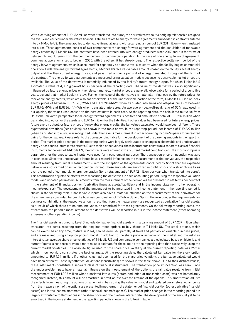With a carrying amount of EUR -52 million when translated into euros, the derivatives without a hedging relationship assigned to Level 3 and carried under derivative financial liabilities relate to energy forward agreements embedded in contracts entered into by T‑Mobile US. The same applies to derivative financial assets with a carrying amount of EUR 231 million when translated into euros. These agreements consist of two components: the energy forward agreement and the acquisition of renewable energy credits by T-Mobile US. The contracts have been entered into with energy producers since 2017 and run for terms of between 12 and 15 years from the commencement of commercial operation. In the case of one energy forward agreement, commercial operation is set to begin in 2023, with the others, it has already begun. The respective settlement period of the energy forward agreement, which is accounted for separately as a derivative, also starts when the facility begins commercial operation. Under the energy forward agreements, T‑Mobile US receives variable amounts based on the facility's actual energy output and the then current energy prices, and pays fixed amounts per unit of energy generated throughout the term of the contract. The energy forward agreements are measured using valuation models because no observable market prices are available. The value of the derivatives is materially influenced by the facility's future energy output, for which T-Mobile US estimated a value of 4,057 gigawatt hours per year at the reporting date. The value of the derivatives is also significantly influenced by future energy prices on the relevant markets. Market prices are generally observable for a period of around five years, beyond that market liquidity is low. Further, the value of the derivatives is materially influenced by the future prices for renewable energy credits, which are also not observable. For the unobservable portion of the term, T‑Mobile US used on-peak energy prices of between EUR 15.70/MWh and EUR 59.83/MWh when translated into euros and off-peak prices of between EUR 8.96/MWh and EUR 36.44/MWh when translated into euros. An average on-peak/off-peak ratio of 52 % was used. In our opinion, the values used constitute the best estimate in each case. At the reporting date, the calculated fair value from Deutsche Telekom's perspective for all energy forward agreements is positive and amounts to a total of EUR 287 million when translated into euros for the assets and EUR 36 million for the liabilities. If other values had been used for future energy prices, future energy output, or future prices of renewable energy credits, the fair values calculated would have been different. These hypothetical deviations (sensitivities) are shown in the table above. In the reporting period, net income of EUR 227 million (when translated into euros) was recognized under the Level 3 measurement in other operating income/expense for unrealized gains for the derivatives. Please refer to the corresponding table for the development of the carrying amounts in the reporting period. The market-price changes in the reporting period were largely attributable to changes in observable and unobservable energy prices and to interest rate effects. Due to their distinctiveness, these instruments constitute a separate class of financial instruments. In the view of T‑Mobile US, the contracts were entered into at current market conditions, and the most appropriate parameters for the unobservable inputs were used for measurement purposes. The transaction price at inception was zero in each case. Since the unobservable inputs have a material influence on the measurement of the derivatives, the respective amount resulting from initial measurement – with the exception of the agreements concluded by Sprint that are explained below – was not carried on initial recognition. Instead, these amounts are amortized in profit or loss on a straight-line basis over the period of commercial energy generation (for a total amount of EUR 12 million per year when translated into euros). This amortization adjusts the effects from measuring the derivatives in each accounting period using the respective valuation models and updated parameters. All amounts from the measurement of the derivatives are presented in net terms per contract in the statement of financial position (derivative financial assets/liabilities) and in the income statement (other operating income/expenses). The development of the amount yet to be amortized in the income statement in the reporting period is shown in the following table. Unobservable inputs also have a material influence on the measurement of the derivatives for the agreements concluded before the business combination of T-Mobile US and Sprint. However, under the requirements for business combinations, the respective amounts resulting from the measurement are recognized as derivative financial assets, as a result of which there are no amounts yet to be amortized for these agreements. On the following reporting dates, the effects from the periodic measurement of the derivatives will be recorded in full in the income statement (other operating expenses or other operating income).

The financial assets assigned to Level 3 include derivative financial assets with a carrying amount of EUR 1,237 million when translated into euros, resulting from the acquired stock options to buy shares in T‑Mobile US. The stock options, which can be exercised at any time, mature in 2024, can be exercised partially at fixed and partially at variable purchase prices, and are measured using an option pricing model. In addition to the share price observable on the market and the risk-free interest rates, average share price volatilities of T‑Mobile US and comparable companies are calculated based on historic and current figures, since these provide a more reliable estimate for these inputs at the reporting date than exclusively using the current market volatilities. The absolute figure used for the share price volatility at the current reporting date was 26.2 % which, in our opinion, constitutes the best estimate. At the reporting date, the calculated fair value for the stock option amounted to EUR 1,941 million. If another value had been used for the share price volatility, the fair value calculated would have been different. These hypothetical deviations (sensitivities) are shown in the table above. Due to their distinctiveness, these instruments constitute a separate class of financial instruments. The transaction price at inception was zero. Since the unobservable inputs have a material influence on the measurement of the options, the fair value resulting from initial measurement of EUR 1,005 million when translated into euros (before deduction of transaction costs) was not immediately recognized. Instead, this amount will be amortized in profit or loss over the lifetime of the options. This amortization adjusts the effects from measuring the options on an ongoing basis using the valuation model and updated parameters. All amounts from the measurement of the options are presented in net terms in the statement of financial position (other derivative financial assets) and in the income statement (other financial income/expense). The market-price changes in the reporting period are largely attributable to fluctuations in the share price and the risk-free interest rate. The development of the amount yet to be amortized in the income statement in the reporting period is shown in the following table.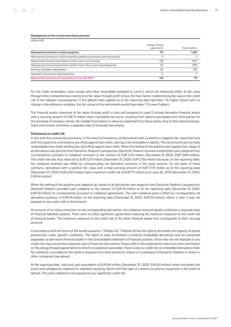#### Development of the not yet amortized amounts

| millions of $\epsilon$                                                             |                              |               |
|------------------------------------------------------------------------------------|------------------------------|---------------|
|                                                                                    | Energy forward<br>agreements | Stock options |
| Measurement amounts on initial recognition                                         | 173                          | 1.005         |
| Measurement amounts on initial recognition (additions during the reporting period) | 0                            |               |
| Measurement amounts amortized in profit or loss in prior periods                   | (18)                         | (127)         |
| Measurement amounts amortized in profit or loss in the current reporting period    | (5)                          | (118)         |
| Currency translation adjustments                                                   | (6)                          | (49)          |
| Disposals in the current reporting period                                          | $\Omega$                     |               |
| Measurement amounts not amortized as of June 30, 2021                              | 144                          | 711           |

For the trade receivables, loans issued, and other receivables assigned to Level 3, which are measured either at fair value through other comprehensive income or at fair value through profit or loss, the main factor in determining fair value is the credit risk of the relevant counterparties. If the default rates applied as of the reporting date had been 1 % higher (lower) with no change in the reference variables, the fair values of the instruments would have been 1 % lower (higher).

The financial assets measured at fair value through profit or loss and assigned to Level 3 include derivative financial assets with a carrying amount of EUR 17 million when translated into euros, resulting from options purchased from third parties for the purchase of company shares. No notable fluctuations in value are expected from these assets. Due to their distinctiveness, these instruments constitute a separate class of financial instruments.

#### Disclosures on credit risk

In line with the contractual provisions, in the event of insolvency, all derivatives with a positive or negative fair value that exist with the respective counterparty are offset against each other, leaving a net receivable or liability. The net amounts are normally recalculated every bank working day and offset against each other. When the netting of the positive and negative fair values of all derivatives was positive from Deutsche Telekom's perspective, Deutsche Telekom received unrestricted cash collateral from counterparties pursuant to collateral contracts in the amount of EUR 1,215 million (December 31, 2020: EUR 1,530 million). The credit risk was thus reduced by EUR 1,211 million (December 31, 2020: EUR 1,516 million) because, on the reporting date, the collateral received was offset by corresponding net derivative positions in the same amount. On the basis of these contracts, derivatives with a positive fair value and a total carrying amount of EUR 1,779 million as of the reporting date (December 31, 2020: EUR 2,253 million) had a maximum credit risk of EUR 111 million as of June 30, 2021 (December 31, 2020: EUR 44 million).

When the netting of the positive and negative fair values of all derivatives was negative from Deutsche Telekom's perspective, Deutsche Telekom provided cash collateral in the amount of EUR 25 million as of the reporting date (December 31, 2020: EUR 34 million) to counterparties pursuant to collateral agreements. The cash collateral paid is offset by corresponding net derivative positions of EUR 24 million at the reporting date (December 31, 2020: EUR 34 million), which is why it was not exposed to any credit risks in this amount.

On account of its close connection to the corresponding derivatives, the collateral received (paid) constitutes a separate class of financial liabilities (assets). There were no other significant agreements reducing the maximum exposure to the credit risk of financial assets. The maximum exposure to the credit risk of the other financial assets thus corresponds to their carrying amounts.

In accordance with the terms of the bonds issued by T-Mobile US, T-Mobile US has the right to terminate the majority of bonds prematurely under specific conditions. The rights of early termination constitute embedded derivatives and are presented separately as derivative financial assets in the consolidated statement of financial position. Since they are not exposed to any credit risk, they constitute a separate class of financial instruments. Please refer to the explanations above for more information on the energy forward agreements for which no collateral is provided. There is also no credit risk on embedded derivatives held. No collateral is provided for the options acquired from third parties for shares in a subsidiary of Deutsche Telekom or shares in other companies (see above).

At the reporting date, cash and cash equivalents of EUR 84 million (December 31, 2020: EUR 63 million) when translated into euros were pledged as collateral for liabilities issued by Sprint with the right of creditors to priority repayment in the event of default. This cash collateral is not exposed to any significant credit risk.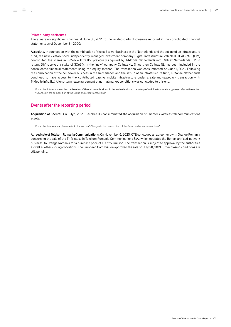#### Related-party disclosures

There were no significant changes at June 30, 2021 to the related-party disclosures reported in the consolidated financial statements as of December 31, 2020:

Associate. In connection with the combination of the cell tower business in the Netherlands and the set-up of an infrastructure fund, the newly established, independently managed investment company Digital Infrastructure Vehicle II SICAF-RAIF (DIV) contributed the shares in T-Mobile Infra B.V. previously acquired by T-Mobile Netherlands into Cellnex Netherlands B.V. In return, DIV received a stake of 37.65 % in the "new" company Cellnex NL. Since then Cellnex NL has been included in the consolidated financial statements using the equity method. The transaction was consummated on June 1, 2021. Following the combination of the cell tower business in the Netherlands and the set-up of an infrastructure fund, T-Mobile Netherlands continues to have access to the contributed passive mobile infrastructure under a sale-and-leaseback transaction with T‑Mobile Infra B.V. A long-term lease agreement at normal market conditions was concluded to this end.

For further information on the combination of the cell tower business in the Netherlands and the set-up of an infrastructure fund, please refer to the section "[Changes in the composition of the Group and other transactions](#page-44-0)."

## Events after the reporting period

Acquisition of Shentel. On July 1, 2021, T-Mobile US consummated the acquisition of Shentel's wireless telecommunications assets.

For further information, please refer to the section ["Changes in the composition of the Group and other transactions](#page-44-0)."

Agreed sale of Telekom Romania Communications. On November 6, 2020, OTE concluded an agreement with Orange Romania concerning the sale of the 54 % stake in Telekom Romania Communications S.A., which operates the Romanian fixed-network business, to Orange Romania for a purchase price of EUR 268 million. The transaction is subject to approval by the authorities as well as other closing conditions. The European Commission approved the sale on July 28, 2021. Other closing conditions are still pending.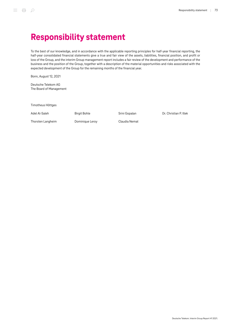To the best of our knowledge, and in accordance with the applicable reporting principles for half-year financial reporting, the half-year consolidated financial statements give a true and fair view of the assets, liabilities, financial position, and profit or loss of the Group, and the interim Group management report includes a fair review of the development and performance of the business and the position of the Group, together with a description of the material opportunities and risks associated with the expected development of the Group for the remaining months of the financial year.

Bonn, August 12, 2021

Deutsche Telekom AG The Board of Management

Timotheus Höttges

Adel Al-Saleh

Birgit Bohle

Srini Gopalan

Dr. Christian P. Illek

Thorsten Langheim

Dominique Leroy

Claudia Nemat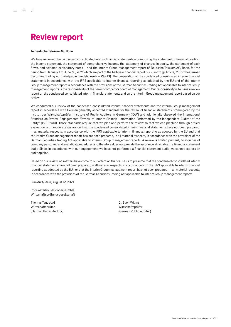## Review report

#### To Deutsche Telekom AG, Bonn

We have reviewed the condensed consolidated interim financial statements – comprising the statement of financial position, the income statement, the statement of comprehensive income, the statement of changes in equity, the statement of cash flows, and selected explanatory notes – and the interim Group management report of Deutsche Telekom AG, Bonn, for the period from January 1 to June 30, 2021 which are part of the half-year financial report pursuant to § (Article) 115 of the German Securities Trading Act (Wertpapierhandelsgesetz – WpHG). The preparation of the condensed consolidated interim financial statements in accordance with the IFRS applicable to interim financial reporting as adopted by the EU and of the interim Group management report in accordance with the provisions of the German Securities Trading Act applicable to interim Group management reports is the responsibility of the parent company's board of management. Our responsibility is to issue a review report on the condensed consolidated interim financial statements and on the interim Group management report based on our review.

We conducted our review of the condensed consolidated interim financial statements and the interim Group management report in accordance with German generally accepted standards for the review of financial statements promulgated by the Institut der Wirtschaftsprüfer (Institute of Public Auditors in Germany) (IDW) and additionally observed the International Standard on Review Engagements "Review of Interim Financial Information Performed by the Independent Auditor of the Entity" (ISRE 2410). Those standards require that we plan and perform the review so that we can preclude through critical evaluation, with moderate assurance, that the condensed consolidated interim financial statements have not been prepared, in all material respects, in accordance with the IFRS applicable to interim financial reporting as adopted by the EU and that the interim Group management report has not been prepared, in all material respects, in accordance with the provisions of the German Securities Trading Act applicable to interim Group management reports. A review is limited primarily to inquiries of company personnel and analytical procedures and therefore does not provide the assurance attainable in a financial statement audit. Since, in accordance with our engagement, we have not performed a financial statement audit, we cannot express an audit opinion.

Based on our review, no matters have come to our attention that cause us to presume that the condensed consolidated interim financial statements have not been prepared, in all material respects, in accordance with the IFRS applicable to interim financial reporting as adopted by the EU nor that the interim Group management report has not been prepared, in all material respects, in accordance with the provisions of the German Securities Trading Act applicable to interim Group management reports.

Frankfurt/Main, August 12, 2021

PricewaterhouseCoopers GmbH Wirtschaftsprüfungsgesellschaft

Thomas Tandetzki Wirtschaftsprüfer (German Public Auditor) Dr. Sven Willms Wirtschaftsprüfer (German Public Auditor)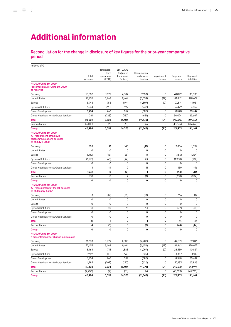# Additional information

#### Reconciliation for the change in disclosure of key figures for the prior-year comparative period

| millions of €                                                                                            |                  |                                               |                                                          |                                       |                      |                   |                        |
|----------------------------------------------------------------------------------------------------------|------------------|-----------------------------------------------|----------------------------------------------------------|---------------------------------------|----------------------|-------------------|------------------------|
|                                                                                                          | Total<br>revenue | Profit (loss)<br>from<br>operations<br>(EBIT) | <b>EBITDA AL</b><br>(adjusted<br>for special<br>factors) | Depreciation<br>and amor-<br>tization | Impairment<br>losses | Segment<br>assets | Segment<br>liabilities |
| H12020/June 30, 2020<br>Presentation as of June 30, 2020 -<br>as reported                                |                  |                                               |                                                          |                                       |                      |                   |                        |
| Germany                                                                                                  | 10,852           | 1,927                                         | 4,382                                                    | (2,153)                               | 0                    | 41,099            | 30,835                 |
| <b>United States</b>                                                                                     | 27,455           | 3,468                                         | 9,464                                                    | (6,654)                               | (19)                 | 181,862           | 120,672                |
| Europe                                                                                                   | 5,746            | 758                                           | 1,941                                                    | (1,307)                               | (2)                  | 27,314            | 11,081                 |
| <b>Systems Solutions</b>                                                                                 | 3,244            | (90)                                          | 199                                                      | (242)                                 | 0                    | 6,499             | 4,962                  |
| Group Development                                                                                        | 1,424            | 263                                           | 552                                                      | (386)                                 | 0                    | 8,548             | 10,647                 |
| Group Headquarters & Group Services                                                                      | 1,281            | (723)                                         | (132)                                                    | (631)                                 | 0                    | 50,024            | 63,669                 |
| Total                                                                                                    | 50,002           | 5,603                                         | 16,406                                                   | (11, 373)                             | (21)                 | 315,346           | 241,866                |
| Reconciliation                                                                                           | (3,018)          | (6)                                           | (33)                                                     | 26                                    | 0                    | (45, 375)         | (45, 397)              |
| Group                                                                                                    | 46,984           | 5,597                                         | 16,373                                                   | (11, 347)                             | (21)                 | 269,971           | 196,469                |
| H1 2020/June 30, 2020<br>+/- realignment of the B2B<br>telecommunications business<br>as of July 1, 2020 |                  |                                               |                                                          |                                       |                      |                   |                        |
| Germany                                                                                                  | 828              | 91                                            | 143                                                      | (41)                                  | 0                    | 2,856             | 1,094                  |
| <b>United States</b>                                                                                     | 0                | 0                                             | 0                                                        | 0                                     | 0                    | 0                 | 0                      |
| Europe                                                                                                   | (282)            | (45)                                          | (53)                                                     | 8                                     | 0                    | (755)             | (254)                  |
| <b>Systems Solutions</b>                                                                                 | (1,110)          | (60)                                          | (94)                                                     | 23                                    | 0                    | (1,980)           | (712)                  |
| Group Development                                                                                        | 0                | 0                                             | 0                                                        | 0                                     | 0                    | 0                 | 0                      |
| Group Headquarters & Group Services                                                                      | $\overline{4}$   | 14                                            | $\overline{2}$                                           | 11                                    | 0                    | 159               | 156                    |
| Total                                                                                                    | (560)            | 0                                             | (2)                                                      | 1                                     | 0                    | 280               | 284                    |
| Reconciliation                                                                                           | 560              | 0                                             | $\overline{2}$                                           | (1)                                   | 0                    | (280)             | (284)                  |
| Group                                                                                                    | 0                | 0                                             | 0                                                        | 0                                     | 0                    | 0                 | 0                      |
| H1 2020/June 30, 2020<br>+/- reassignment of the loT business<br>as of January 1, 2021                   |                  |                                               |                                                          |                                       |                      |                   |                        |
| Germany                                                                                                  | 3                | (39)                                          | (25)                                                     | (13)                                  | 0                    | 116               | 112                    |
| <b>United States</b>                                                                                     | 0                | 0                                             | 0                                                        | 0                                     | 0                    | 0                 | 0                      |
| Europe                                                                                                   | 0                | 0                                             | 0                                                        | $\mathbf 0$                           | 0                    | 0                 | $\mathsf 0$            |
| <b>Systems Solutions</b>                                                                                 | (7)              | 40                                            | 25                                                       | 14                                    | 0                    | (72)              | (68)                   |
| Group Development                                                                                        | 0                | 0                                             | 0                                                        | 0                                     | 0                    | 0                 | 0                      |
| Group Headquarters & Group Services                                                                      | 0                | 0                                             | 0                                                        | 0                                     | 0                    | 0                 | 0                      |
| Total                                                                                                    | (4)              | 1                                             | 0                                                        | 1                                     | 0                    | 44                | 44                     |
| Reconciliation                                                                                           | 4                | (1)                                           | 0                                                        | (1)                                   | 0                    | (44)              | (44)                   |
| Group                                                                                                    | 0                | 0                                             | 0                                                        | 0                                     | 0                    | 0                 | 0                      |
| H1 2020/June 30, 2020<br>presentation after change in disclosure :                                       |                  |                                               |                                                          |                                       |                      |                   |                        |
| Germany                                                                                                  | 11,683           | 1,979                                         | 4,500                                                    | (2,207)                               | 0                    | 44,071            | 32,041                 |
| <b>United States</b>                                                                                     | 27,455           | 3,468                                         | 9,464                                                    | (6,654)                               | (19)                 | 181,862           | 120,672                |
| Europe                                                                                                   | 5,464            | 713                                           | 1,888                                                    | (1, 299)                              | (2)                  | 26,559            | 10,827                 |
| <b>Systems Solutions</b>                                                                                 | 2,127            | (110)                                         | 130                                                      | (205)                                 | 0                    | 4,447             | 4,182                  |
| Group Development                                                                                        | 1,424            | 263                                           | 552                                                      | (386)                                 | 0                    | 8,548             | 10,647                 |
| Group Headquarters & Group Services                                                                      | 1,285            | (709)                                         | (130)                                                    | (620)                                 | 0                    | 50,183            | 63,825                 |
| <b>Total</b>                                                                                             | 49,438           | 5,604                                         | 16,404                                                   | (11, 371)                             | (21)                 | 315,670           | 242,194                |
| Reconciliation                                                                                           | (2, 453)         | (7)                                           | (31)                                                     | 24                                    | 0                    | (45,699)          | (45, 725)              |
| Group                                                                                                    | 46,984           | 5,597                                         | 16,373                                                   | (11, 347)                             | (21)                 | 269,971           | 196,469                |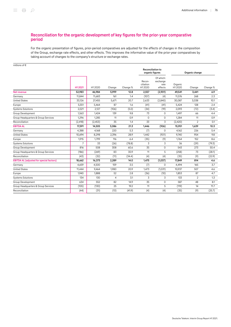## Reconciliation for the organic development of key figures for the prior-year comparative period

For the organic presentation of figures, prior-period comparatives are adjusted for the effects of changes in the composition of the Group, exchange rate effects, and other effects. This improves the informative value of the prior-year comparatives by taking account of changes to the company's structure or exchange rates.

| millions of $\epsilon$                          |                |          |        |          |                                             |                                          |                   |        |          |
|-------------------------------------------------|----------------|----------|--------|----------|---------------------------------------------|------------------------------------------|-------------------|--------|----------|
|                                                 |                |          |        |          | <b>Reconciliation to</b><br>organic figures |                                          | Organic change    |        |          |
|                                                 | H1 2021        | H12020   | Change | Change % | Recon-<br>ciliation<br>H12020               | Of which:<br>exchange<br>rate<br>effects | Organic<br>H12020 | Change | Change % |
| Net revenue                                     | 52.983         | 46,984   | 5,999  | 12.8     | 2,557                                       | (2,901)                                  | 49,541            | 3,441  | 6.9      |
| Germany                                         | 11,844         | 11,683   | 161    | 1.4      | (107)                                       | (4)                                      | 11,576            | 268    | 2.3      |
| <b>United States</b>                            | 33,126         | 27,455   | 5,671  | 20.7     | 2,633                                       | (2,840)                                  | 30,087            | 3,038  | 10.1     |
| Europe                                          | 5,551          | 5,464    | 87     | 1.6      | (41)                                        | (41)                                     | 5,424             | 128    | 2.4      |
| <b>Systems Solutions</b>                        | 2,021          | 2,127    | (106)  | (5.0)    | (34)                                        | (19)                                     | 2,093             | (72)   | (3.4)    |
| Group Development                               | 1,563          | 1,424    | 139    | 9.8      | 73                                          | $\mathbf 0$                              | 1,497             | 66     | 4.4      |
| Group Headquarters & Group Services             | 1,296          | 1,285    | 11     | 0.9      | $\Omega$                                    | $\mathbf 0$                              | 1,284             | 11     | 0.9      |
| Reconciliation                                  | (2, 418)       | (2, 453) | 35     | 1.4      | 33                                          | 3                                        | (2,420)           | 2      | 0.1      |
| <b>EBITDA AL</b>                                | 17,591         | 14,505   | 3,086  | 21.3     | 1,446                                       | (926)                                    | 15,951            | 1,639  | 10.3     |
| Germany                                         | 4,388          | 4,168    | 220    | 5.3      | (7)                                         | 0                                        | 4,162             | 226    | 5.4      |
| <b>United States</b>                            | 10,694         | 8,298    | 2,396  | 28.9     | 1,442                                       | (921)                                    | 9,740             | 954    | 9.8      |
| Europe                                          | 1,915          | 1,799    | 116    | 6.4      | (35)                                        | (9)                                      | 1,764             | 152    | 8.6      |
| <b>Systems Solutions</b>                        | $\overline{7}$ | 33       | (26)   | (78.8)   | 3                                           | 3                                        | 36                | (29)   | (79.3)   |
| <b>Group Development</b>                        | 816            | 508      | 308    | 60.6     | 35                                          | $\mathbf 0$                              | 543               | 273    | 50.4     |
| Group Headquarters & Group Services             | (186)          | (269)    | 83     | 30.9     | 11                                          | 5                                        | (258)             | 73     | (28.1)   |
| Reconciliation                                  | (43)           | (32)     | (11)   | (34.4)   | (4)                                         | (4)                                      | (35)              | (9)    | (22.9)   |
| <b>EBITDA AL (adjusted for special factors)</b> | 18,662         | 16,373   | 2,289  | 14.0     | 1,475                                       | (1,037)                                  | 17,849            | 814    | 4.6      |
| Germany                                         | 4,659          | 4,500    | 159    | 3.5      | (7)                                         | $\mathbf 0$                              | 4,494             | 165    | 3.7      |
| <b>United States</b>                            | 11,444         | 9,464    | 1,980  | 20.9     | 1,473                                       | (1,031)                                  | 10,937            | 507    | 4.6      |
| Europe                                          | 1,940          | 1,888    | 52     | 2.8      | (36)                                        | (10)                                     | 1,853             | 87     | 4.7      |
| <b>Systems Solutions</b>                        | 134            | 130      | 4      | 3.1      | 3                                           | 3                                        | 133               | 2      | 1.3      |
| Group Development                               | 634            | 552      | 82     | 14.9     | 35                                          | $\mathsf 0$                              | 587               | 48     | 8.1      |
| Group Headquarters & Group Services             | (105)          | (130)    | 25     | 19.2     | 11                                          | 5                                        | (119)             | 14     | 11.7     |
| Reconciliation                                  | (44)           | (31)     | (13)   | (41.9)   | (4)                                         | (4)                                      | (35)              | (9)    | (25.7)   |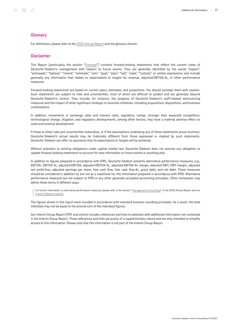#### **Glossary**

For definitions, please refer to the [2020 Annual Report](https://report.telekom.com/annual-report-2020/services/glossary.html) and the glossary therein.

#### Disclaimer

This Report (particularly the section "[Forecast"](#page-34-0)) contains forward-looking statements that reflect the current views of Deutsche Telekom's management with respect to future events. They are generally identified by the words "expect," "anticipate," "believe," "intend," "estimate," "aim," "goal," "plan," "will," "seek," "outlook," or similar expressions and include generally any information that relates to expectations or targets for revenue, adjusted EBITDA AL, or other performance measures.

Forward-looking statements are based on current plans, estimates, and projections. You should consider them with caution. Such statements are subject to risks and uncertainties, most of which are difficult to predict and are generally beyond Deutsche Telekom's control. They include, for instance, the progress of Deutsche Telekom's staff-related restructuring measures and the impact of other significant strategic or business initiatives, including acquisitions, dispositions, and business combinations.

In addition, movements in exchange rates and interest rates, regulatory rulings, stronger than expected competition, technological change, litigation, and regulatory developments, among other factors, may have a material adverse effect on costs and revenue development.

If these or other risks and uncertainties materialize, or if the assumptions underlying any of these statements prove incorrect, Deutsche Telekom's actual results may be materially different from those expressed or implied by such statements. Deutsche Telekom can offer no assurance that its expectations or targets will be achieved.

Without prejudice to existing obligations under capital market law, Deutsche Telekom does not assume any obligation to update forward-looking statements to account for new information or future events or anything else.

In addition to figures prepared in accordance with IFRS, Deutsche Telekom presents alternative performance measures, e.g., EBITDA, EBITDA AL, adjusted EBITDA, adjusted EBITDA AL, adjusted EBITDA AL margin, adjusted EBIT, EBIT margin, adjusted net profit/loss, adjusted earnings per share, free cash flow, free cash flow AL, gross debt, and net debt. These measures should be considered in addition to, but not as a substitute for, the information prepared in accordance with IFRS. Alternative performance measures are not subject to IFRS or any other generally accepted accounting principles. Other companies may define these terms in different ways.

For further information on alternative performance measures, please refer to the section ["Management of the Group"](https://report.telekom.com/annual-report-2020/management-report/management-of-the-group.html) in the 2020 Annual Report and our [Investor Relations website.](https://www.telekom.com/en/investor-relations/investor-relations/alternative-performance-measures-in-the-management-system-486970)

The figures shown in this report were rounded in accordance with standard business rounding principles. As a result, the total indicated may not be equal to the precise sum of the individual figures.

Our Interim Group Report (PDF and online) includes references and links to websites with additional information not contained in the Interim Group Report. These references and links are purely of a supplementary nature and are only intended to simplify access to this information. Please note that this information is not part of the Interim Group Report.